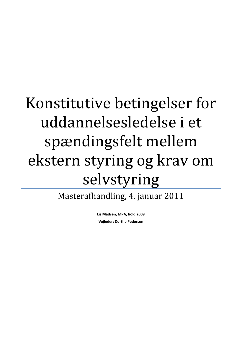# Konstitutive betingelser for uddannelsesledelse i et spændingsfelt mellem ekstern styring og krav om selvstyring

Masterafhandling, 4. januar 2011

**Lis Madsen, MPA, hold 2009 Vejleder: Dorthe Pedersen**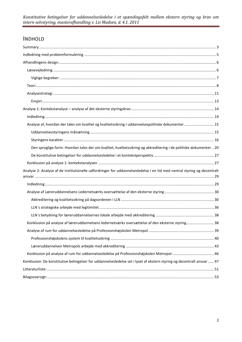# INDHOLD

| Analyse af, hvordan der tales om kvalitet og kvalitetssikring i uddannelsespolitiske dokumenter  15                     |  |
|-------------------------------------------------------------------------------------------------------------------------|--|
|                                                                                                                         |  |
|                                                                                                                         |  |
| Den sproglige form: Hvordan tales der om kvalitet, kvalitetssikring og akkreditering i de politiske dokumenter  20      |  |
|                                                                                                                         |  |
|                                                                                                                         |  |
| Analyse 2: Analyse af de institutionelle udfordringer for uddannelsesledelse i en tid med central styring og decentralt |  |
|                                                                                                                         |  |
|                                                                                                                         |  |
|                                                                                                                         |  |
|                                                                                                                         |  |
|                                                                                                                         |  |
|                                                                                                                         |  |
| Konklusion på analyse af læreruddannelsens ledernetværks oversættelse af den eksterne styring 38                        |  |
|                                                                                                                         |  |
|                                                                                                                         |  |
|                                                                                                                         |  |
|                                                                                                                         |  |
| Konklusion: De konstitutive betingelser for uddannelsesledelse set i lyset af ekstern styring og decentralt ansvar  47  |  |
|                                                                                                                         |  |
|                                                                                                                         |  |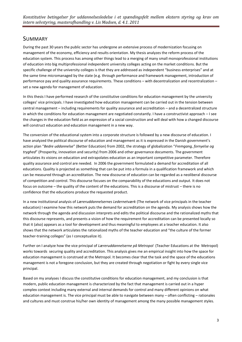# <span id="page-2-0"></span>SUMMARY

During the past 30 years the public sector has undergone an extensive process of modernization focusing on management of the economy, efficiency and results orientation. My thesis analyzes the reform process of the education system. This process has among other things lead to a merging of many small monoprofessional institutions of education into big multiprofessional independent university colleges acting on the market conditions. But the specific challenge of the university colleges is that they are addressed as independent "business enterprises" and at the same time micromanaged by the state (e.g. through performance and framework management, introduction of performance pay and quality assurance requirements. These conditions – with decentralization and recentralization – set a new agenda for management of education.

In this thesis I have performed research of the constitutive conditions for education management by the university colleges' vice principals. I have investigated how education management can be carried out in the tension between central management – including requirements for quality assurance and accreditation – and a decentralized structure in which the conditions for education management are negotiated constantly. I have a constructivist approach – I see the changes in the education field as an expression of a social construction and will deal with how a changed discourse will construct education and education management in a new way.

The conversion of the educational system into a corporate structure is followed by a new discourse of education. I have analyzed the political discourse of education and management as it is expressed in the Danish government's action plan "*Bedre uddannelse*" (Better Education) from 2002, the strategy of globalization "*Fremgang, fornyelse og tryghed*" (Prosperity, innovation and security) from 2006 and other governance documents. The government articulates its visions on education and extrapolates education as an important competitive parameter. Therefore quality assurance and control are needed. In 2006 the government formulated a demand for accreditation of all educations. Quality is projected as something that can be put into a formula in a qualification framework and which can be measured through an accreditation. The new discourse of education can be regarded as a neoliberal discourse of competition and control. This discourse focuses on the comparability of the educations and output. It does not focus on outcome – the quality of the content of the educations. This is a discourse of mistrust – there is no confidence that the educations produce the requested product.

In a new institutional analysis of *Læreruddannelsernes Ledernetværk* (The network of vice principals in the teacher education) I examine how this network puts the demand for accreditation on the agenda. My analysis shows how the network through the agenda and discussion interprets and edits the political discourse and the rationalized myths that this discourse represents, and presents a vision of how the requirement for accreditation can be presented locally so that it (also) appears as a tool for development and thus meaningful to employees at a teacher education. It also shows that the network articulates the rationalized myths of the teacher education and "the culture of the former teacher-training colleges" (as I conceptualize it).

Further on I analyze how the vice principal of *Læreruddannelserne på Metropol* (Teacher Educations at the Metropol) works towards securing quality and accreditation. This analysis gives me an empirical insight into how the space for education management is construed at the Metropol. It becomes clear that the task and the space of the educations management is not a foregone conclusion, but they are created through negotiation or fight by every single vice principal.

Based on my analyses I discuss the constitutive conditions for education management, and my conclusion is that modern, public education management is characterized by the fact that management is carried out in a hyper complex context including many external and internal demands for control and many different opinions on what education management is. The vice principal must be able to navigate between many – often conflicting – rationales and cultures and must construe his/her own identity of management among the many possible management styles.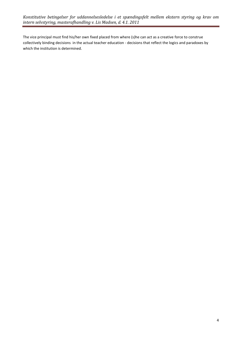The vice principal must find his/her own fixed placed from where (s)he can act as a creative force to construe collectively binding decisions in the actual teacher education - decisions that reflect the logics and paradoxes by which the institution is determined.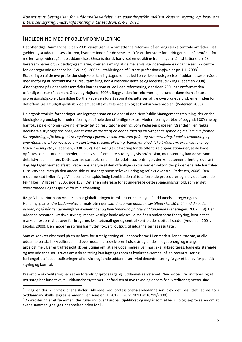## <span id="page-4-0"></span>INDLEDNING MED PROBLEMFORMULERING

Det offentlige Danmark har siden 2001 været igennem omfattende reformer på en lang række centrale områder. Det gælder også uddannelsessektoren, hvor der inden for de seneste 10 år er sket store forandringer bl.a. på området for mellemlange videregående uddannelser. Organisatorisk har vi set en udvikling fra mange små institutioner, fx 18 lærerseminarier og 32 pædagogsemiarier, over en samling af de mellemlange videregående uddannelser i 22 centre for videregående uddannelse (CVU´er) i 2002 til etableringen af 8 store professionshøjskoler pr. 1.1. 2008 $^1$ . Etableringen af de nye professionshøjskoler kan iagttages som et led i en virksomhedsgørelse af uddannelsesområdet med indføring af kontraktstyring, resultatmåling, konkurrenceudsættelse og ledelsesudvikling (Pedersen 2008). Ændringerne på uddannelsesområdet kan ses som et led i den reformering, der siden 2001 har omformet den offentlige sektor (Pedersen, Greve og Højlund, 2008). Baggrunden for reformerne, herunder dannelsen af store professionshøjskoler, kan ifølge Dorthe Pedersen forstås som italesættelsen af tre overordnede problemer inden for det offentlige: Et udgiftspolitisk problem, et effektivitetsproblem og et konkurrenceproblem (Pedersen 2008).

De organisatoriske forandringer kan iagttages som en udløber af den New Public Management-tænkning, der er det ideologiske grundlag for moderniseringen af hele den offentlige sektor. Moderniseringen blev påbegyndt i 80´erne og har fokus på økonomisk styring, effektivitet og resultatorientering. Som Pedersen påpeger, fører det til en række neoliberale styringsprincipper, der *er karakteriseret af en dobbelthed og en tiltagende spænding mellem nye former for regulering, ofte betegnet re-regulering i governancelitteraturen (mål- og rammestyring, kodeks, evaluering og overvågning etc.) og nye krav om selvstyring (decentralisering, bæredygtighed, lokalt råderum, organisations- og lederudvikling etc.)* (Pedersen, 2008: s.32). Den særlige udfordring for de offentlige organisationer er, at de både opfattes som autonome enheder, der selv skal formulere strategi og vision/mission, men samtidig kan de ses som detailstyrede af staten. Dette særlige paradoks er en af de ledelsesudfordringer, der kendetegner offentlig ledelse i dag. Jeg tager hermed afsæt i Pedersens analyse af den offentlige sektor som en sektor, der på den ene side har frihed til selvstyring, men på den anden side er styret gennem selvevaluering og refleksiv kontrol (Pedersen, 2008). Den moderne stat hviler ifølge Villadsen på en spidsfindig kombination af totaliserende procedurer og individualiserende teknikker. (Villadsen: 2006, side 158). Det er en interesse for at undersøge dette spændingsforhold, som er det overordnede udgangspunkt for min afhandling.

Ifølge Vibeke Normann Andersen har globaliseringen fremkaldt et andet syn på uddannelse. I regeringens Handlingsplan *Bedre Uddannelser* er målsætningen *…at de danske uddannelsestilbud skal stå mål med de bedste i verden, også når der gennemføres evalueringer og benchmarking på tværs af landende* (Regeringen: 2002, s. 8). Den uddannelsesbureaukratiske styring i mange vestlige lande afløses i disse år en anden form for styring, hvor det er marked, responsivitet over for brugerne, kvalitetsmålinger og central kontrol, der sættes i stedet (Andersen:2004, Jacobs: 2000). Den moderne styring har flyttet fokus til output: til uddannelsernes resultater.

Som et konkret eksempel på en ny form for statslig styring af uddannelserne i Danmark ruller et krav om, at alle uddannelser skal akkrediteres<sup>2</sup>, ind over uddannelsessektoren i disse år og binder meget energi og mange arbejdstimer. Der er truffet politisk beslutning om, at alle uddannelse i Danmark skal akkrediteres, både eksisterende og nye uddannelser. Kravet om akkreditering kan iagttages som et konkret eksempel på en recentralisering i forlængelse af decentraliseringen af de videregående uddannelser. Med decentralisering følger et behov for politisk styring og kontrol.

Kravet om akkreditering har sat en forandringsproces i gang i uddannelsessystemet: Nye procedurer indføres, og et nyt sprog har fundet vej til uddannelsessystemet. Indførelsen af nye teknologier som fx akkreditering sætter sine

**.** 

<sup>&</sup>lt;sup>1</sup> I dag er der 7 professionshøjskoler. Allerede ved professionshøjskoledannelsen blev det besluttet, at de to i Syddanmark skulle lægges sammen til en senest 1.1. 2012 (LBK nr. 1091 af 18/11/2008).

<sup>&</sup>lt;sup>2</sup> Akkreditering er et fænomen, der ruller ind over Europa i øjeblikket og indgår som et led i Bologna-processen om at skabe sammenlignelige uddannelser inden for EU.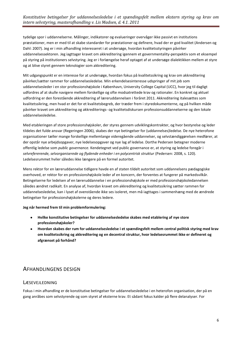tydelige spor i uddannelserne. Målinger, indikatorer og evalueringer overvåger ikke passivt en institutions præstationer, men er med til at skabe standarder for præstationer og definere, hvad der er god kvalitet (Andersen og Dahl: 2007). Jeg er i min afhandling interesseret i at undersøge, hvordan kvalitetsstyringen påvirker uddannelsessektoren. Jeg iagttager kravet om akkreditering igennem et governmentality-perspektiv som et eksempel på styring på institutioners selvstyring. Jeg er i forlængelse heraf optaget af at undersøge dialektikken mellem at styre og at blive styret gennem teknologier som akkreditering.

Mit udgangspunkt er en interesse for at undersøge, hvordan fokus på kvalitetssikring og krav om akkreditering påvirker/sætter rammer for uddannelsesledelse. Min erkendelsesinteresse udspringer af mit job som uddannelsesleder i en stor professionshøjskole i København, University College Capital (UCC), hvor jeg til dagligt udfordres af at skulle navigere mellem forskellige og ofte modsatrettede krav og rationaler. En konkret og aktuel udfordring er den forestående akkreditering af læreruddannelsen i foråret 2011. Akkreditering italesættes som kvalitetssikring, men hvad er det for et kvalitetsbegreb, der træder frem i styredokumenterne, og på hvilken måde påvirker kravet om akkreditering og akkrediterings- og kvalitetsdiskursen professionsuddannelserne og den lokale uddannelsesledelse.

Med etableringen af store professionshøjskoler, der styres gennem udviklingskontrakter, og hvor bestyrelse og leder tildeles det fulde ansvar (Regeringen 2006), skabes der nye betingelser for (uddannelses)ledelse. De nye heterofone organisationer tæller mange forskellige mellemlange videregående uddannelser, og selvstændiggørelsen medfører, at der opstår nye arbejdsopgaver, nye ledelsesopgaver og nye lag af ledelse. Dorthe Pedersen betegner moderne offentlig ledelse som *public governance.* Kendetegnet ved public governance er, at styring og ledelse foregår i *selvrefererende, selvorganiserede og flydende enheder i en polycentrisk struktur* (Pedersen: 2008, s. 120). Ledelsesrummet hviler således ikke længere på en formel autoritet*.* 

Mens rektor for en læreruddannelse tidligere havde en af staten tildelt autoritet som uddannelsens pædagogiske overhoved, er rektor for en professionshøjskole leder af en koncern, der forventes at fungerer på markedsvilkår. Betingelserne for ledelsen af en læreruddannelse i en professionshøjskole er med professionshøjskoledannelsen således ændret radikalt. En analyse af, hvordan kravet om akkreditering og kvalitetssikring sætter rammen for uddannelsesledelse, kan i lyset af ovenstående ikke ses isoleret, men må iagttages i sammenhæng med de ændrede betingelser for professionshøjskolerne og deres ledere.

#### **Jeg når hermed frem til min problemformulering:**

- **Hvilke konstitutive betingelser for uddannelsesledelse skabes med etablering af nye store professionshøjskoler?**
- **Hvordan skabes der rum for uddannelsesledelse i et spændingsfelt mellem central politisk styring med krav om kvalitetssikring og akkreditering og en decentral struktur, hvor ledelsesrummet ikke er defineret og afgrænset på forhånd?**

# <span id="page-5-0"></span>AFHANDLINGENS DESIGN

#### <span id="page-5-1"></span>LÆSEVEJLEDNING

Fokus i min afhandling er de konstitutive betingelser for uddannelsesledelse i en heterofon organisation, der på en gang anråbes som selvstyrende og som styret af eksterne krav. Et sådant fokus kalder på flere delanalyser. For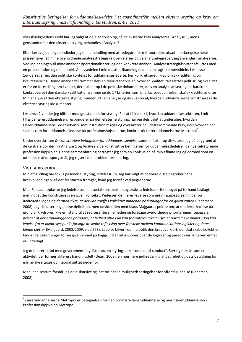overskuelighedens skyld har jeg valgt at dele analysen op, så de eksterne krav analyseres i Analyse 1, mens genstanden for den eksterne styring behandles i Analyse 2.

Efter læsevejledningen indleder jeg min afhandling med at redegøre for mit teoretiske afsæt. I forlængelse heraf præsenterer jeg mine overordnede analysestrategiske overvejelser og de analysebegreber, jeg anvender i analyserne. Ved indledningen til mine analyser operationaliserer jeg den konkrete analyse. Analysestrategiafsnittet afsluttes med en præsentation og min empiri. Analysedelen i min masterafhandling falder som sagt i to hoveddele. I Analyse 1undersøger jeg den politiske kontekst for uddannelsesledelse, her konkretiseret i krav om akkreditering og kvalitetssikring. Denne analysedel rummer dels en diskursanalyse af, hvordan kvalitet italesættes politisk, og hvad det er for en forestilling om kvalitet, der dukker op i de politiske dokumenter, dels en analyse af styringens karakter – konkretiseret i den danske kvalifikationsramme og de 17 kriterier, som bl.a. læreruddannelsen skal akkrediteres efter. Min analyse af den eksterne styring munder ud i en analyse og diskussion af, hvordan uddannelserne konstrueres i de eksterne styringsdokumenter.

I Analyse 2 vender jeg blikket mod genstanden for styring. For at få indblik i, hvordan uddannelsessektoren, i mit tilfælde læreruddannelsen, responderer på den eksterne styring, har jeg dels valgt at undersøge, hvordan Læreruddannelsens Ledernetværk som institution møder og oversætter de udefrakommende krav, dels hvordan der skabes rum for uddannelsesledelse på professionshøjskolerne, konkret på Læreruddannelserne Metropol<sup>3</sup>.

Under overskriften *De konstitutive betingelser for uddannelsesledelse* sammenfatter og diskuterer jeg på baggrund af de centrale pointer fra Analyse 1 og Analyse 2 de konstitutive betingelser for uddannelsesledelse i de nye selvstyrende professionshøjskoler. Denne sammenfatning betragter jeg som en konklusion på min afhandling og dermed som en udfoldelse af de spørgsmål, jeg rejser i min problemformulering.

#### <span id="page-6-0"></span>VIGTIGE BEGREBER:

1

Min afhandling har fokus på ledelse, styring, ledelsesrum. Jeg har valgt at definere disse begreber her i læsevejledningen, så det fra starten fremgår, hvad jeg forstår ved begreberne.

Med Foucault opfatter jeg ledelse som en social konstruktion og praksis; ledelse er ikke noget på forhånd fastlagt, men noget der konstrueres i en given kontekst. Pedersen definerer ledelse som *det at skabe forestillinger på helhedens vegne og dermed sikre, at der kan træffes kollektivt bindende beslutninger for en given enhed* (Pedersen: 2008). Jeg tilslutter mig denne definition, men udvider den med Klaus Majgaards pointe om, at moderne ledelse på grund af krydspres ikke er i stand til at repræsentere helheden og foretage overordnede prioriteringer: *Ledelse er præget af det grundlæggende paradoks, at helhed altid kun kan formuleres lokalt – fra et partielt synspunkt. Dog kan ledelse fra et lokalt synspunkt forsøge at skabe refleksion over forskelle mellem kommunikationslogikker og deres blinde pletter* (Majgaard: 2008/2009, side 273). Ledelse bliver i denne optik den kreative kraft, der skal skabe kollektivt bindende beslutninger for en given enhed på baggrund af refleksioner over de logikker og paradokser, en given enhed er underlagt.

Jeg definerer i tråd med governmentality-litteraturen styring som "conduct of conduct". Styring forstås som en aktivitet, der former aktørers handlingsfelt (Dean: 2008), en nærmere indkredsning af begrebet og dets betydning for min analyse tages op i teoriafsnittet nedenfor.

Med ledelsesrum forstår jeg de diskursive og institutionelle mulighedsbetingelser for offentlig ledelse (Pedersen 2008).

 $^3$  Læreruddannelserne Metropol er betegnelsen for den ordinære læreruddannelse og meritlæreruddannelsen i Professionshøjskolen Metropol.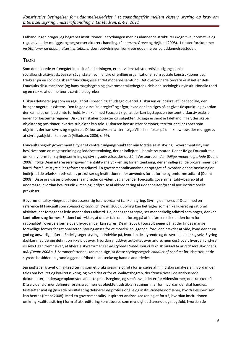I afhandlingen bruger jeg begrebet institutioner i betydningen meningsdannende strukturer (kognitive, normative og regulative), der muliggør og begrænser aktørers handling. (Pedersen, Greve og Højlund 2008). I citater forekommer *institutioner* og *uddannelsesinstitutioner* dog i betydningen konkrete uddannelser og uddannelsessteder.

## <span id="page-7-0"></span>**TEORI**

Som det allerede er fremgået implicit af indledningen, er mit videnskabsteoretiske udgangspunkt socialkonstruktivistisk. Jeg ser såvel staten som andre offentlige organisationer som sociale konstruktioner. Jeg trækker på en sociologisk samfundsdiagnose af det moderne samfund. Det overordnede teoretiske afsæt er dels Foucaults diskursanalyse (og hans magtbegreb og governmentalitybegreb), dels den sociologisk nyinstitutionelle teori og en række af denne teoris centrale begreber.

Diskurs definerer jeg som en regularitet i spredning af udsagn over tid. Diskursen er indskrevet i det sociale, den bringer noget til eksistens. Den følger visse "taleregler" og afgør, hvad der kan siges på et givet tidspunkt, og hvordan der kan tales om bestemte forhold. Man kan med Foucault sige, at der kan iagttages en bestemt diskursiv praksis inden for bestemte regimer. Diskursen skaber objekter og subjekter. Udsagn er seriøse talehandlinger, der skaber objekter og positioner, hvorfra subjekter kan tale. Diskursen konstruerer personer, territorier eller zoner som objekter, der kan styres og reguleres. Diskursanalysen sætter ifølge Villadsen fokus på den knowhow, der muliggøre, at styringsobjekter kan opstå (Villadsen: 2006, s. 99).

Foucaults begreb governmentality er et centralt udgangspunkt for min forståelse af styring. Governmentality kan beskrives som en magttænkning og ledelsestænkning, der er indlejret i liberale retsstater. Der er ifølge Foucault tale om en ny form for styringstænkning og styringsudøvelse, der opstår i Vesteuropa i *den tidlige moderne periode* (Dean: 2008). Ifølge Dean interesserer governmentality-analytikken sig for en tænkning, der er indlejret i de programmer, der har til formål at styre eller reformere adfærd. En governmentalityanalyse er optaget af, hvordan denne tænkning er indlejret i de tekniske redskaber, praksisser og institutioner, der anvendes for at forme og omforme adfærd (Dean: 2008). Disse praksisser producerer sandheder og viden. Jeg anvender Foucaults governmentality-begreb til at undersøge, hvordan kvalitetsdiskursen og indførelse af akkreditering af uddannelser fører til nye institutionelle praksisser.

Governmentality –begrebet interesserer sig for, hvordan vi tænker styring. Styring defineres af Dean med en reference til Foucault som *conduct of conduct* (Dean: 2008). Styring kan betragtes som en kalkuleret og rationel aktivitet, der forsøger at lede menneskers adfærd. De, der søger at styre, ser menneskelig adfærd som noget, der kan kontrolleres og formes. Rationel udtrykker, at der er tale om et forsøg på at indføre en eller anden form for rationalitet i overvejelserne over, hvordan der kan styres (Dean: 2008). Foucault peger på, at der findes mange forskellige former for rationaliteter. Styring anses for et moralsk anliggende, fordi den hævder at vide, hvad der er en god og ansvarlig adfærd. Endelig søger styring at indvirke på, hvordan de styrende og de styrede leder sig selv. Styring dækker med denne definition ikke blot over, hvordan vi udøver autoritet over andre, men også over, hvordan vi styrer os selv.Dean fremhæver, at liberale styreformer ser *de styredes frihed som et teknisk middel til at realisere styringens mål (Dean: 2008 s. )*. Sammenfattende, kan man sige, at dette styringsbegreb *conduct of conduct* forudsætter, at de styrede besidder en grundlæggende frihed til at tænke og handle anderledes.

Jeg iagttager kravet om akkreditering som et praksisregime og vil i forlængelse af min diskursanalyse af, hvordan der tales om kvalitet og kvalitetssikring, og hvad det er for et kvalitetsbegreb, der fremskrives i de analyserede dokumenter, undersøge opkomsten af dette praksisregime, og se på, hvad det er for vidensformer, det trækker på. Disse vidensformer definerer praksisregimernes objekter, udstikker retningslinjer for, hvordan der skal handles, fastsætter mål og ønskede resultater og definerer de professionelle og institutionelle domæner, hvorfra ekspertisen kan hentes (Dean: 2008). Med en governmentality-inspireret analyse ønsker jeg at forstå, hvordan institutionen omkring kvalitetssikring i form af akkreditering konstitueres som myndighedshavende og magtfuld, hvordan de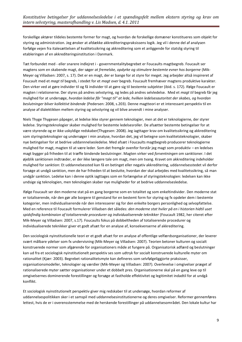forskellige aktører tildeles bestemte former for magt, og hvordan de forskellige domæner konstitueres som objekt for styring og administration. Jeg ønsker at afdække akkrediteringspraksissens logik. Jeg vil i denne del af analysen forfølge vejen fra italesættelsen af kvalitetssikring og akkreditering som et anliggende for statslig styring til etableringen af en akkrediteringsinstitution i Danmark.

Tæt forbundet med - eller snarere indlejret i - governmentalitybegrebet er Foucaults magtbegreb. Foucault ser magtens som en skabende magt, der søger *at fremelske, opdyrke og stimulere bestemte evner hos borgerne* (Mik-Meyer og Villadsen: 2007, s. 17). Det er en magt, der er bange for at styre for meget. Jeg arbejder altså inspireret af Foucault med et *magt til* begreb, i stedet for et *magt over* begreb. Foucault fremhæver magtens produktive karakter. Den virker ved at gøre individer til og få individer til at gøre sig til bestemte subjekter (ibid. s. 172). Ifølge Foucault er magten i relationerne. Der styres på andres selvstyring, og ledes på andres selvledelse. Med et *magt til* begreb får jeg mulighed for at undersøge, *hvordan ledelse får "magt til" at lede, hvilken ledelsesautoritet der skabes, og hvordan beslutninger bliver kollektivt bindende* (Pedersen: 2008, s.203). Denne magtteori er et interessant perspektiv til en analyse af dialektikken mellem styring og selvstyring og vil blive anvendt i mine analyser.

Niels Thyge Thygesen påpeger, at ledelse ikke styrer gennem teknologier, men at det er teknologierne, der styrer ledelse. Styringsteknologier skaber mulighed for bestemte ledelsesroller. De afsætter bestemte betingelser for at være styrende og er ikke uskyldige redskaber(Thygesen: 2008). Jeg iagttager krav om kvalitetssikring og akkreditering som styringsteknologier og undersøger i min analyse, hvordan det, jeg vil betegne som kvalitetsteknologier, skaber nye betingelser for at bedrive uddannnelsesledelse. Med afsæt i Foucaults magtbegreb producerer teknologierne mulighed for magt, magten til at være leder. Som det fremgår ovenfor forstår jeg magt som produktiv – en ledelses magt bygger på friheden til at træffe bindende beslutninger. Magten virker ved *forventningen* om sanktioner. I det øjeblik sanktionen indtræder, er der ikke længere tale om magt, men om tvang. Kravet om akkreditering indeholder mulighed for sanktion: Et uddannelsessted kan få en betinget eller negativ akkreditering, uddannelsesstedet vil derfor forsøge at undgå sanktion, men de har friheden til at beslutte, hvordan der skal arbejdes med kvalitetssikring, så man undgår sanktion. Ledelse kan i denne optik iagttages som en forlængelse af styringsteknologien: ledelsen kan ikke undsige sig teknologien, men teknologien skaber nye muligheder for at bedrive uddannelsesledelse.

Ifølge Foucault ser den moderne stat på en gang borgerne som en totalitet og som enkeltindivider. Den moderne stat er totaliserende, når den gør alle borgere til genstand for en bestemt form for styring og fx opdeler dem i bestemte kategorier, men individualiserende når den interesserer sig for den enkelte borgers personlighed og selvopfattelse. Med en reference til Foucault formulerer Villadsen det således: *den moderne stat hviler på en i historien hidtil uset*  spidsfindig kombinaion af totaliserende procedurer og individualiserende teknikker (Foucault 1982, her citeret efter Mik-Meyer og Villadsen: 2007, s.17). Foucaults fokus på dobbeltheden af totaliserende procedurer og individualiserede teknikker giver et godt afsæt for en analyse af, konsekvenserne af akkreditering.

Den sociologisk nyinstitutionelle teori er et godt afsæt for en analyse af offentlige velfærdsorganisationer, der leverer svært målbare ydelser som fx undervisning (Mik-Meyer og Villadsen: 2007). Teorien betoner kulturen og socialt konstruerede normer som afgørende for organisationers måde at fungere på. Organisatorisk adfærd og beslutninger kan ud fra et sociologisk nyinstitutionelt perspektiv ses som udtryk for socialt konstruerede kulturelle myter om rationalitet (Kjær: 2003). Begrebet rationalitetsmyte kan defineres som selvfølgeliggjorte praksisser, organisationsmodeller, teknologier og værdier (Mik-Meyer og Villadsen: 2007). Overlevelse i omgivelser præget af rationaliserede myter sætter organisationer under et dobbelt pres. Organisationerne skal på en gang leve op til omgivelsernes dominerende forestillinger og forsøge at fastholde effektivitet og legitimitet indadtil for at undgå konflikt.

Et sociologisk nyinstitutionelt perspektiv giver mig redskaber til at undersøge, hvordan reformer af uddannelsespolitikken sker i et samspil med uddannelsesinstitutionerne og deres omgivelser. Reformer gennemføres lettest, hvis de er i overensstemmelse med de herskende forestillinger på uddannelsesområdet. Den lokale kultur har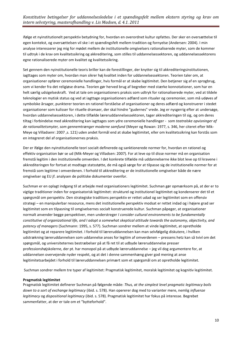ifølge et nyinstitutionelt perspektiv betydning for, hvordan en overordnet kultur opfattes. Der sker en oversættelse til egen kontekst, og oversættelsen vil ske i et spændingsfelt mellem tradition og fornyelse (Andersen: 2004). I min analyse interesserer jeg mig for mødet mellem de institutionelle omgivelsers rationaliserede myter, som de kommer til udtryk i de krav om kvalitetssikring og akkreditering, som stilles til uddannelsessektoren, og uddannelsessektorens egne rationaliserede myter om kvalitet og kvalitetssikring.

Set gennem den nyinstitutionelle teoris briller kan de forestillinger, der knytter sig til akkrediteringsinstitutionen, iagttages som myter om, hvordan man sikrer høj kvalitet inden for uddannelsessektoren. Teorien taler om, at organisationer opfører ceremonielle handlinger, hvis formål er at skabe legitimitet. Den betjener sig af en sprogbrug, som vi kender fra det religiøse drama. Teorien gør herved brug af begreber med stærke konnotationer, som har en helt særlig udsigelseskraft. Ved at tale om organisationers praksis som udtryk for rationaliserede myter, ved at tildele teknologier en mytisk status og ved at iagttage organisationers adfærd som ritualer og ceremonier, som må udøves af symbolske årsager, punkterer teorien en rationel forståelse af organisationer og deres adfærd og konstruerer i stedet organisationer som kulisser for rituelle dramaer, der skal hindre "gudernes" vrede. Jeg er nysgerrig efter at undersøge, hvordan uddannelsessektoren, i dette tilfælde læreruddannelsessektoren, tager akkrediteringen til sig, og om deres tiltag i forbindelse med akkreditering kan iagttages som ydre ceremonielle handlinger - som *teatralske opvisninger af de rationalitetsmyter, som gennemtrænger moderne samfund* (Meyer og Rowan: 1977, s. 346, her citeret efter Mik-Meye og Villadsenr: 2007 ,s. 121) uden andet formål end at skabe legitimitet, eller om kvalitetssikring kan forstås som en integreret del af organisationernes praksis.

Der er ifølge den nyinstitutionelle teori socialt definerede og sanktionerede normer for, hvordan en rationel og effektiv organisation bør se ud (Mik-Meyer og Villadsen: 2007). For at leve op til disse normer må en organisation fremstå legitim i den institutionelle omverden. I det konkrete tilfælde må uddannelserne ikke blot leve op til kravene i akkrediteringen for fortsat at modtage statsstøtte, de må også sørge for at tilpasse sig de institutionelle normer for at fremstå som legitime i omverdenen. I forhold til akkreditering er de institutionelle omgivelser både de nære omgivelser og EU jf. analysen de politiske dokumenter ovenfor.

Suchman er en oplagt indgang til at arbejde med organisationers legitimitet. Suchman gør opmærksom på, at der er to vigtige traditioner inden for organisatorisk legitimitet: strukturel og institutionel legitimitet og kondenserer det til et spørgsmål om perspektiv. Den strategiske traditions perspektiv er rettet udad og ser legitimitet som en offensiv strategi – en manipulerbar ressource, mens det institutionelle perspektiv modsat er rettet indad og i højere grad ser legitimitet som en tilpasning til omgivelsernes socialt konstruerede kultur. Suchman påpeger, at organisationer normalt anvender begge perspektiver, men understreger *I consider cultural environments to be fundamentally constitutive of organizational life, and I adopt a somewhat skeptical attitude towards the autonomy, objectivity, and potency of managers* (Suchmann: 1995, s. 577). Suchman sondrer mellem at vinde legitimitet, at opretholde legitimitet og at reparere legitimitet. I forhold til læreruddannelsen kan man selvfølgelig diskutere, i hvilken udstrækning læreruddannelsen som uddannelse anses for legitim af omverdenen – pressens hetz kan så tvivl om det spørgsmål, og universiteternes bestræbelser på at få ret til at udbyde læreruddannelse presser professionshøjskolerne, der pt. har monopol på at udbyde læreruddannelse – jeg vil dog argumentere for, at uddannelsen overvejende nyder respekt, og at det i denne sammenhæng giver god mening at anse legitimitetsarbejdet i forhold til læreruddannelsen primært som et spørgsmål om at opretholde legitimitet.

Suchman sondrer mellem tre typer af legitimitet: Pragmatisk legitimitet, moralsk legitimitet og kognitiv legitimitet.

#### **Pragmatisk legitimitet**

Pragmatisk legitimitet definerer Suchman på følgende måde: *Thus, at the simplest level pragmatic legitimacy boils down to a sort of exchange legitimacy* (ibid. s. 578). Han opererer dog med to varianter mere, nemlig *influenze legitimacy* og *dispositional legitimacy* (ibid. s. 578). Pragmatisk legitimitet har fokus på interesse. Begrebet sammenfatter, at der er tale om et "bytteforhold".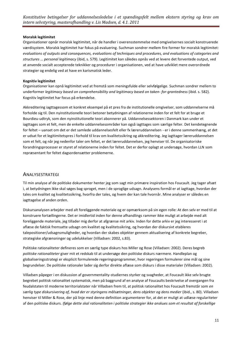#### **Moralsk legitimitet**

Organisationer opnår moralsk legitimitet, når de handler i overensstemmelse med omgivelsernes socialt konstruerede værdisystem. Moralsk legitimitet har fokus på evaluering. Suchman sondrer mellem fire former for moralsk legitimitet: *evaluations of outputs and consequences, evaluations of techniques and procedures, and evaluations of categories and structures … personal legitimacy* (ibid, s. 579). Legitimitet kan således opnås ved at levere det forventede output, ved at anvende socialt accepterede teknikker og procedurer i organisationen, ved at have udviklet mere overordnede strategier og endelig ved at have en karismatisk leder.

#### **Kognitiv legitimitet**

Organisationer kan opnå legitimitet ved at fremstå som meningsfulde eller selvfølgelige. Suchman sondrer mellem to underformer *legitimacy based on comprehensibility and legitimacy based on taken- for-grantedness* (ibid. s. 582). Kognitiv legitimitet har focus på erkendelse.

Akkreditering iagttagessom et konkret eksempel på et pres fra de institutionelle omgivelser, som uddannelserne må forholde sig til. Den nyinstitutionelle teori betoner betydningen af relationerne inden for et felt for at bruge et Bourdieu-udtryk, som den nyinstitutionelle teori abonnerer på. Uddannelsessektoren i Danmark kan under et iagttages som et felt, men de enkelte uddannelsesområder kan også iagttages som særlige felter. Det kendetegnende for feltet – uanset om det er det samlede uddannelsesfelt eller fx læreruddannelsen - er i denne sammenhæng, at det er udsat for et legitimitetspres i forhold til krav om kvalitetssikring og akkreditering. Jeg iagttager læreruddannelsen som et felt, og når jeg nedenfor taler om feltet, er det læreruddannelsen, jeg henviser til. De organisatoriske forandringsprocesser er styret af relationerne inden for feltet. Det er derfor oplagt at undersøge, hvordan LLN som repræsentant for feltet dagsordensætter problemerne.

#### <span id="page-10-0"></span>ANALYSESTRATEGI

Til min analyse af de politiske dokumenter henter jeg som sagt min primære inspiration hos Foucault. Jeg tager afsæt i, at betydningen ikke skal søges bag sproget, men i de sproglige udsagn. Analysens formål er at iagttage, hvordan der tales om kvalitet og kvalitetssikring, hvorfra der tales, og hvem der kan tale hvornår. Mine analyser er således en iagttagelse af anden orden.

Diskursanalysen arbejder med alt foreliggende materiale og er opmærksom på sin egen rolle: At den selv er med til at konstruere fortællingerne. Det er imidlertid inden for denne afhandlings rammer ikke muligt at arbejde med alt foreliggende materiale, jeg tillader mig derfor at afgrænse mit arkiv. Inden for dette arkiv er jeg interesseret i at aflæse de faktisk fremsatte udsagn om kvalitet og kvalitetssikring, og hvordan der diskursivt etableres talepositioner/udsagnsmuligheder, og hvordan der skabes objekter gennem aktualisering af konkrete begreber, strategiske afgrænsninger og udelukkelser (Villadsen: 2002, s.83).

Politiske rationaliteter defineres som en særlig type diskurs hos Miller og Rose (Villadsen: 2002). Deres begreb *politiske rationaliteter* giver mit et redskab til at undersøge den politiske diskurs nærmere. Handleplan og globaliseringsstrategi er eksplicit formulerede regeringsprogrammer, hvor regeringen formulerer sine mål og sine begrundelser. De politiske rationaler lader sig derfor direkte aflæse som diskurs i disse materialer (Villadsen: 2002).

Villadsen påpeger i en diskussion af governmentality-studiernes styrker og svagheder, at Foucault ikke selv brugte begrebet politisk rationalitet systematisk, men på baggrund af en analyse af Foucaults beskrivelse af overgangen fra feudalstaten til moderne territorialstater når Villadsen frem til, at politisk rationalitet hos Foucault fremstår som *en særlig type diskursivering af, hvad der er styringens målsætninger, dens objekter og dens medier* (ibid., s. 80). Villadsen henviser til Miller & Rose, der på linje med denne definition argumenterer for, at det er muligt at udlæse regulariteter af den politiske diskurs. *Ifølge dette skal rationaliteten i politiske strategier ikke anskues som et resultat af forskellige*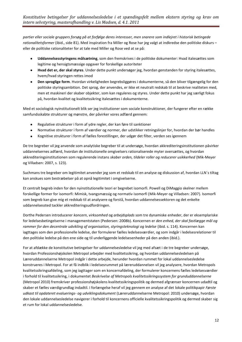*partier eller sociale gruppers forsøg på at forfølge deres interesser, men snarere som indlejret i historisk betingede rationalitetsformer* (ibid., side 81). Med inspiration fra Miller og Rose har jeg valgt at indkredse den politiske diskurs – eller de politiske rationaliteter for at tale med Miller og Rose ved at se på:

- **Uddannelsesstyringens målsætning**, som den fremskrives i de politiske dokumenter: Hvad italesættes som  $\bullet$ legitime og hensigtsmæssige opgaver for forskellige autoriteter
- **Hvad det er, der skal styres**. Under dette punkt undersøger jeg, hvordan genstanden for styring italesættes,  $\bullet$ hvem/hvad styringen rettes imod
- **Den sproglige form**. Hvordan virkeligheden begrebsliggøres i dokumenterne, så den bliver tilgængelig for den  $\bullet$ politiske styringsambition. Det sprog, der anvendes, er ikke et neutralt redskab til at beskrive realiteten med, men et maskineri der skaber objekter, som kan reguleres og styres. Under dette punkt har jeg særligt fokus på, hvordan kvalitet og kvalitetssikring italesættes i dokumenterne.

Med et sociologisk nyinstitutionelt blik ser jeg institutioner som sociale konstruktioner, der fungerer efter en række samfundsskabte strukturer og mønstre, der påvirker vores adfærd gennem:

- Regulative strukturer i form af ydre regler, der kan føre til sanktioner
- $\bullet$ Normative strukturer i form af værdier og normer, der udstikker retningslinjer for, hvordan der bør handles
- Kognitive strukturer i form af fælles forestillinger, der udgør det filter, verden ses igennem  $\bullet$

De tre begreber vil jeg anvende som analytiske begreber til at undersøge, hvordan akkrediteringsinstitutionen påvirker uddannelsernes adfærd, hvordan de institutionelle omgivelsers rationaliserede myter oversættes, og hvordan akkrediteringsinstitutionen som regulerende instans *skaber orden, tildeler roller og reducerer usikkerhed* (Mik-Meyer og Villadsen: 2007, s. 123).

Suchmans tre begreber om legitimitet anvender jeg som et redskab til en analyse og diskussion af, hvordan LLN´s tiltag kan anskues som bestræbelser på at opnå legitimitet i omgivelserne.

Et centralt begreb inden for den nyinstitutionelle teori er begrebet isomorfi. Powell og DiMaggio skelner mellem forskellige former for isomorfi: Mimisk, tvangsmæssig og normativ isomorfi (Mik-Meyer og Villadsen: 2007). Isomorfi som begreb kan give mig et redskab til at analysere og forstå, hvordan uddannelsessektoren og det enkelte uddannelsessted tackler akkrediteringsudfordringen.

Dorthe Pedersen introducerer *koncern*, *virksomhed* og *arbejdsplads* som tre dynamiske enheder, der er eksemplariske for ledelsesbetingelserne i managementstaten (Pedersen: 2008b). Koncernen er *den enhed, der skal fastlægge mål og*  rammer for den decentrale udvikling af organisation, styringsteknologi og ledelse (ibid. s. 114). Koncernen kan iagttages som den professionelle ledelse, der formulerer fælles ledelsesværdier, og som indgår i ledelsesrelationer til den politiske ledelse på den ene side og til underliggende ledelsesenheder på den anden (ibid.).

For at afdække de konstitutive betingelser for uddannelsesledelse vil jeg med afsæt i de tre begreber undersøge, hvordan Professionshøjskolen Metropol arbejder med kvalitetssikring, og hvordan uddannelsesledelsen på Læreruddannelserne Metropol indgår i dette arbejde, herunder hvordan rummet for lokal uddannelsesledelse konstrueres i Metropol. For at få indblik i ledelsesrummet på læreruddannelsen vil jeg analysere, hvordan Metropols kvalitetssikringsafdeling, som jeg iagttager som en koncernafdeling, der formulerer koncernens fælles ledelsesværdier i forhold til kvalitetssikring, i dokumentet *Beskrivelse af Metropols kvalitetssikringssystem for grunduddannelserne*  (Metropol 2010) fremskriver professionshøjskolens kvalitetssikringspolitik og dermed afgrænser koncernen udadtil og skaber et fælles værdigrundlag indadtil. I forlængelse heraf vil jeg gennem en analyse af det lokale politikpapir *Første udkast til opdateret evaluerings- og udviklingsdokument* (Læreruddannelserne Metropol: 2010) undersøge, hvordan den lokale uddannelsesledelse navigerer i forhold til koncernens officielle kvalitetssikringspolitik og dermed skaber sig et rum for lokal uddannelsesledelse.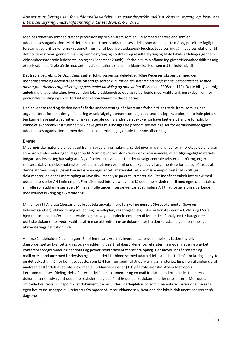Med begrebet virksomhed træder professionshøjskolen frem som en virksomhed snarere end som en uddannelsesorganisation. Med dette blik konstrueres uddannelsesledelse som det at sætte mål og prioritere fagligt forsvarligt og driftsøkonomisk rationelt frem for at bedrive pædagogisk ledelse. Ledelsen indgår i ledelsesrelationer til det politiske niveau gennem mål- og rammestyring og kontrakt- og resultatstyring og til de lokale afdelinger gennem virksomhedsbaserede ledelsesteknologier (Pedersen: 2008b). I forhold til min afhandling giver virksomhedsblikket mig et redskab til at få øje på de modsætningsfulde rationaler, som uddannelsesledelsen må forholde sig til.

Det tredje begreb, *arbejdspladsen*, sætter fokus på personaleledelse. Ifølge Pedersen skabes der med den moderniserede og decentraliserede offentlige sektor *rum for en selvstændig og professionel personaleledelse med ansvar for arbejdets organisering og personalet udvikling og motivation* (Pedersen: 2008b, s. 119). Dette blik giver mig anledning til at undersøge, hvordan den lokale uddannelsesledelse i sit arbejde med kvalitetssikring skaber rum for personaleudvikling og sikrer fortsat motivation blandt medarbejderne.

Den anvendte teori og de den deraf afledte analysestrategi får bestemte forhold til at træde frem, som jeg har argumenteret for i mit designafsnit. Jeg er selvfølgelig opmærksom på, at de teorier, jeg anvender, har blinde pletter. Jeg kunne have iagttaget mit empiriske materiale ud fra andre perspektiver og have fået øje på andre forhold, fx kunne et økonomisk institutionelt blik have givet mig indsigt i de økonomiske betingelser for de virksomhedsgjorte uddannelsesorganisationer, men det er ikke det ærinde, jeg er ude i i denne afhandling.

#### <span id="page-12-0"></span>EMPIRI

Mit empiriske materiale er valgt ud fra min problemformulering, så det giver mig mulighed for at foretage de analyser, som problemformuleringen lægger op til. Som nævnt ovenfor kræver en diskursanalyse, at alt tilgængeligt materiale indgår i analysen. Jeg har valgt at afvige fra dette krav og har i stedet udvalgt centrale tekster, der på engang er repræsentative og eksemplariske i forhold til det, jeg gerne vil undersøge. Jeg vil argumentere for, at jeg på trods af denne afgrænsning alligevel kan udlæse en regularitet i materialet. Min primære empiri består af skriftlige dokumenter, da det er mere oplagt at lave diskursanalyse på et tekstmateriale. Der indgår et enkelt interview med uddannelsesleder AH i min empiri. Formålet med interviewet var at få uddannelseslederen til med egne ord at tale om sin rolle som uddannelsesleder. Min egen rolle under interviewet var at stimulere AH til at fortælle om sit arbejde med kvalitetssikring og akkreditering.

Min empiri til Analyse 1består af et bredt tekstudvalg i flere forskellige genrer: Styredokumenter (love og bekendtgørelser), akkrediteringsvejledning, handleplan, regeringsoplæg, informationstekster fra UVM´s og EVA´s hjemmesider og konferencemateriale. Jeg har valgt at inddele empirien til første del af analysen i 2 kategorier: politiske dokumenter vedr. kvalitetssikring og akkreditering og dokumenter fra den selvstændige, men statslige akkrediteringsinstitution EVA.

Analyse 2 indeholder 2 delanalyser. Empirien til analysen af, hvordan Læreruddannelsens Ledernetværk dagsordensætter kvalitetssikring og akkreditering består af dagsordener og referater fra møder i ledernetværket, konferenceprogrammer og handouts og power-pointpræsentationer fra oplæg. Derudover indgår notater og mailkorrespondance med Undervisningsministeriet i forbindelse med udarbejdelse af udkast til mål for læringsudbytte og det udkast til mål for læringsudbytte, som LLN har fremsendt til Undervisningsministeriet. Empirien til anden del af analysen består dels af et interview med en uddannelsesleder (AH) på Professionshøjskolen Metropols læreruddannelsesafdeling, dels af interne skriftlige dokumenter og en mail fra AH til undertegnede. De interne dokumenter er udvalgt at uddannelseslederen og består af følgende: Et dokument, der præsenterer Metropols officielle kvalitetssikringspolitik; et dokument, der er under udarbejdelse, og som præsenterer læreruddannelsens egen kvalitetssikringspolitik; referater fra møder på læreruddannelsen, hvor den det lokale dokument har været på dagsordenen.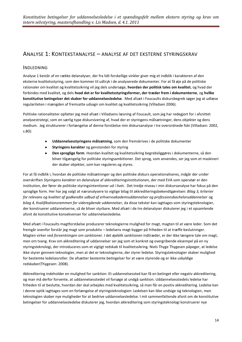# <span id="page-13-0"></span>ANALYSE 1: KONTEKSTANALYSE – ANALYSE AF DET EKSTERNE STYRINGSKRAV

#### <span id="page-13-1"></span>INDLEDNING

Analyse 1 består af en række delanalyser, der fra lidt forskellige vinkler giver mig et indblik i karakteren af den eksterne kvalitetsstyring, som den kommer til udtryk i de analyserede dokumenter. For at få øje på de politiske rationaler om kvalitet og kvalitetssikring vil jeg dels undersøge, **hvordan der politisk tales om kvalitet**, og hvad der forbindes med kvalitet, og dels **hvad det er for kvalitetsstyringsformer, der træder frem i dokumenterne**, og **hvilke konstitutive betingelser det skaber for uddannelsesledelse**. Med afsæt i Foucaults diskursbegreb søger jeg at udlæse regulariteten i mængden af fremsatte udsagn om kvalitet og kvalitetssikring (Villadsen 2006).

Politiske rationaliteter opfatter jeg med afsæt i Villadsens læsning af Foucault, som jeg har redegjort for i afsnittet *analysestrategi*, som en særlig type diskursivering af, hvad der er styringens målsætninger, dens objekter og dens medium. Jeg strukturerer i forlængelse af denne forståelse min diskursanalyse i tre overordnede foki (Villadsen: 2002, s.80):

- **Uddannelsesstyringens målsætning**, som den fremskrives i de politiske dokumenter  $\bullet$
- **Styringens karakter** og genstanden for styring
- **Den sproglige form**. Hvordan kvalitet og kvalitetssikring begrebsliggøres i dokumenterne, så den  $\bullet$ bliver tilgængelig for politiske styringsambitioner. Det sprog, som anvendes, ser jeg som et maskineri der skaber objekter, som kan reguleres og styres.

For at få indblik i, hvordan de politiske målsætninger og den politiske diskurs operationaliseres, indgår der under overskriften *Styringens karakter* en delanalyse af akkrediteringsinstitutionen, der med EVA som operatør er den institution, der fører de politiske styringsintentioner ud i livet. Det tredje niveau i min diskursanalyse har fokus på den sproglige form. Her har jeg valgt at næranalysere to vigtige bilag til akkrediteringsbekendtgørelsen: *Bilag 3, kriterier for relevans og kvalitet af godkendte udbud af erhvervsakademiuddannelser og professionsbacheloruddannelser* og *bilag 4, Kvalifikationsrammen for videregående uddannelser*, da disse tekster kan iagttages som styringsteknologier, der konstruerer uddannelserne, så de bliver styrbare. Med afsæt i de tre delanalyser diskuterer jeg i et opsamlende afsnit de konstitutive konsekvenser for uddannelsesledelse.

Med afsæt i Foucaults magtforståelse producerer teknologierne mulighed for magt, magten til at være leder. Som det fremgår ovenfor forstår jeg magt som produktiv – ledelsens magt bygger på friheden til at træffe beslutninger. Magten virker ved *forventningen* om sanktioner. I det øjeblik sanktionen indtræder, er der ikke længere tale om magt, men om tvang. Krav om akkreditering af uddannelser ser jeg som et konkret og overgribende eksempel på en ny styringsteknologi, der introduceres som et vigtigt redskab til kvalitetssikring. Niels Thyge Thygesen påpeger, at ledelse ikke styrer gennem teknologier, men at det er teknologierne, der styrer ledelse. Styringsteknologier skaber mulighed for bestemte ledelsesroller. De afsætter bestemte betingelser for at være styrende og er ikke uskyldige redskaber(Thygesen: 2008).

Akkreditering indeholder en mulighed for sanktion: Et uddannelsessted kan få en betinget eller negativ akkreditering, og man må derfor forvente, at uddannelsesstedet vil forsøge at undgå sanktion. Uddannelsesstedets ledelse har friheden til at beslutte, hvordan der skal arbejdes med kvalitetssikring, så man får en positiv akkreditering. Ledelse kan i denne optik iagttages som en forlængelse af styringsteknologien: Ledelsen kan ikke undsige sig teknologien, men teknologien skaber nye muligheder for at bedrive uddannelsesledelse. I mit sammenfattende afsnit om de konstitutive betingelser for uddannelsesledelse diskuterer jeg, hvordan akkreditering som styringsteknologi konstruerer nye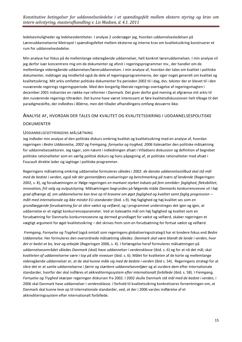ledelsesmuligheder og ledelsesidentiteter. I analyse 2 undersøger jeg, hvordan uddannelsesledelsen på Læreruddannelserne Metropol i spændingsfeltet mellem eksterne og interne krav om kvalitetssikring konstruerer et rum for uddannelsesledelse.

Min analyse har fokus på de mellemlange videregående uddannelser, helt konkret læreruddannelsen. I min analyse vil jeg derfor især koncentrere mig om de dokumenter og afsnit i regeringsprogrammer mv., der handler om de mellemlange videregående uddannelser/læreruddannelsen. I min analyse af, hvordan der tales om kvalitet i politiske dokumenter, inddrager jeg imidlertid også de dele af regeringsprogrammerne, der siger noget generelt om kvalitet og kvalitetssikring. Mit arkiv omfatter politiske dokumenter fra perioden 2002 til i dag, dvs. tekster der er blevet til i den nuværende regerings regeringsperiode. Med den borgerlig-liberale regerings overtagelse af regeringsmagten i december 2001 indvarsles en række nye reformer i Danmark. Det giver derfor god mening at afgrænse mit arkiv til den nuværende regerings tiltræden. Det kunne have været interessant at føre kvalitetsdiskussionen helt tilbage til det paradigmeskifte, der indledtes i 80érne, men det tillader afhandlingens omfang desværre ikke.

#### <span id="page-14-0"></span>ANALYSE AF, HVORDAN DER TALES OM KVALITET OG KVALITETSSIKRING I UDDANNELSESPOLITISKE

#### DOKUMENTER

#### <span id="page-14-1"></span>UDDANNELSESSTYRINGENS MÅLSÆTNING

Jeg indleder min analyse af den politiske diskurs omkring kvalitet og kvalitetssikring med en analyse af, hvordan regeringen i *Bedre Uddannelse, 2002* og *Fremgang, fornyelse og tryghed, 2006* italesætter den politiske målsætning for uddannelsessektoren. Jeg tager, som nævnt i indledningen afsæt i Villadsens diskussion og definition af begrebet politiske rationaliteter som en særlig politisk diskurs og hans påpegning af, at politiske rationaliteter med afsæt i Foucault direkte lader sig iagttage i politiske programmer.

Regeringens målsætning omkring uddannelse formuleres således i 2002: *de danske uddannelsestilbud skal stå mål med de bedste i verden, også når der gennemføres evalueringer og benchmarking på tværs af landende* (Regeringen: 2002, s. 8), og forudsætningen er ifølge regeringen *en markant styrket indsats på fem områder: faglighed, fleksibilitet, innovation, frit valg og outputstyring.* Målsætningen begrundes på følgende måde *Danmarks konkurrenceevne vil i høj grad afhænge af, om uddannelserne kan leve op til kravene om øget faglighed og kvalitet samt faglig progression – målt med internationale og ikke mindst EU-standarder* (ibid. s.9). Høj faglighed og høj kvalitet ses som *en grundlæggende forudsætning for at sikre vækst og velfærd*, og i programmet understreges det igen og igen, at uddannelse er et vigtigt konkurrenceparameter. Ved at italesætte mål om høj faglighed og kvalitet som en forudsætning for Danmarks konkurrenceevne og dermed grundlaget for vækst og velfærd, skaber regeringen et vægtigt argument for øget kvalitetssikring – det skrives frem som en forudsætning for fortsat vækst og velfærd.

*Fremgang, Fornyelse og Tryghed* (også omtalt som regeringens globaliseringsstrategi) har et bredere fokus end *Bedre Uddannelse.* Her formuleres den overordnede målsætning således: *Danmark skal være blandt de lande i verden, hvor det er bedst at bo, leve og arbejde* (Regeringen 2006, s. 4). I forlængelse heraf formuleres målsætningen på uddannelsesområdet således *Danmark (skal) have uddannelser i verdensklasse* (ibid. s. 6) og for at nå det mål, skal *kvaliteten af uddannelserne være i top på alle niveauer* (ibid. s. 6). Målet for kvaliteten af de korte og mellemlange videregående uddannelser er, at de *skal kunne måle sig med de bedste i verden* (ibid s. 54). Regeringens strategi for at sikre det er at samle uddannelserne i *færre og stærkere uddannelsesmiljøer* og at vurdere dem efter internationale standarder, hvorfor der skal indføres *et akkrediteringssystem efter internationalt forbillede* (ibid. s. 58). I *Fremgang, Fornyelse og Tryghed* skærper regeringen diskursen fra 2002. I 2002 skulle Danmark *stå mål med de bedste i verden,* i 2006 skal Danmark have uddannelser i *verdensklasse.* I forhold til kvalitetssikring konkretiseres forventningen om, at Danmark skal kunne leve op til internationale standarder, ved, at der i 2006 varsles indførelse af et akkrediteringssystem efter internationalt forbillede.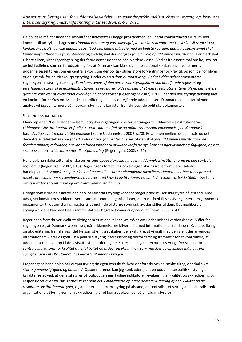De politiske mål for uddannelsesområdet italesættes i begge programmer i en liberal konkurrencediskurs, hvilket kommer til udtryk i udsagn som *Uddannelse er en af vore allervigtigste konkurrenceparametre; vi skal sikre en stærk konkurrencekraft; danske uddannelsestilbud skal kunne måle sig med de bedste i verden; uddannelsessystemet skal kunne indfri aftagernes forventninger* og endelig skal der indføres *frihed i valg af uddannelsesinstitution.* Danmark skal tilhøre eliten, siger regeringen, og det forudsætter uddannelser i verdensklasse. Ved at italesætte mål om høj kvalitet og høj faglighed som en forudsætning for, at Danmark kan klare sig i international konkurrence, konstrueres uddannelsessektoren som en central aktør, som der politisk stilles store forventninger og krav til, og som derfor bliver et oplagt mål for politisk (output)styring. Under overskriften *outputstyring* i *Bedre Uddannelser* præsenterer regeringen sin styringstækning: *Som konsekvens af den decentrale styringsform skal detaljerede regelsæt og efterfølgende kontrol af enkeltinstitutionernes regeloverholdes afløses af et mere resultatorienteret tilsyn, der i højere grad har karakter af overordnet overvågning af resultater* (Regeringen: 2002). I 2006 har den nye styringstækning fået en konkret form: Krav om løbende akkreditering af alle videregående uddannelser i Danmark. I den efterfølende analyse vil jeg se nærmere på, hvordan styringens karakter fremskrives i de politiske dokumenter.

#### <span id="page-15-0"></span>STYRINGENS KARAKTER

I handleplanen "Bedre Uddannelser" udtrykker regeringen sine forventninger til uddannelsesinstitutionerne: *Uddannelsesinstitutionerne er fagligt stærke, har en effektiv og målrettet ressourceanvendelse, er økonomisk bæredygtige samt regionalt tilgængelige* (Bedre Uddannelser: 2002, s.70). Relationen mellem det centrale og det decentrale italestættes som *frihed under ansvar for institutionerne*. Staten skal *give uddannelsesinstitutionerne forudsætninger, redskaber, ansvar og frihedsgrader til at kunne indfri de nye krav om øget kvalitet og faglighed*, og det skal fx ske i form af *incitamenter til outputstyring* (Regeringen: 2002, s. 70).

Handleplanen italesætter et ønske om en *klar opgavefordeling mellem uddannelsesinstitutionerne og den centrale regulering* (Regeringen: 2002, s.16). Regeringens forestilling om sin egen styringsrolle formuleres således i handleplanen *Styringskonceptet skal omlægges til et sammenhængende udviklingsorienteret styringskoncept med afsæt i principper om selvevaluering og baseret på krav til institutionernes samlede kvalitetsarbejde* (ibid.). Der tales om *resultatorienteret tilsyn* og om *overordnet overvågning*.

Udsagn som disse italesætter den neoliberale stats styringskoncept meget præcist: Der skal styres på afstand. Med udsagnet konstrueres uddannelserne som autonome organisationer, der har frihed til selvstyring, men som gennem fx incitamenter til outputstyring magtes til at indfri de eksterne styringskrav, der stilles til dem. Det neoliberale styringskoncept kan med Dean sammenfattes i begrebet *conduct of conduct* (Dean: 2008, s. 43).

Regeringen fremskriver kvalitetssikring som et middel til at sikre målet om uddannelser i verdensklasse. Målet for regeringen er, at Danmark scorer højt, når uddannelserne bliver målt med internationale standarder. Kvalitetssikring og akkreditering fremskrives i det lys som styringsredskaber, der skal sikre, at vi målt med den alen, der anvendes internationalt, klarer os godt. Den politiske styring interesserer sig derfor først og fremmest for at kontrollere, at uddannelserne lever op til de fastsatte standarder, og det sikres bedst gennem outputstyring. Der skal indføres *centrale indikatorer for kvalitet og effektivitet* og *prøver og eksaminer, som matcher de opstillede mål, og som synliggør den enkelte studerendes udbytte af undervisningen*.

I regeringens handleplan har outputstyring sin egen overskrift, hvor der foreskrives en række tiltag, der skal sikre *større gennemsigtighed og åbenhed.* Opsummerende kan jeg konkludere, at den uddannelsespolitiske styring er karakteriseret ved, at der skal styres på output gennem faglige indikatorer, evaluering af kvalitet og akkreditering og responsivitet over for "brugerne" fx gennem *aktiv inddragelse af interessenters vurdering af den kvalitet og de resultater, institutionerne yder*, og at der er tale om en styring på afstand, en centraliseret styring af decentraliserede organisationer. Styring gennem akkreditering er et konkret eksempel på en sådan styreform.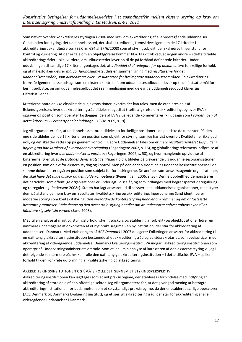Som nævnt ovenfor konkretiseres styringen i 2006 med krav om akkreditering af alle videregående uddannelser. Genstanden for styring, det uddannelsessted, der skal akkrediteres, fremskrives igennem de 17 kriterier i akkrediteringsbekendtgørelsen (BEK nr. 684 af 27/6/2008) som et styringsobjekt, der skal gøres til genstand for kontrol og vurdering. At der er tale om en objektgørelse kommer bl.a. til udtryk ved, at nogen andre – i dette tilfælde akkrediteringsrådet – skal vurdere, om udbudsstedet lever op til de på forhånd definerede kriterier. Under uddybningen til samtlige 17 kriterier gentages det, at *udbuddet skal redegøre for og dokumentere* forskellige forhold, og at målestokken dels er *mål for læringsudbytte*, dels en sammenligning med *resultaterne for det uddannelsesområde, som akkrediteres eller… resultaterne for beslægtede uddannelsesområder.* En akkreditering fremstår igennem disse udsagn som en ekstern kontrol af, om uddannelsesudbuddet lever op til de fastsatte mål for læringsudbytte, og om uddannelsesudbuddet i sammenligning med de øvrige uddannelsesudbud klarer sig tilfredsstillende.

Kriterierne omtaler ikke eksplicit de subjektpositioner, hvorfra der kan tales, men de etableres dels af Bekendtgørelsen, hvor et akkrediteringsråd tildeles magt til at træffe afgørelse om akkreditering, og hvor EVA´s opgaver og position som operatør fastlægges, dels af EVA´s vejledende kommentarer fx i udsagn som *I vurderingen af dette kriterium vil ekspertpanelet inddrage…* (EVA: 2009, s.19).

Jeg vil argumentere for, at uddannelsessektoren tildeles to forskellige positioner i de politiske dokumenter. På den ene side tildeles de i de 17 kriterier en position som objekt for styring, som jeg har vist ovenfor. Kvaliteten er ikke god nok, og det skal der rettes op på gennem kontrol. I Bedre Uddannelser tales om *et mere resultatorienteret tilsyn, der i højere grad har karakter af overordnet overvågning* (Regeringen: 2002, s. 16), og globaliseringsreformens indførelse af en akkreditering hvor *alle uddannelser … vurderes* (Regeringen: 2006, s. 58), og hvor manglende opfyldelse af kriterierne fører til, at de *fratages deres statslige tilskud* (ibid.), tildeler på tilsvarende vis uddannelsesorganisationer en position som objekt for ekstern styring og kontrol. Men på den anden side tildeles uddannelsesinstitutionerne i de samme dokumenter også en position som subjekt for forandringerne. De anråbes som ansvarstagende organisationer, der *skal have det fulde ansvar og den fulde kompetence* (Regeringen: 2006, s. 56). Denne dobbelthed demonstrerer det paradoks, som offentlige organisationer er underlagt i disse år, og som indfanges med begrebsparret deregulering og re-regulering (Pedersen: 2008c). Staten har lagt ansvaret ud til selvstyrende uddannelsesorganisationer, men styrer dem på afstand gennem krav om resultater, kvalitetssikring og akkreditering. Inger Johanne Sand identificerer moderne styring som kontekststyring: *Den overordnede kontekststyring handler om rammer og om at fastsætte bestemte præmisser. Både denne og den decentrale styring handler om at understøtte enhver enheds evne til at håndtere sig selv i sin verden* (Sand 2008).

Med til en analyse af magt og styringsforhold, styringsdiskurs og etablering af subjekt- og objektpositioner hører en nærmere undersøgelse af opkomsten af et nyt praksisregime - en ny institution, der står for akkreditering af uddannelser i Danmark. Med etableringen af *ACE Denmark* i 2007 delegerer Folketingen ansvaret for akkreditering til en uafhængig akkrediteringsinstitution bestående af et akkrediteringsråd og et rådssekretariat, som beskæftiger med akkreditering af videregående uddannelse. Danmarks Evalueringsinstitut EVA indgår i akkrediteringsinstitutionen som operatør på Undervisningsministeriets område. Som et led i min analyse af karakteren af den eksterne styring vil jeg i det følgende se nærmere på, hvilken rolle den uafhængige akkrediteringsinstitution – i dette tilfælde EVA – spiller i forhold til den konkrete udformning af kvalitetsstyring og akkreditering.

#### AKKREDITERINGSINSITUTIONEN OG EVA´S ROLLE SET GENNEM ET STYRINGSPERSPEKTIV

Akkrediteringsinstitutionen kan iagttages som et nyt praksisregime, der etableres i forbindelse med indføring af akkreditering af store dele af den offentlige sektor. Jeg vil argumentere for, at det giver god mening at betragte akkrediteringsinstitutionen for uddannelser som et selvstændigt praksisregime, da der er etableret særlige operatører (ACE Denmark og Danmarks Evalueringsinstitut), og et særligt akkrediteringsråd, der står for akkreditering af alle videregående uddannelser i Danmark.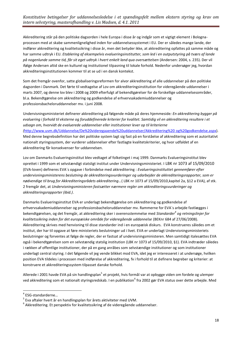Akkreditering står på den politiske dagsorden i hele Europa i disse år og indgår som et vigtigt element i Bolognaprocessen med at skabe sammenlignelighed inden for uddannelsessystemet i EU. Der er således mange lande, der indfører akkreditering og kvalitetssikring i disse år, men det betyder ikke, at akkreditering opfattes på samme måde og har samme udtryk i EU. *Etablering af eksempelvis evalueringsinstitutter, som led i en outputstyring på tværs af lande på nogenlunde samme tid, får sit eget udtryk i hvert enkelt land qua oversættelsen* (Andersen: 2004, s. 235). Der vil ifølge Andersen altid ske en kulturel og institutionel tilpasning til lokale forhold. Nedenfor undersøger jeg, hvordan akkrediteringsinstitutionen kommer til at se ud i en dansk kontekst.

Som det fremgår ovenfor, satte globaliseringsreformen for alvor akkreditering af alle uddannelser på den politiske dagsorden i Danmark. Det førte til vedtagelse af Lov om akkrediteringsinstitution for videregående uddannelser i marts 2007, og denne lov blev i 2008 og 2009 efterfulgt af bekendtgørelser for de forskellige uddannelsesområder, bl.a. Bekendtgørelse om akkreditering og godkendelse af erhvervsakademiuddannelser og professionsbacheloruddannelser mv. i juni 2008.

Undervisningsministeriet definerer akkreditering på følgende måde på deres hjemmeside*: En akkreditering bygger på evaluering i forhold til eksterne og foruddefinerede kriterier for kvalitet. Samtidig vil en akkreditering resultere i et udsagn om, hvorvidt de evaluerede uddannelser eller institutioner lever op til kriterierne (*[http://www.uvm.dk/Uddannelse/De%20videregaaende%20uddannelser/Akkreditering%20](http://www.uvm.dk/Uddannelse/De%20videregaaende%20uddannelser/Akkreditering%20og%20godkendelse.aspx) og%20godkendelse.aspx). Med denne begrebsdefinition har det politiske system lagt sig fast på en forståelse af akkreditering som et autoritativt nationalt styringssystem, der vurderer uddannelser efter fastlagte kvalitetskriterier, og hvor udfaldet af en akkreditering får konsekvenser for uddannelsen.

Lov om Danmarks Evalueringsinstitut blev vedtaget af folketinget i maj 1999. Danmarks Evalueringsinstitut blev oprettet i 1999 som et selvstændigt statsligt institut under Undervisningsministeriet. I LBK nr 1073 af 15/09/2010 (EVA-loven) defineres EVA´s opgave i forbindelse med akkreditering : *Evalueringsinstituttet gennemfører efter undervisningsministerens beslutning de akkrediteringsvurderinger og udarbejder de akkrediteringsrapporter, som er nødvendige til brug for Akkrediteringsrådets akkreditering…*( LBK nr 1073 af 15/09/2010,kapitel 2a, §12 a EVA), af stk. 2 fremgår det, at *Undervisningsministeren fastsætter nærmere regler om akkrediteringsvurderinger og akkrediteringsrapporter (ibid.)*.

Danmarks Evalueringsinstitut EVA er underlagt bekendtgørelse om akkreditering og godkendelse af erhvervsakademiuddannelser og professionsbacheloruddannelser mv. Rammerne for EVA´s arbejde fastlægges i bekendtgørelsen, og det fremgår, at akkreditering sker i overensstemmelse med *Standarder<sup>4</sup> og retningslinjer for kvalitetssikring inden for det europæiske område for videregående uddannelse* (BEKnr 684 af 27/06/2008). Akkreditering skrives med henvisning til disse standarder ind i en europæisk diskurs. EVA konstrueres således om et institut, der har til opgave at føre ministeriets beslutninger ud i livet. EVA er underlagt Undervisningsministeriets beslutninger og forventes at følge de regler, der er fastsat af undervisningsministeren. Men samtidigt italesættes EVA også i bekendtgørelsen som en selvstændig statslig institution (LBK nr 1073 af 15/09/2010, §1). EVA indtræder således i rækken af offentlige institutioner, der på en gang anråbes som selvstændige institutioner og som institutioner underlagt central styring. I det følgende vil jeg vende blikket mod EVA, idet jeg er interesseret i at undersøge, hvilken position EVA tildeles i processen med indførelse af akkreditering, fx i forhold til at definere begreber og kriterier: at konstruere et akkrediteringssystem tilpasset danske forhold.

Allerede i 2001 havde EVA på sin handlingsplan<sup>5</sup> et projekt, hvis formål var at opbygge viden om fordele og ulemper ved akkreditering som et nationalt styringsredskab. I en publikation<sup>6</sup> fra 2002 gør EVA status over dette arbejde. Med

1

<sup>4</sup> ESG-standarderne…

<sup>5</sup> Eva aftaler hvert år en handlingsplan for årets aktiviteter med UVM.

 $^6$  Akkreditering. Et perspektiv for kvalitetssikring af de videregående uddannelser.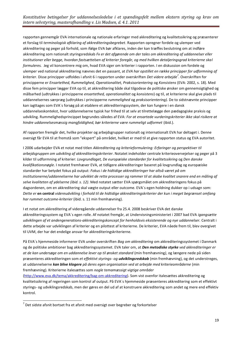rapporten gennemgår EVA internationale og nationale erfaringer med akkreditering og kvalitetssikring og præsenterer et forslag til *terminologisk afklaring af akkrediteringsbegrebet*. Rapporten opregner fordele og ulemper ved akkreditering og peger på forhold, som ifølge EVA bør afklares, inden der kan træffes beslutning om at indføre akkreditering som nationalt styringsredskab *Fx er det afgørende om der tales om akkreditering af uddannelser eller institutioner eller begge, hvordan fastsættelsen af kriterier foregår, og med hvilken detaljeringsgrad kriterierne skal formuleres.* Jeg vil koncentrere mig om, hvad EVA siger om kriterier i rapporten. I en diskussion om fordele og ulemper ved national akkreditering nævnes det en passant, at *EVA har opstillet en række principper for udformning af kriterier*. Disse principper udfoldes i afsnit 6 i rapporten under overskriften *Det videre arbejde<sup>7</sup> .* Overskriften for principperne er *Ensartethed, Rummelighed, Operationalitet, Praksisorientering* og *Konsistens* (EVA: 2002, s. 18). Med disse fem principper lægger EVA op til, at akkreditering både skal tilgodese de politiske ønsker om gennemsigtighed og målbarhed (udtrykkes i principperne *ensartethed, operationalitet* og *konsistens*) og til, at kriterierne skal give plads til uddannelsernes særpræg (udtrykkes i principperne *rummelighed* og *praksisorientering).* De to sidstnævnte principper kan iagttages som EVA´s forsøg på at etablere et akkrediteringssystem, der kan fungere i en dansk uddannelseskontekst, hvor uddannelserne typisk har frihed til at selv at tilrettelægge den pædagogiske praksis og udvikling. Rummelighedsprincippet begrundes således af EVA: *For at ensartede vurderingskriterier ikke skal risikere at*  hindre uddannelsesmæssig mangfoldighed, bør kriterierne være rummeligt udformet (ibid.).

Af rapporten fremgår det, hvilke projekter og arbejdsgrupper nationalt og internationalt EVA har deltaget i. Denne oversigt får EVA til at fremstå som "ekspert" på området, hvilket er med til at give rapporten status og EVA autoritet.

I 2006 udarbejder EVA et notat med titlen *Akkreditering og kriterieformulering: Erfaringer og perspektiver til arbejdsgruppen om udvikling af akkrediteringskriterier*. Notatet indeholder centrale kriterieovervejelser og peger på 3 kilder til udformning af kriterier: *Lovgrundlaget, De europæiske standarder for kvalitetssikring* og *Den danske kvalifikationsnøgle*. I notatet fremhæver EVA, at tidligere akkrediteringer baseret på lovgrundlag og europæiske standarder har betydet fokus på output: *Fokus i de hidtidige akkrediteringer har altså været på om institutionerne/uddannelserne har udviklet de rette processer og rammer til at skabe kvalitet snarere end en måling af selve kvaliteten af ydelserne (ibid. s. 12)*. Med notatet sætter EVA spørgsmålet om akkrediteringens fokus på dagsordenen, om en akkreditering skal vægte output eller outcome. EVA´s egen holdning dukker op i udsagn som: *Dette er* **en central** *videreudvikling i forhold til de hidtidige akkrediteringskriterier der kun i meget begrænset omfang har rummet outcome-kriterier* (ibid. s. 11 min fremhævning).

I et notat om akkreditering af videregående uddannelser fra 25.4. 2008 beskriver EVA det danske akkrediteringssystem og EVA´s egen rolle. Af notatet fremgår, at Undervisningsministeriet i 2007 bad EVA *igangsætte udviklingen af et andengenerations-akkrediteringskoncept for henholdsvis eksisterende og nye uddannelser.* Centralt i dette arbejde var udviklingen af kriterier og en pilottest af kriterierne. De kriterier, EVA nåede frem til, blev overgivet til UVM, der har det endelige ansvar for akkrediteringskriterierne.

På EVA´s hjemmeside informerer EVA under overskriften *Bag om akkreditering* om akkrediteringssystemet i Danmark og de politiske ambitioner bag akkrediteringssystemet. EVA taler om, at *Den metodiske styrke ved akkrediteringer er at de kan undersøge om en uddannelse lever op til ønsket standard* (min fremhævning*)*, og længere nede på siden præsenteres akkrediteringen som *et effektivt styrings- og udviklingsredskab* (min fremhævning), og det understreges, at uddannelserne *kan blive klogere på deres egen organisation ved at arbejde med kriterieområderne* (min fremhævning)*.* Kriterierne italesættes som *nogle temamæssigt vigtige områder* 

[\(http://www.eva.dk/tema/akkreditering/bag-om-akkreditering\)](http://www.eva.dk/tema/akkreditering/bag-om-akkreditering). Som vist ovenfor italesættes akkreditering og kvalitetssikring af regeringen som kontrol af output. På EVA´s hjemmeside præsenteres akkreditering som et effektivt styrings- og udviklingsredskab, men der gøres en del ud af at konstruere akkreditering som andet og mere end effektiv kontrol.

**.** 

 $^7$  Det sidste afsnit bortset fra et afsnit med oversigt over begreber og forkortelser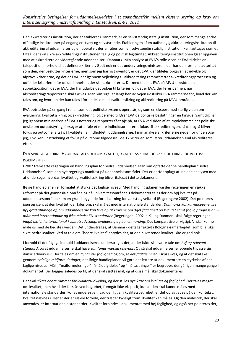Den akkrediteringsinstitution, der er etableret i Danmark, er en selvstændig statslig institution, der som mange andre offentlige institutioner på engang er styret og selvstyrende. Etableringen af en uafhængig akkrediteringsinstitution til akkreditering af uddannelser og en operatør, der anråbes som en selvstændig statslig institution, kan iagttages som et tiltag, der skal sikre akkrediteringsinstitutionen faglig og politisk legitimitet. Akkrediteringsinstitutionen løser opgaven med at akkreditere de videregående uddannelser i Danmark. Min analyse af EVA´s rolle viser, at EVA tildeles en taleposition i forhold til at definere kriterier. Godt nok er det undervisningsministeren, der har den formelle autoritet som den, der beslutter kriterierne, men som jeg har vist ovenfor, er det EVA, der tildeles opgaven at udvikle og afprøve kriterierne, og det er EVA, der igennem vejledning til akkreditering rammesætter akkrediteringsprocessen og udfolder kriterierne for de uddannelser, der skal akkrediteres. Dermed tildeles EVA på MVU-området en subjektposition, det er EVA, der har udarbejdet oplæg til kriterier, og det er EVA, der fører pennen, når akkrediteringsrapporterne skal skrives. Man kan sige, at langt hen ad vejen udstikker EVA rammerne for, hvad der kan tales om, og hvordan der kan tales i forbindelse med kvalitetssikring og akkreditering på MVU-området.

EVA optræder på en gang i rollen som det politiske systems operatør, og som en ekspert med særlig viden om evaluering, kvalitetssikring og akkreditering, og dermed tilfører EVA de politiske beslutninger en tyngde. Samtidig har jeg igennem min analyse af EVA´s notater og rapporter fået øje på, at EVA ved siden af at imødekomme det politiske ønske om outputstyring, forsøger at tilføje et mere indholdsorienteret fokus til akkrediteringen, så der også bliver fokus på outcome, altså på kvaliteten af indholdet i uddannelserne. I min analyse af kriterierne nedenfor undersøger jeg, i hvilken udstrækning et fokus på outcome tilgodeses i de 17 kriterier, som læreruddannelsen skal akkrediteres efter.

<span id="page-19-0"></span>DEN SPROGLIGE FORM: HVORDAN TALES DER OM KVALITET, KVALITETSSIKRING OG AKKREDITERING I DE POLITISKE DOKUMENTER

I 2002 fremsatte regeringen en handlingsplan for bedre uddannelser. Man kan opfatte denne handleplan "Bedre Uddannelser" som den nye regerings manifest på uddannelsesområdet. Det er derfor oplagt at indlede analysen med at undersøge, hvordan kvalitet og kvalitetssikring bliver italesat i dette dokument.

Ifølge handleplanen er formålet at styrke det faglige niveau. Med handlingsplanen varsler regeringen en række reformer på det gymnasiale område og på universitetsområdet. I dokumentet tales der om høj kvalitet på uddannelsesområdet som en grundlæggende forudsætning for vækst og velfærd (Regeringen: 2002). Det pointeres igen og igen, at den kvalitet, der tales om, skal måles med internationale standarder: *Danmarks konkurrenceevne vil i høj grad afhænge af, om uddannelserne kan leve op til kravene om øget faglighed og kvalitet samt faglig progression – målt med internationale og ikke mindst EU-standarder* (Regeringen: 2002, s. 9), og Danmark skal ifølge regeringen *indgå aktivt i international kvalitetsudvikling, evaluering og benchmarking*. Det komparative er vigtigt. Vi skal kunne måle os med de bedste i verden. Det understreges, at Danmark deltager aktivt i Bologna-samarbejdet, som bl.a. skal sikre bedre kvalitet. Ved at tale om "bedre kvalitet" antydes det, at den nuværende kvalitet ikke er god nok.

I forhold til det faglige indhold i uddannelserne understreges det, at der både skal være tale om *høj og relevant standard*, og at uddannelserne skal have *samfundsmæssig relevans*. Og så skal uddannelserne løbende tilpasse sig dansk erhvervsliv. Der tales om en *dynamisk faglighed* og om, at *det faglige niveau skal sikres*, og at det skal ske gennem *tydelige målformuleringer*, der ifølge handleplanen vil gøre det lettere at dokumentere en styrkelse af det faglige niveau. "Mål", "målformuleringer", "målopfyldelse" og "målsætninger" er begreber, der går igen mange gange i dokumentet. Der lægges således op til, at der skal sættes mål, og at disse mål skal dokumenteres.

Der skal *sikres bedre rammer for kvalitetsudvikling*, og der stilles *nye krav om kvalitet og faglighed*. Der tales meget om kvalitet, men hvad der forstås ved begrebet, fremgår ikke eksplicit, kun at den skal kunne måles med internationale standarder. For at undersøge, hvad der ligger i kvalitetsbegrebet, er det oplagt at se på den kontekst, kvalitet nævnes i. Her er der er række forhold, der træder tydeligt frem: Kvalitet kan måles. Og den målestok, der skal anvendes, er internationale standarder. Kvalitet forbindes i dokumentet med høj faglighed, og også her pointeres det,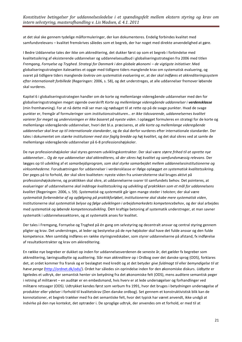at det skal ske gennem tydelige målformuleringer, der kan dokumenteres. Endelig forbindes kvalitet med samfundsrelevans – kvalitet fremskrives således som et begreb, der har noget med direkte anvendelighed at gøre.

I Bedre Uddannelse tales der ikke om akkreditering, det dukker først op som et begreb i forbindelse med kvalitetssikring af eksisterende uddannelser og uddannelsesudbud i globaliseringsstrategien fra 2006 med titlen *Fremgang, Fornyelse og Tryghed. Strategi for Danmark i den globale økonomi – de vigtigste initiativer*. Med globaliseringsstrategien italesættes et opgør med tidligere tiders manglende krav om systematisk evaluering, og svaret på tidligere tiders manglende *lovkrav om systematisk evaluering* er, at der *skal indføres et akkrediteringssystem efter internationalt forbillede* (Regeringen: 2006, s. 58), og det understreges, at alle uddannelser fremover løbende skal vurderes.

Kapitel 6 i globaliseringsstrategien handler om de korte og mellemlange videregående uddannelser med den for globaliseringsstrategien meget sigende overskrift *Korte og mellemlange videregående uddannelser i verdensklasse*  (min fremhævning). For at nå dette mål ser man sig nødsaget til at rette op på de svage punkter. Hvad de svage punkter er, fremgår af formuleringer som *institutionsstrukturen… er ikke tidssvarende*, *uddannelsernes kvalitet varierer for meget* og *undervisningen er ikke baseret på nyeste viden*. I oplægget formuleres en strategi for de korte og mellemlange videregående uddannelser, hvori det bl.a. præciseres, at *alle korte og mellemlange videregående uddannelser skal leve op til internationale standarder*, og de skal derfor vurderes efter internationale standarder. Der tales i dokumentet om *stærke institutioner med stor faglig bredde og høj kvalitet*, og det skal sikres ved at samle de mellemlange videregående uddannelser på 6-8 professionshøjskoler.

De nye professionshøjskoler skal styres gennem udviklingskontrakter. Der skal være *større frihed til at oprette nye uddannelser... Og de nye uddannelser skal akkrediteres, så der sikres høj kvalitet og samfundsmæssig relevans*. Der lægges op til udvikling af et *samarbejdsprogram, som skal styrke samarbejdet mellem uddannelsesinstitutionerne og virksomhederne*. Forudsætningen for uddannelser i verdensklasse er ifølge oplægget *en systematisk kvalitetssikring*. Der peges på to forhold, der skal sikre kvaliteten: nyeste viden fra universiteterne skal bruges aktivt på professionshøjskolerne, og praktikken skal sikre, at uddannelserne svarer til samfundets behov. Det pointeres, at evalueringer af uddannelserne *skal inddrage kvalitetssikring og udvikling af praktikken som et mål for uddannelsens kvalitet* (Regeringen: 2006, s. 59). *Systematisk* og *systematik* går igen mange steder i teksten; der skal være *systematisk forberedelse af og opfølgning på praktikforløbet*, *institutionerne skal skabe mere systematisk viden*, institutionerne skal *systematisk belyse og følge udviklingen i arbejdsmarkedets kompetencebehov*, og der skal arbejdes med *systematisk og løbende kompetenceudvikling*. Den kraftige betoning af systematik understreger, at man savner systematik i uddannelsessektoren, og at systematik anses for kvalitet.

Der tales i Fremgang, Fornyelse og Tryghed på én gang om selvstyring og decentralt ansvar og central styring gennem pligter og krav. Det understreges, at leder og bestyrelse på de nye højskoler skal have det fulde ansvar og den fulde kompetence. Men samtidig indføres en række styringsredskaber, som styrer uddannelserne på afstand, fx indførelse af resultatkontrakter og krav om akkreditering.

En række nye begreber er dukket op inden for uddannelsesverdenen de seneste år, det gælder fx begreber som akkreditering, læringsudbytte og auditering. Slår man *akkreditere* op i Ordbog over det danske sprog (ODS), forklares det, at ordet kommer fra fransk og er beslægtet med kredit og at det betyder *give fuldmagt til* eller *bemyndigelse til at hæve penge* [\(http://ordnet.dk/ods/\)](http://ordnet.dk/ods/). Ordet har således sin oprindelse inden for den økonomiske diskurs. *Udbytte* er ligeledes et udtryk, der semantisk henter sin betydning fra det økonomiske felt (ODS), mens auditere semantisk peger i retning af militæret – en auditør er en embedsmand, hvis hverv er at lede undersøgelser og forhandlinger ved militære retssager (ODS). Udtrykket kendes først som verbum fra 1991, hvor det bruges i betydningen undersøgelse af produkter eller ydelser i forhold til kvalitetskrav (Den danske ordbog). Set gennem et konstruktivistisk blik kan de konnotationer, et begreb trækker med fra det semantiske felt, hvor det typisk har været anvendt, ikke undgå at indvirke på den nye kontekst, det optræder i. De sproglige udtryk, der anvendes om et forhold, er med til at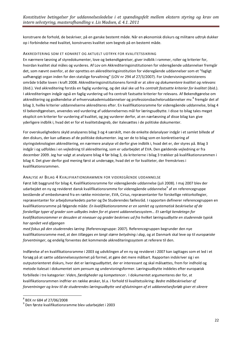konstruere de forhold, de beskriver, på en ganske bestemt måde. Når en økonomisk diskurs og militære udtryk dukker op i forbindelse med kvalitet, konstrueres kvalitet som begreb på en bestemt måde.

#### AKKREDITERING SOM ET KONKRET OG AKTUELT UDTRYK FOR KVALITETSSIKRING

En nærmere læsning af styredokumenter, love og bekendtgørelser, giver indblik i rammer, roller og kriterier for, hvordan kvalitet skal måles og vurderes. Af Lov om Akkrediteringsinstitutionen for videregående uddannelser fremgår det, som nævnt ovenfor, at der oprettes en akkrediteringsinstitution for videregående uddannelser som et "fagligt uafhængigt organ inden for den statslige forvaltning" (LOV nr 294 af 27/3/2007). For Undervisningsministerens område trådte loven i kraft 2008. Akkrediteringsinstitutionens formål er at *sikre og dokumentere kvalitet og relevans*  (ibid.). Ved akkreditering forstås en faglig vurdering, og det skal ske ud fra *centralt fastsatte kriterier for kvalitet* (ibid.). I akkrediteringen indgår også en faglig vurdering ud fra centralt fastsatte kriterier for relevans. Af Bekendtgørelse om akkreditering og godkendelse af erhvervsakademiuddannelser og professionsbacheloruddannelser mv.<sup>8</sup> fremgår det af bilag 3, hvilke kriterier uddannelserne akkrediteres efter. En kvalifikationsramme for videregående uddannelse, bilag 4 til bekendtgørelsen, anvendes ved vurdering af uddannelsernes mål for læringsudbytte. I disse to bilag tales meget eksplicit om kriterier for vurdering af kvalitet, og jeg vurderer derfor, at en nærlæsning af disse bilag kan give yderligere indblik i, hvad det er for et kvalitetsbegreb, der italesættes i de politiske dokumenter.

For overskuelighedens skyld analyseres bilag 3 og 4 særskilt, men de enkelte delanalyser indgår i et samlet billede af den diskurs, der kan udlæses af de politiske dokumenter. Jeg ser de to bilag som en konkretisering af styringsteknologien akkreditering, en nærmere analyse vil derfor give indblik i, hvad det er, der styres på. Bilag 3 indgår i og udfoldes i en vejledning til akkreditering, som er udarbejdet af EVA. Den gældende vejledning er fra december 2009. Jeg har valgt at analysere bilag 4 før bilag 3, da kriterierne i bilag 3 trækker på kvalifikationsrammen i bilag 4. Det giver derfor god mening først at undersøge, hvad det er for kvaliteter, der fremskrives i kvalifikationsrammen.

#### ANALYSE AF BILAG 4 KVALIFIKATIONSRAMMEN FOR VIDEREGÅENDE UDDANNELSE

Først lidt baggrund for bilag 4, Kvalifikationsramme for videregående uddannelse (juli 2008). I maj 2007 blev der udarbejdet en ny og revideret dansk kvalifikationsramme for videregående uddannelse<sup>9</sup> af en referencegruppe bestående af embedsmænd fra en række ministerier, EVA, Cirius, repræsentanter for forskellige rektorkollegier, repræsentanter for arbejdsmarkedets parter og De Studerendes fællesråd. I rapporten definerer referencegruppen en kvalifikationsramme på følgende måde: *En kvalifikationsramme er en samlet og systematisk beskrivelse af de forskellige typer af grader som udbydes inden for et givent uddannelsessystem… Et særligt kendetegn for kvalifikationsrammer er desuden at niveauer og grader beskrives ud fra hvilket læringsudbytte en studerende typisk har opnået ved afgangen*

*med fokus på den studerendes læring* (Referencegruppe: 2007). Referencegruppen begrunder den nye kvalifikationsramme med, at den *tillægges en langt større betydning i dag*, og at Danmark skal leve op til *europæiske forventninger*, og endelig forventes det kommende akkrediteringssystem at referere til den.

Indførelse af en kvalifikationsramme i 2003 og udviklingen af en ny og revideret i 2007 kan iagttages som et led i et forsøg på at sætte uddannelsessystemet på formel, at gøre det mere målbart. Rapporten indskriver sig i en outputorienteret diskurs, hvor det er lærings*udbyttet*, der er interessant og skal målsættes, frem for indhold og metode italesat i dokumentet som pensum og undervisningsformer. Læringsudbytte inddeles efter europæisk forbillede i tre kategorier: *Viden, færdigheder og kompetencer*. I dokumentet argumenteres der for, at kvalifikationsrammen indfrier en række ønsker, bl.a. i forhold til kvalitetssikring: *Bedre målbeskrivelser af forventninger og krav til de studerendes læringsudbytte ved afslutningen af et uddannelsesforløb giver et sikrere* 

 8 BEK nr 684 af 27/06/2008

<sup>9</sup> Den første kvalifikationsramme blev udarbejdet i 2003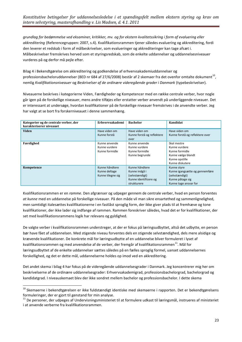*grundlag for bedømmelse ved eksaminer, kritikker, mv. og for ekstern kvalitetssikring i form af evaluering eller akkreditering* (Referencegruppen: 2007, s.4). Kvalifikationsrammen tjener således evaluering og akkreditering, fordi den leverer et redskab i form af målbeskrivelser, som evalueringer og akkrediteringer kan tage afsæt i. Målbeskrivelser fremskrives herved som et styringsredskab, som de enkelte uddannelser og uddannelsesniveauer vurderes på og derfor må pejle efter.

Bilag 4 i Bekendtgørelse om akkreditering og godkendelse af erhvervsakademiuddannelser og professionsbacheloruddannelser (BED nr 684 af 27/6/2008) består af 2 skemaer fra det ovenfor omtalte dokument $^{10}$ , nemlig *Kvalifikationsniveauer* og *Beskrivelser af de ordinære videregående grader i Danmark* (typebeskrivelser).

Niveauerne beskrives i kategorierne Viden, Færdigheder og Kompetencer med en række centrale verber, hvor nogle går igen på de forskellige niveauer, mens andre tilføjes eller erstatter verber anvendt på underliggende niveauer. Det er interessant at undersøge, hvordan kvalifikationer på de forskellige niveauer fremskrives i de anvendte verber. Jeg har valgt at se bort fra forskerniveauet i denne sammenhæng.

| Kategorier og de centrale verber, der | Erhvervsakademi                                      | <b>Bachelor</b>                                                                           | Kandidat                                                                                                     |
|---------------------------------------|------------------------------------------------------|-------------------------------------------------------------------------------------------|--------------------------------------------------------------------------------------------------------------|
| karakteriserer niveauet               |                                                      |                                                                                           |                                                                                                              |
| Viden                                 | Have viden om<br>Kunne forstå                        | Have viden om<br>Kunne forstå og reflektere<br>over                                       | Have viden om<br>Kunne forstå og reflektere over                                                             |
| Færdighed                             | Kunne anvende<br>Kunne vurdere<br>Kunne formidle     | Kunne anvende<br>Kunne vurdere<br>Kunne formidle<br>Kunne begrunde                        | Skal mestre<br>Kunne vurdere<br>Kunne formidle<br>Kunne vælge blandt<br>Kunne opstille<br>Kunne diskutere    |
| Kompetence                            | Kunne håndtere<br>Kunne deltage<br>Kunne tilegne sig | Kunne håndtere<br>Kunne indgå i<br>(selvstændigt)<br>Kunne identificere og<br>strukturere | Kunne styre<br>Kunne igangsætte og gennemføre<br>(selvstændigt)<br>Kunne påtage sig<br>Kunne tage ansvar for |

Kvalifikationsrammen er en *ramme*. Den afgrænser og udpeger gennem de centrale verber, hvad en person forventes *at kunne* med en uddannelse på forskellige niveauer. På den måde vil man sikre ensartethed og sammenlignelighed, men samtidigt italesættes kvalifikationerne i en fastlåst sproglig form, der ikke giver plads til at fremhæve og tone kvalifikationer, der ikke lader sig indfange af rammen. Rammen foreskriver således, hvad det er for kvalifikationer, der set med kvalifikationsrammens logik har relevans og gyldighed.

De valgte verber i kvalifikationsrammen understreger, at der er fokus på læringsudbyttet, altså det udbytte, en person bør have fået af uddannelsen. Med stigende niveau forventes dels en stigende selvstændighed, dels mere alsidige og krævende kvalifikationer. De konkrete mål for læringsudbytte af en uddannelse bliver formuleret i lyset af kvalifikationsrammen og med anvendelse af de verber, der fremgår af kvalifikationsrammen<sup>11</sup>. Mål for læringsudbyttet af de enkelte uddannelser sættes således på en fælles sproglig formel, uanset uddannelsernes forskellighed, og det er dette mål, uddannelserne holdes op imod ved en akkreditering.

Det andet skema i bilag 4 har fokus på de videregående uddannelsesgrader i Danmark. Jeg koncentrerer mig her om beskrivelserne af de ordinære uddannelsesgrader: Erhvervsakademigrad, professionsbachelorgrad, bachelorgrad og kandidatgrad. I niveauskemaet blev der ikke sondret mellem bachelor og professionsbachelor. I dette skema

**.** 

<sup>&</sup>lt;sup>10</sup> Skemaerne i bekendtgørelsen er ikke fuldstændigt identiske med skemaerne i rapporten. Det er bekendtgørelsens formuleringer, der er gjort til genstand for min analyse.

<sup>&</sup>lt;sup>11</sup> De personer, der udpeges af Undervisningsministeriet til at formulere udkast til læringsmål, instrueres af ministeriet i at anvende verberne fra kvalifikationsrammen.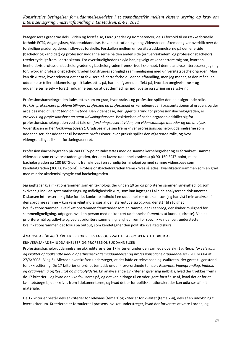kategoriseres graderne dels i Viden og forståelse, Færdigheder og Kompetencer, dels i forhold til en række formelle forhold: ECTS, Adgangskrav, Videreuddannelse. Hovedinstitutionstype og Vidensbasen. Skemaet giver overblik over de forskellige grader og deres indbyrdes forskelle. Forskellen mellem universitetsuddannelserne på den ene side (bachelor og kandidat) og professionsuddannelserne på den anden side (erhvervsakademi og professionsbachelor) træder tydeligt frem i dette skema. For overskuelighedens skyld har jeg valgt at koncentrere mig om, hvordan henholdsvis professionsbachelorgraden og bachelorgraden fremskrives i skemaet. I denne analyse interesserer jeg mig for, hvordan professionsbachelorgraden konstrueres sprogligt i sammenligning med universitetsbachelorgraden. Man kan diskutere, hvor relevant det er at fokusere på dette forhold i denne afhandling, men jeg mener, at den måde, en uddannelse (eller uddannelsesgrad) italesættes på, har en afgørende effekt på, hvordan omgivelserne – og uddannelserne selv – forstår uddannelsen, og at det dermed har indflydelse på styring og selvstyring.

Professionsbachelorgraden italesættes som en grad, hvor praksis og profession spiller den helt afgørende rolle. *Praksis, praksisnære problemstillinger, profession og professionel* er kernebegreber i præsentationen af graden, og der arbejdes med *anvendt teori og metode*. Den vidensbase, der ligger til grund for professionsbachelorgraden, er *erhvervs- og professionsbaseret samt udviklingsbaseret.* Beskrivelsen af bachelorgraden adskiller sig fra professionsbachelorgraden ved at tale om *forskningsbaseret viden,* om *videnskabelige metoder* og *om analyse.*  Vidensbasen er her *forskningsbaseret*. Gradsbeskrivelsen fremskriver professionsbacheloruddannelserne som uddannelser, der uddanner til bestemte professioner, hvor praksis spiller den afgørende rolle, og hvor videngrundlaget ikke er forskningsbaseret.

Professionsbachelorgraden på 240 ECTS-point italesættes med de samme kernebegreber og er forankret i samme vidensbase som erhvervsakademigraden, der er et lavere uddannelsesniveau på 90-150 ECTS-point, mens bachelorgraden på 180 ECTS-point fremskrives i en sproglig terminologi og med samme vidensbase som kandidatgraden (300 ECTS-point). Professionsbachelorgraden fremskrives således i kvalifikationsrammen som en grad med mindre akademisk tyngde end bachelorgraden.

Jeg iagttager kvalifikationsrammen som en teknologi, der understøtter og prioriterer sammenlignelighed, og som skriver sig ind i en systematiserings- og målelighedsdiskurs, som kan iagttages i alle de analyserede dokumenter. Diskursen interesserer sig ikke for det konkrete indhold i en uddannelse – det kan, som jeg har vist i min analyse af den sproglige ramme – kun vanskeligt indfanges af den stereotype sprogbrug, der står til rådighed i kvalifikationsrammen. Kvalifikationsrammen fremtræder som en ramme, der i et sprog, der skaber mulighed for sammenligneligning, udpeger, hvad en person med en konkret uddannelse forventes at kunne (udrette). Ved at prioritere mål og udbytte og ved at prioritere sammenlignelighed frem for specifikke nuancer, understøtter kvalifikationsrammen det fokus på output, som kendetegner den politiske kvalitetsdiskurs.

#### ANALYSE AF BILAG 3 KRITERIER FOR RELEVANS OG KVALITET AF GODKENDTE UDBUD AF

#### ERHVERVSAKADEMIUDDANNELSER OG PROFESSIONSUDDANNELSER

Professionsbacheloruddannelserne akkrediteres efter 17 kriterier under den samlede overskrift *Kriterier for relevans og kvalitet af godkendte udbud af erhvervsakademiuddannelser og professionsbacheloruddannelser* (BEK nr 684 af 27/6/2008: Bilag 3). Allerede overskriften understeger, at det både er relevansen og kvaliteten, der gøres til genstand for akkreditering. De 17 kriterier er ordnet tematisk under 4 overordnede temaer: *Relevans, Videngrundlag, Indhold og organisering* og *Resultat og målopfyldelse*. En analyse af de 17 kriterier giver mig indblik i, hvad der trækkes frem i de 17 kriterier – og hvad der ikke fokuseres på, og det kan bidrage til en yderligere forståelse af, hvad det er for et kvalitetsbegreb, der skrives frem i dokumenterne, og hvad det er for politiske rationaler, der kan udlæses af mit materiale.

De 17 kriterier består dels af kriterier for relevans (tema 1)og kriterier for kvalitet (tema 2-4), dels af en uddybning til hvert kriterium. Kriterierne er formuleret i præsens, hvilket understreger, hvad der forventes at være i orden, og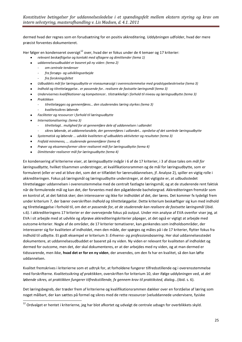dermed hvad der regnes som en forudsætning for en positiv akkreditering. Uddybningen udfolder, hvad der mere præcist forventes dokumenteret.

Her følger en kondenseret oversigt<sup>12</sup> over, hvad der er fokus under de 4 temaer og 17 kriterier:

- *relevant beskæftigelse og kontakt med aftagere og dimittender (tema 1)*
- *uddannelsesudbuddet er baseret på ny viden: (tema 2)*
	- *om centrale tendenser*
		- *fra forsøgs- og udviklingsarbejde*
		- *fra forskningsfeltet*
- *Udbuddets mål for læringsudbytte er niveaumæssigt i overensstemmelse med gradstypebeskrivelse (tema 3)*  $\bullet$
- *Indhold og tilrettelæggelse.. er passende for.. realisere de fastsatte læringsmål (tema 3)*
- $\bullet$ *Undervisernes kvalifikationer og kompetencer.. tilstrækkeligt i forhold til niveau og læringsudbytte (tema 3)*
- *Praktikken*

**.** 

- *tilrettelægges og gennemføres… den studerendes læring styrkes (tema 3)*
- *kvalitetssikres løbende*
- *Faciliteter og ressourcer i forhold til læringsudbytte*
- *Internationalisering: (tema 3)*
	- *tilrettelagt.. mulighed for at gennemføre dele af uddannelsen i udlandet*
	- *sikres løbende, at uddannelsesdele, der gennemføres i udlandet… opnåelse af det samlede læringsudbytte*
- *Systematisk og løbende … udvikle kvaliteten af udbuddets aktiviteter og resultater (tema 3)*  $\bullet$
- *Frafald minimeres, … studerende gennemfører (tema 4)*
- $\bullet$ *Prøver og eksamensformer sikrer realiseret mål for læringsudbytte (tema 4)*
- $\bullet$ *Dimittender realiserer mål for læringsudbytte (tema 4)*

En kondensering af kriterierne viser, at *læringsudbytte* indgår i 6 af de 17 kriterier, i 3 af disse tales om *mål for læringsudbytte,* hvilket tilsammen understreger, at kvalifikationsrammen og de mål for læringsudbytte, som er formuleret (eller er ved at blive det, som det er tilfældet for læreruddannelsen, jf. Analyse 2), spiller en vigtig rolle i akkrediteringen. Fokus på læringsmål og læringsudbytte understreger, at det vigtigste er, at udbudsstedet tilrettelægger uddannelsen i overensstemmelse med de centralt fastlagte læringsmål, og at de studerende rent faktisk når de formulerede mål og kan det, der forventes med den pågældende bachelorgrad. Akkrediteringen fremstår som en kontrol af, at det faktisk sker; den interesserer sig ikke for indholdet af det, der læres. Det kommer fx tydeligt frem under kriterium 7, der bærer overskriften *Indhold og tilrettelæggelse*. Dette kriterium beskæftiger sig kun med indhold og tilrettelæggelse i forhold til, om det *er passende for, at de studerende kan realisere de fastsatte læringsmål* (ibid. s.6). I akkrediteringens 17 kriterier er der overvejende fokus på output. Under min analyse af EVA ovenfor viser jeg, at EVA i sit arbejde med at udvikle og afprøve akkrediteringskriterier påpeger, at det også er vigtigt at arbejde med outcome-kriterier. Nogle af de områder, de 17 kriterier tematiserer, kan genkendes som indholdsområder, der interesserer sig for kvaliteten af indholdet, men den måde, der spørges og måles på i de 17 kriterier, flytter fokus fra indhold til udbytte. Et godt eksempel er kriterium 3: *Erhvervs- og professionsbasering*. Her skal uddannelsesstedet dokumentere, at uddannelsesudbuddet er baseret på ny viden. Ny viden er relevant for kvaliteten af indholdet og dermed for outcome, men det, der skal dokumenteres, er at der arbejdes med ny viden, og at man dermed er tidssvarende, men ikke, **hvad det er for en ny viden**, der anvendes, om den fx har en kvalitet, så den kan løfte uddannelsen.

Kvalitet fremskrives i kriterierne som et udtryk for, at forholdene fungerer tilfredsstillende og i overensstemmelse med forskrifterne. *Kvalitetssikring af praktikken*, overskriften for kriterium 10, sker ifølge uddybningen ved, at *det løbende sikres, at praktikken fungerer tilfredsstillende, fx gennem krav til praktiksted, dialog…*(ibid. s. 6).

Det læringsbegreb, der træder frem af kriterierne og kvalifikationsrammen dækker over en forståelse af læring som noget målbart, der kan sættes på formel og sikres med de rette ressourcer (veluddannede undervisere, fysiske

 $^{12}$  Ordvalget er hentet i kriterierne, jeg har blot afkortet og udvalgt de centrale udsagn for overblikkets skyld.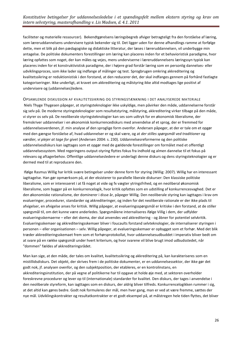faciliteter og materielle ressourcer). Bekendtgørelsens læringsbegreb afviger betragteligt fra den forståelse af læring, som læreruddannelsens undervisere typisk bekender sig til. Det ligger uden for denne afhandlings ramme at forfølge dette, men et blik på den pædagogiske og didaktiske litteratur, der læses i læreruddannelsen, vil underbygge min antagelse. De politiske dokumenters forestillinger om læring kan placeres inden for et behavioristisk paradigme, hvor læring opfattes som noget, der kan måles og vejes, mens underviserne i læreruddannelsens læringssyn typisk kan placeres inden for et konstruktivistisk paradigme, der i højere grad forstår læring som en personlig dannelses- eller udviklingsproces, som ikke lader sig indfange af målinger og test. Sprogbrugen omkring akkreditering og kvalitetssikring er reduktionistisk i den forstand, at den reducerer det, der skal indfanges gennem på forhånd fastlagte kategoriseringer. Ikke underligt, at kravet om akkreditering og målstyring ikke altid modtages lige positivt af undervisere og (uddannelses)ledere.

OPSAMLENDE DISKUSSION AF KVALITETSSIKRING OG STYRINGSTÆNKNING I DET ANALYSEREDE MATERIALE Niels Thyge Thygesen påpeger, at styringsteknologier ikke uskyldige, men påvirker den måde, uddannelserne forstår sig selv på. De moderne styringsteknologier som resultatstyring, målstyring, akkreditering virker tilbage på den måde, vi styrer os selv på. De neoliberale styringsteknologier kan ses som udtryk for en økonomisk liberalisme, der fremskriver uddannelser i en økonomisk konkurrencediskurs med anvendelse af et sprog, der er fremmed for uddannelsesverdenen, jf. min analyse af den sproglige form ovenfor. Andersen påpeger, at der er tale om et opgør med den gængse forståelse af, hvad uddannelser er og skal være, og at *der stilles spørgsmål ved traditioner og værdier, vi plejer at tage for givet* (Andersen 2004: s. 230). Uddannelsesreformerne og den politiske uddannelsesdiskurs kan iagttages som et opgør med de gældende forestillinger om formålet med et offentligt uddannelsessystem. Med regeringens output-styring flyttes fokus fra indhold og almen dannelse til et fokus på relevans og aftagerbehov. Offentlige uddannelsesledere er underlagt denne diskurs og dens styringsteknologier og er dermed med til at reproducere den.

Ifølge Rasmus Willig har kritik svære betingelser under denne form for styring (Willig: 2007). Willig har en interessant iagttagelse. Han gør opmærksom på, at der eksisterer to parallelle liberale diskurser: Den klassiske politiske liberalisme, som er interesseret i at få noget at vide og fx vægter ytringsfrihed, og en neoliberal økonomisk liberalisme, som bygger på en konkurrencelogik, hvor kritik opfattes som en udstilling af konkurrencesvaghed. Det er den økonomiske rationalisme, der dominerer i disse år, påpeger Willig. Den neoliberale styring kan iagttages i krav om evalueringer, procedurer, standarder og akkrediteringer, og inden for det neoliberale rationale er der ikke plads til afvigelser, en afvigelse anses for kritisk. Willig påpeger, at evalueringsspørgsmål er kritiske i den forstand, at de stiller spørgsmål til, om det kunne være anderledes. Spørgsmålene internaliseres ifølge Villig i dem, der udfylder evalueringsskemaerne – eller det skema, der skal anvendes ved akkreditering - og åbner for potentiel selvkritik. Evalueringsskemaer og akkrediteringsskemaer bliver i foucaults forstand selvteknologier, de internaliserer styringen i personen – eller organisationen – selv. Willig påpeger, at evalueringsskemaer er opbygget som et forhør. Med det blik træder akkrediteringsskemaet frem som et forhørsprotokollat, hvor uddannelsesudbuddet i imperativ bliver bedt om at svare på en række spørgsmål under hvert kriterium, og hvor svarene vil blive brugt imod udbudsstedet, når "dommen" fældes af akkrediteringsrådet.

Man kan sige, at den måde, der tales om kvalitet, kvalitetssikring og akkreditering på, kan karakteriseres som en mistillidsdiskurs. Det objekt, der skrives frem i de politiske dokumenter, er en uddannelsessektor, der ikke gør det godt nok, jf. analysen ovenfor, og den subjektposition, der etableres, er en kontrolinstans, en akkrediteringsinstitution, der på vegne af politikerne har til opgave at holde øje med, at sektoren overholder foreskrevne procedurer og lever op til (internationale) standarder for kvalitet. Den diskurs, der tages i anvendelse i den neoliberale styreform, kan iagttages som en diskurs, der aldrig bliver tilfreds. Konkurrencelogikken rummer i sig, at det altid kan gøres bedre. Godt nok formuleres der mål, men hver gang, man er ved at være fremme, sættes der nye mål. Udviklingskontrakter og resultatkontrakter er et godt eksempel på, at målstregen hele tiden flyttes, det bliver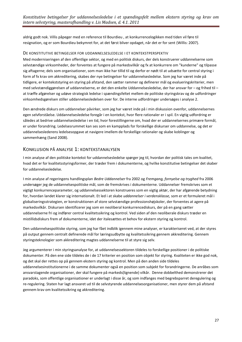aldrig godt nok. Villis påpeger med en reference til Bourdieu , at konkurrencelogikken med tiden vil føre til resignation, og er som Bourdieu bekymret for, at det først bliver opdaget, når det er for sent (Willis: 2007).

#### <span id="page-26-0"></span>DE KONSTITUTIVE BETINGELSER FOR UDDANNELSESLEDELSE I ET KONTEKSTPERSPEKTIV

Med moderniseringen af den offentlige sektor, og med en politisk diskurs, der dels konstruerer uddannelserne som selvstændige virksomheder, der forventes at fungere på markedsvilkår og fx at konkurrere om "kunderne" og tilpasse sig aftagerne; dels som organisationer, som man ikke har tillid til og derfor er nødt til at udsætte for central styring i form af fx krav om akkreditering, skabes der nye betingelser for uddannelsesledelse. Som jeg har været inde på tidligere, er kontekststyring en styring på afstand, den sætter rammer og definerer mål og evalueringskriterier, men med selvstændiggørelsen af uddannelserne, er det den enkelte Uddannelsesledelse, der har ansvar for – og frihed til – at træffe afgørelser og udøve strategisk ledelse i spændingsfeltet mellem de politiske styringskrav og de udfordringer virksomhedsgørelsen stiller uddannelsesledelsen over for. De interne udfordringer undersøges i analyse 2.

Den ændrede diskurs om uddannelser påvirker, som jeg har været inde på i min diskussion ovenfor, uddannelsernes egen selvforståelse. Uddannelsesledelse foregår i en kontekst, hvor flere rationaler er i spil. En vigtig udfordring er således at bedrive uddannelsesledelse i en tid, hvor forestillingerne om, hvad der er uddannelsernes primære formål, er under forandring. Ledelsesrummet kan ses som en kampplads for forskellige diskurser om uddannelse, og det er uddannelseslederens ledelsesopgave at navigere imellem de forskellige rationaler og skabe koblinger og sammenhæng (Sand 2008).

#### <span id="page-26-1"></span>KONKLUSION PÅ ANALYSE 1: KONTEKSTANALYSEN

I min analyse af den politiske kontekst for uddannelsesledelse spørger jeg til, hvordan der politisk tales om kvalitet, hvad det er for kvalitetsstyringsformer, der træder frem i dokumenterne, og hvilke konstitutive betingelser det skaber for uddannelsesledelse.

I min analyse af regeringens handlingsplan *Bedre Uddannelser* fra 2002 og *Fremgang, fornyelse og tryghed* fra 2006 undersøger jeg de uddannelsespolitiske mål, som de fremskrives i dokumenterne. Uddannelser fremskrives som et vigtigt konkurrenceparameter, og uddannelsessektoren konstrueres som en vigtig aktør, der har afgørende betydning for, hvordan landet klarer sig internationalt. Et led i at skabe *uddannelser i verdensklasse,* som er et formuleret mål i globaliseringsstrategien, er konstruktionen af store selvstændige professionshøjskoler, der forventes at agere på markedsvilkår. Diskursen identificerer jeg som en neoliberal konkurrencediskurs, der på en gang sætter uddannelserne fri og indfører central kvalitetssikring og kontrol. Ved siden af den neoliberale diskurs træder en mistillidsdiskurs frem af dokumenterne, idet der italesættes et behov for ekstern styring og kontrol.

Den uddannelsespolitiske styring, som jeg har fået indblik igennem mine analyser, er karakteriseret ved, at der styres på output gennem centralt definerede mål for læringsudbytte og kvalitetssikring gennem akkreditering. Gennem styringsteknologier som akkreditering magtes uddannelserne til at styre sig selv.

Jeg argumenterer i min styringsanalyse for, at uddannelsessektoren tildeles to forskellige positioner i de politiske dokumenter. På den ene side tildeles de i de 17 kriterier en position som objekt for styring. Kvaliteten er ikke god nok, og det skal der rettes op på gennem ekstern styring og kontrol. Men på den anden side tildeles uddannelsesinstitutionerne i de samme dokumenter også en position som subjekt for forandringerne. De anråbes som ansvarstagende organisationer, der skal fungere på markeds(lignende) vilkår. Denne dobbelthed demonstrerer det paradoks, som offentlige organisationer er underlagt i disse år, og som indfanges med begrebsparret deregulering og re-regulering. Staten har lagt ansvaret ud til de selvstyrende uddannelsesorganisationer, men styrer dem på afstand gennem krav om kvalitetssikring og akkreditering.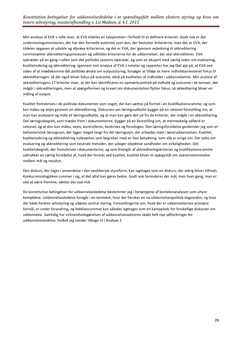Min analyse af EVA´s rolle viser, at EVA tildeles en taleposition i forhold til at definere kriterier. Godt nok er det undervisningsministeren, der har den formelle autoritet som den, der beslutter kriterierne, men det er EVA, der tildeles opgaven at udvikle og afprøve kriterierne, og det er EVA, der igennem vejledning til akkreditering rammesætter akkrediteringsprocessen og udfolder kriterierne for de uddannelser, der skal akkrediteres. EVA optræder på en gang i rollen som det politiske systems operatør, og som en ekspert med særlig viden om evaluering, kvalitetssikring og akkreditering. Igennem min analyse af EVA´s notater og rapporter har jeg fået øje på, at EVA ved siden af at imødekomme det politiske ønske om outputstyring, forsøger at tilføje et mere indholdsorienteret fokus til akkrediteringen, så der også bliver fokus på outcome, altså på kvaliteten af indholdet i uddannelserne. Min analyse af akkrediteringens 17 kriterier viser, at der kan identificeres en opmærksomhed på indhold og outcome i de temaer, der indgår i akkrediteringen, men at spørgeformen og kravet om dokumentation flytter fokus, så akkeditering bliver en måling af output.

Kvalitet fremskrives i de politiske dokumenter som noget, der kan sættes på formel i en kvalifikationsramme, og som kan måles og vejes gennem en akkreditering. Diskursen om læringsudbytte bygger på en rationel forestilling om, at man kan analysere og måle et læringsudbytte, og at man kan gøre det ud fra de kriterier, der indgår i en akkreditering. Det læringssbegreb, som træder frem i dokumenterne, bygger på en forestilling om, at menneskelig adfærd er rationel, og at den kan måles, vejes, kontrolleres, beskrives og forudsiges. Den læringsforståelse genkender jeg som et behavioristisk læringssyn, der ligger meget langt fra det læringssyn, der arbejdes med i læreruddannelsen. Kvalitet, kvalitetssikring og akkreditering italesættes som begreber med en fast betydning, som alle er enige om. Der tales om evaluering og akkreditering som neutrale metoder, der udsiger objektive sandheder om virkeligheden. Det kvalitetsbegreb, der fremskrives i dokumenterne, og som fremgår af akkrediteringskriterier og kvalifikationsramme udtrykker en særlig forståelse af, hvad der forstås ved kvalitet, kvalitet bliver et spørgsmål om overensstemmelse mellem mål og resultat.

Den diskurs, der tages i anvendelse i den neoliberale styreform, kan iagttages som en diskurs, der aldrig bliver tilfreds. Konkurrencelogikken rummer i sig, at det altid kan gøres bedre. Godt nok formuleres der mål, men hver gang, man er ved at være fremme, sættes der nye mål.

De konstitutive betingelser for uddannelsesledelse bestemmer jeg i forlængelse af kontekstanalysen som uhyre komplekse. Uddannelsesledelse foregår i en kontekst, hvor der hersker en ny uddannelsespolitisk dagsorden, og hvor der både fordres selvstyring og udøves central styring. Forestillingerne om, hvad der er uddannelsernes primære formål, er under forandring, og ledelsesrummet kan således iagttages som en kampplads for forskellige diskurser om uddannelse. Samtidig har virksomhedsgørelsen af uddannelsessektoren skabt helt nye udfordringer for uddannelsesledelse, hvilket jeg vender tilbage til i Analyse 2.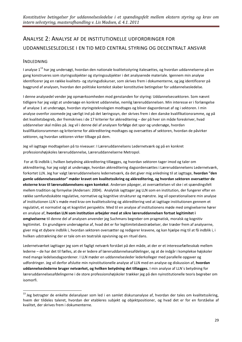# <span id="page-28-0"></span>ANALYSE 2: ANALYSE AF DE INSTITUTIONELLE UDFORDRINGER FOR UDDANNELSESLEDELSE I EN TID MED CENTRAL STYRING OG DECENTRALT ANSVAR

## <span id="page-28-1"></span>INDLEDNING

1

I analyse 1<sup>13</sup> har jeg undersøgt, hvordan den nationale kvalitetsstyring italesættes, og hvordan uddannelserne på en gang konstrueres som styringsobjekter og styringssubjekter i det analyserede materiale. Igennem min analyse identificerer jeg en række kvalitets- og styringsdiskurser, som skrives frem i dokumenterne, og jeg identificerer på baggrund af analysen, hvordan den politiske kontekst skaber konstitutive betingelser for uddannelsesledelse.

I denne analysedel vender jeg opmærksomheden mod genstanden for styring: Uddannelsessektoren. Som nævnt tidligere har jeg valgt at undersøge en konkret uddannelse, nemlig læreruddannelsen. Min interesse er i forlængelse af analyse 1 at undersøge, hvordan styringsteknologien modtages og bliver dagsordensat af og i sektoren. I min analyse ovenfor zoomede jeg særligt ind på det læringssyn, der skrives frem i den danske kvalifikationsramme, og på det kvalitetsbegreb, der fremskrives i de 17 kriterier for akkreditering – der på hver sin måde foreskriver, hvad uddannelser skal måles på. Jeg vil i denne del af analysen forfølge det spor og undersøge, hvordan kvalifikationsrammen og kriterierne for akkreditering modtages og oversættes af sektoren, hvordan de påvirker sektoren, og hvordan sektoren virker tilbage på dem.

Jeg vil iagttage modtagelsen på to niveauer: I Læreruddannelsens Ledernetværk og på en konkret professionshøjskoles læreruddannelse, Læreruddannelserne Metropol.

For at få indblik i, hvilken betydning akkreditering tillægges, og hvordan sektoren tager imod og taler om akkreditering, har jeg valgt at undersøge, hvordan akkreditering dagsordensættes i Læreruddannelsens Ledernetværk, forkortet LLN. Jeg har valgt læreruddannelsens ledernetværk, da det giver mig anledning til at iagttage, **hvordan "den gamle uddannelsessektor" møder kravet om kvalitetssikring og akkreditering, og hvordan sektoren oversætter de eksterne krav til læreruddannelsens egen kontekst**. Andersen påpeger, at oversættelsen vil ske i et spændingsfelt mellem tradition og fornyelse (Andersen: 2004). Analytisk iagttager jeg LLN som en institution, der fungerer efter en række samfundsskabte regulative, normative og kognitive strukturer og mønstre. Jeg vil operationalisere min analyse af institutionen LLN´s møde med krav om kvalitetssikring og akkreditering ved at iagttage institutionen gennem et regulativt, et normativt og et kognitivt perspektiv. Med til en analyse af institutionens møde med omgivelserne hører en analyse af, **hvordan LLN som institution arbejder med at sikre læreruddannelsen fortsat legitimitet i omgivelserne** til denne del af analysen anvender jeg Suchmans begreber om pragmatisk, moralsk og kognitiv legitimitet. En grundigere undersøgelse af, hvad det er for legitimitetsbestræbelser, der træder frem af analyserne, giver mig et dybere indblik i, hvordan sektoren oversætter og redigerer kravene, og kan hjælpe mig til at få indblik i, i hvilken udstrækning der er tale om en teatralsk opvisning og en rituel dans.

Ledernetværket iagttager jeg som et fagligt netværk forstået på den måde, at der er et interessefællesskab mellem lederne – de har det til fælles, at de er ledere af læreruddannelsesafdelinger, og at de indgår i komplekse højskoler med mange ledelsesdagsordener. I LLN møder en uddannelsesleder lederkolleger med parallelle opgaver og udfordringer. Jeg vil derfor afslutte min nyinstitutionelle analyse af LLN med en analyse og diskussion af, **hvordan uddannelseslederne bruger netværket, og hvilken betydning det tillægges.** I min analyse af LLN´s betydning for læreruddannelsesafdelingerne i de store professionshøjskoler trækker jeg på den nyinstitutionelle teoris begreber om isomorfi.

 $13$  Jeg betragter de enkelte delanalyser som led i en samlet diskursanalyse af, hvordan der tales om kvalitetssikring, hvem der tildeles taleret, hvordan der etableres subjekt og objektpositioner, og hvad det er for en forståelse af kvalitet, der skrives frem i dokumenterne.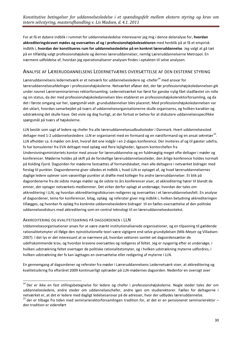For at få et dybere indblik i rummet for uddannelsesledelse interesserer jeg mig i denne delanalyse for, **hvordan akkrediteringskravet mødes og oversættes af og i professionshøjskolesektoren** med henblik på at få et empirisk indblik i, **hvordan der konstitueres rum for uddannelsesledelse på en konkret læreruddannelse**. Jeg valgt at gå tæt på en tilfældig valgt professionshøjskole og dennes læreruddannelser, nemlig Læreruddannelserne Metropol. En nærmere udfoldelse af, hvordan jeg operationaliserer analysen findes i optakten til selve analysen.

#### <span id="page-29-0"></span>ANALYSE AF LÆRERUDDANNELSENS LEDERNETVÆRKS OVERSÆTTELSE AF DEN EKSTERNE STYRING

Læreruddannelsens ledernetværk er et netværk for uddannelsesledere og -chefer<sup>14</sup> med ansvar for læreruddannelsesafdelinger i professionshøjskolerne. Netværket afløser det, der før professionshøjskoledannelsen gik under navnet Lærerseminariernes rektorforsamling. Ledernetværket har først for ganske nylig fået stadfæstet sin rolle og sin status, da der med professionshøjskoledannelsen blev etableret en professionshøjskolerektorforsamling, og da det i første omgang var her, spørgsmål vedr. grunduddannelser blev placeret. Med professionshøjskoledannelsen var det uklart, hvordan samarbejdet på tværs af uddannelsesorganisationerne skulle organiseres, og hvilken karakter og udstrækning det skulle have. Det viste sig dog hurtigt, at der fortsat er behov for at diskutere uddannelsesspecifikke spørgsmål på tværs af højskolerne.

LLN består som sagt af ledere og chefer fra alle læreruddannelsesudbudssteder i Danmark. Hvert uddannelsessted deltager med 1-2 uddannelsesledere. LLN er organiseret med en formand og en næstformand og en ansat sekretær<sup>15</sup>. LLN afholder ca. 6 møder om året, hvoraf det ene indgår i en 2-dages konference. Der inviteres af og til gæster udefra, fx har konsulenter fra EVA deltaget med oplæg ved flere lejligheder, ligesom kontorchefen fra Undervisningsministeriets kontor med ansvar for læreruddannelse og en fuldmægtig meget ofte deltager i møder og konferencer. Møderne holdes på skift på de forskellige læreruddannelsessteder, den årlige konference holdes normalt på Kolding Fjord. Dagsorden for møderne fastsættes af formandskabet, men alle deltagere i netværket bidrager med forslag til punkter. Dagsordenerne giver således et indblik i, hvad LLN er optaget af, og hvad læreruddannelsernes daglige ledere oplever som væsentlige punkter at drøfte med kolleger fra andre læreruddannelser. Et blik på dagsordenerne fra de sidste mange møder og de sidste to års konferencer viser, at akkreditering hører til blandt de emner, der optager netværkets medlemmer. Det virker derfor oplagt at undersøge, hvordan der tales om akkreditering i LLN, og hvordan akkrediteringsdiskursen redigeres og oversættes i et læreruddannelsesfelt. En analyse af dagsordener, tema for konferencer, bilag, oplæg og referater giver mig indblik i, hvilken betydning akkrediteringen tillægges, og hvordan fx oplæg fra konkrete uddannelsesledere bidrager til en fælles oversættelse af den politiske uddannelsesdiskurs med akkreditering som en central teknologi til en læreruddannelseskontekst.

#### <span id="page-29-1"></span>AKKREDITERING OG KVALITETSSIKRING PÅ DAGSORDENEN I LLN

1

Uddannelsesorganisationer anses for at være stærkt institutionaliserede organisationer, og en tilpasning til gældende rationalitetsmyter vil ifølge den nyinstitutionelle teori være vigtigere end selve grundydelsen (Mik-Meyer og Villadsen: 2007). I det lys er det interessant at se nærmere på, hvordan sektoren samlet set dagsordensætter de udefrakommende krav, og hvordan kravene oversættes og redigeres af feltet. Jeg er nysgerrig efter at undersøge, i hvilken udstrækning feltet overtager de politiske rationalitetsmyter, og i hvilken udstrækning myterne udfordres, i hvilken udstrækning der fx kan iagttages en oversættelse eller redigering af myterne i LLN.

En gennemgang af dagsordener og referater fra møder i Læreruddannelsens Ledernetværk viser, at akkreditering og kvalitetssikring fra efteråret 2009 kontinuerligt optræder på LLN-mødernes dagsorden. Nedenfor en oversigt over

<sup>&</sup>lt;sup>14</sup> Der er ikke en fast stillingsbetegnelse for ledere og chefer i professionshøjskolerne. Nogle steder tales der om uddannelsesledere, andre steder om uddannelseschefer, andre igen om studierektorer. Fælles for deltagerne i netværket er, at det er ledere med dagligt ledelsesansvar på de adresser, hvor der udbydes læreruddannelse.

 $15$  der er tilbage fra tiden med seminarierektorforsamlingen tradition for, at det er en pensioneret seminarierektor – den tradition er videreført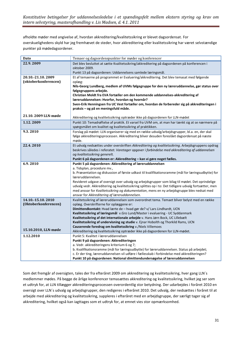afholdte møder med angivelse af, hvordan akkreditering/kvalitetssikring er blevet dagsordensat. For overskuelighedens skyld har jeg fremhævet de steder, hvor akkreditering eller kvalitetssikring har været selvstændige punkter på mødedagsordener.

| Dato                 | Temaer og dagsordenspunkter for møder og konferencer                                                                                                                       |
|----------------------|----------------------------------------------------------------------------------------------------------------------------------------------------------------------------|
| 22.9.2009            | Det blev besluttet at sætte Kvalitetssikring/akkreditering på dagsordenen på konferencen i                                                                                 |
|                      | oktober 2009.                                                                                                                                                              |
|                      | Punkt 13 på dagsordenen: Uddannelsens samlede læringsmål.                                                                                                                  |
| 20.10.-21.10.2009    | Et af temaerne på programmet er Evaluering/akkreditering. Det blev temasat med følgende                                                                                    |
| (oktoberkonferencen) | oplæg:                                                                                                                                                                     |
|                      | Nils-Georg Lundberg, medlem af UVMs følgegruppe for den ny læreruddannelse, gør status over                                                                                |
|                      | følgegruppens arbejde.<br>Christian Moldt fra EVA fortæller om den kommende uddannelses-akkreditering af                                                                   |
|                      | læreruddannelsen: Hvorfor, hvordan og hvornår?                                                                                                                             |
|                      | Sven-Erik Henningsen fra UC Vest fortæller om, hvordan de forbereder sig på akkrediteringen i                                                                              |
|                      | praksis – og på en meningsfuld måde.                                                                                                                                       |
|                      |                                                                                                                                                                            |
| 21.10. 2009 LLN-møde | Akkreditering og kvalitetssikring optræder ikke på dagsordenen for LLN-mødet                                                                                               |
| 1.12.2009            | Punkt 10: Temadrøftelse af praktik. Et varsel fra UVM om, at man har tænkt sig at se nærmere på                                                                            |
|                      | spørgsmålet om kvalitet og kvalitetssikring af praktikken.                                                                                                                 |
| 9.3.2010             | Forslag på mødet: LLN organiserer sig med en række udvalg/arbejdsgrupper, bl.a. en, der skal                                                                               |
|                      | følge akkrediteringsprocessen. Akkreditering bliver desuden foreslået dagsordensat på næste                                                                                |
|                      | møde.                                                                                                                                                                      |
| 22.4.2010            | Et udvalg nedsættes under overskriften Akkreditering og kvalitetssikring. Arbejdsgruppens opdrag                                                                           |
|                      | beskrives således i referatet: Varetager opgaver i forbindelse med akkreditering af uddannelsen<br>og kvalitetssikring generelt.                                           |
|                      | Punkt 6 på dagsordenen er: Akkreditering - kan vi gøre noget fælles.                                                                                                       |
|                      |                                                                                                                                                                            |
|                      |                                                                                                                                                                            |
| 6.9.2010             | Punkt 5 på dagsordenen: Akkreditering af læreruddannelsen<br>a. Tidsplan, procedure mv.,                                                                                   |
|                      | b. Præsentation og diskussion af første udkast til kvalifikationsramme (mål for læringsudbytte) for                                                                        |
|                      | læreruddannelsen.                                                                                                                                                          |
|                      | Revideret udgave af oversigt over udvalg og arbejdsgrupper som bilag til mødet. Det oprindelige                                                                            |
|                      | udvalg vedr. Akkreditering og kvalitetssikring splittes op i to: Det tidligere udvalg fortsætter, men                                                                      |
|                      | med ansvar for Kvalitetssikring og dokumentation, mens en ny arbejdsgruppe blev nedsat med                                                                                 |
|                      | ansvar for Akkreditering af læreruddannelsen.                                                                                                                              |
| 14.10.-15.10.2010    | Kvalitetssikring af læreruddannelsen som overordnet tema. Temaet bliver belyst med en række                                                                                |
| (Oktoberkonferencen) | oplæg. Overskrifterne for oplæggene er:                                                                                                                                    |
|                      | Dimittendkontakt: Hvad lærte de - hvad gør de? v/ Lars Lindhardt, UCN                                                                                                      |
|                      | Kvalitetssikring af læringsmål v. Gro Lund/Master i evaluering - UC Syddanmark                                                                                             |
|                      | Kvalitetssikring af det internationale arbejde v. Hans Jørn Bock, UC Lillebælt<br>Kvalitetssikring af undervisning og studie v. Ejnar Hobolth og Thorkild Rams, UCN        |
|                      | Causerende foredrag om kvalitetssikring v./Niels Villemoes                                                                                                                 |
| 15.10.2010, LLN-møde | Akkreditering og kvalitetssikring optræder ikke på dagsordenen for LLN-mødet.                                                                                              |
| 1.12.2010            | Punkt 5: Kvalitet i læreruddannelsen                                                                                                                                       |
|                      | Punkt 9 på dagsordenen: Akkrediteringen                                                                                                                                    |
|                      | a. Vedr. akkrediteringens kriterium 6 og 7;                                                                                                                                |
|                      | b. Kvalifikationsramme (mål for læringsudbytte) for læreruddannelsen. Status på arbejdet;                                                                                  |
|                      | c. Er der ting, læreruddannelsen vil udføre i fællesskab i forbindelse med akkrediteringen?<br>Punkt 10 på dagsordenen: National dimittendundersøgelse af læreruddannelsen |

Som det fremgår af oversigten, tales der fra efteråret 2009 om akkreditering og kvalitetssikring, hver gang LLN´s medlemmer mødes. På begge de årlige konferencer temasættes akkreditering og kvalitetssikring, hvilket jeg ser som et udtryk for, at LLN tillægger akkrediteringsprocessen overordentlig stor betydning. Der udarbejdes i foråret 2010 en oversigt over LLN´s udvalg og arbejdsgrupper, den redigeres i efteråret 2010. Det udvalg, der nedsættes i foråret til at arbejde med akkreditering og kvalitetssikring, suppleres i efteråret med en arbejdsgruppe, der særligt tager sig af akkreditering, hvilket også kan iagttages som et udtryk for, at emnet vies stor opmærksomhed.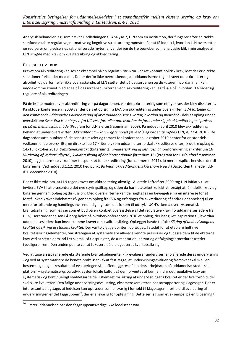Analytisk behandler jeg, som nævnt i indledningen til Analyse 2, LLN som en institution, der fungerer efter en række samfundsskabte regulative, normative og kognitive strukturer og mønstre. For at få indblik i, hvordan LLN oversætter og redigerer omgivelsernes rationaliserede myter, anvender jeg de tre begreber som analytiske blik i min analyse af LLN´s møde med krav om kvalitetssikring og akkreditering.

#### ET REGULATIVT BLIK

Kravet om akkreditering kan ses et eksempel på en regulativ struktur - et ret kontant politisk krav, idet der er direkte sanktioner forbundet med det. Det er derfor ikke overraskende, at uddannelserne tager kravet om akkreditering alvorligt, og derfor heller ikke overraskende, at LLN sætter det på dagsordenen og diskuterer, hvordan man kan imødekomme kravet. Ved at se på dagsordenspunkterne vedr. akkreditering kan jeg få øje på, hvordan LLN lader sig regulere af akkrediteringen.

På de første møder, hvor akkreditering var på dagordenen, var det akkreditering som et nyt krav, der blev diskuteret. På oktoberkonferencen i 2009 var der dels et oplæg fra EVA om akkreditering under overskriften: *EVA fortæller om den kommende uddannelses-akkreditering af læreruddannelsen: Hvorfor, hvordan og hvornår?* - dels et oplæg under overskriften: *Sven-Erik Henningsen fra UC Vest fortæller om, hvordan de forbereder sig på akkrediteringen i praksis – og på en meningsfuld måde* (Program for LLN´s efterårsseminar i 2009). På mødet i april 2010 blev akkreditering behandlet under overskriften: *Akkreditering – kan vi gøre noget fælles?* (Dagsorden til møde i LLN, d. 22.4. 2010). De dagsordensatte punkter på de seneste møder og temaet for konferencen i oktober 2010 henter for en stor dels vedkommende overskrifterne direkte i de 17 kriterier, som uddannelserne skal akkrediteres efter, fx de tre oplæg d. 14.-15. oktober 2010: *Dimittendkontakt* (kriterium 2), *kvalitetssikring af læringsmål* (omformulering af kriterium 16 *Vurdering af læringsudbytte*)*, kvalitetssikring af det internationale* (kriterium 13) (Program for LLN´s efterårsseminar 2010), og jo nærmere vi kommer tidspunktet for akkreditering (forsommeren 2011), jo mere eksplicit henvises der til kriterierne. Ved mødet d.1.12. 2010 hed punkt 9a *Vedr. akkrediteringens kriterium 6 og 7* (Dagsorden til møde i LLN d.1. december 2010).

Der er ikke tvivl om, at LLN tager kravet om akkreditering alvorlig. Allerede i efteråret 2009 tog LLN initiativ til at invitere EVA til at præsentere det nye styringstiltag, og siden da har netværket kollektivt forsøgt at få indblik i krav og kriterier gennem oplæg og diskussion. Med overskrifterne kan der iagttages en bevægelse fra en interesse for at forstå, hvad kravet indebærer (fx gennem oplæg fra EVA og erfaringer fra akkreditering af andre uddannelser) til en mere fortolkende og handlingsanvisende tilgang, som det fx kom til udtryk i UCN´s skema over systematisk kvalitetssikring, som jeg ser som et bud på en konkret oversættelse af det regulative krav. To uddannelsesledere fra UCN, Læreruddannelsen i Ålborg holdt på oktoberkonferencen i 2010 et oplæg, der har givet inspiration til, hvordan uddannelsesledere kan imødekomme kravet om kvalitetssikring. Oplægget havde to foki: *Sikring af undervisningens kvalitet* og *sikring af studiets kvalitet.* Der var to vigtige pointer i oplægget. I stedet for at etablere helt nye kvalitetssikringselementer, var strategien at systematisere allerede kendte praksisser og tilpasse dem til de eksterne krav ved at sætte dem ind i et skema, så tidspunkter, dokumentation, ansvar og opfølgningsprocedurer træder tydeligere frem. Den anden pointe var at fokusere på dialogbaseret kvalitetssikring.

Ved at tage afsæt i allerede eksisterende kvalitetselementer - fx evaluerer underviserne jo allerede deres undervisning - og ved at systematisere de kendte praksisser - fx at fastlægge, at undervisningsevaluering fremover skal ske i en bestemt uge, og at resultatet af evalueringen skal offentliggøres på holdets arbejdsrum på uddannelsesstedets itplatform – systematiseres og udvikles den lokale kultur, så den forventes at kunne indfri det regulative krav om systematisk og kontinuerligt kvalitetsarbejde. I skemaet for sikring af undervisningens kvalitet er der fire forhold, der skal sikre kvaliteten: Den årlige undervisningsevaluering, eksamenskarakterer, censorrapporter og klagesager. Det er interessant at iagttage, at ledelsen kun optræder som ansvarlig i forhold til klagesager. I forhold til evaluering af undervisningen er det faggruppen<sup>16</sup>, der er ansvarlig for opfølgning. Dette ser jeg som et eksempel på en tilpasning til

**.** 

 $16$  I læreruddannelsen har den faggruppeansvarlige ikke ledelsesansvar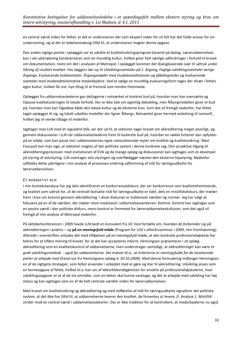en central værdi inden for feltet, at det er underviseren der som ekspert inden for sit felt har det fulde ansvar for sin undervisning, og at der er ledelsesmæssig tillid til, at underviseren magter denne opgave.

Den anden vigtige pointe i oplægget var at udvikle et kvalitetssikringsprogram baseret på dialog. Læreruddannelsen kan i vid udstrækning karakteriseres som en mundtlig kultur, hvilket giver helt særlige udfordringer i forhold til kravet om dokumentation, mere om det i analysen af Metropol. I oplægget kommer det dialogbaserede især til udtryk under *Sikring af studiets kvalitet*. Her læggers der op til *Udviklingssamtaler på 1. årgang, Faglige udviklingssamtaler øvrige årgange, Evaluerende holdsamtaler, Årgangsmøder med studiekoordinatorer og afdelingsleder og Evaluerende samtaler med studieadministrative medarbejdere.* Ved at vælge en mundtlig evalueringsform tages der afsæt i feltets egen kultur, hvilket får evt. nye tiltag til at fremstå som mindre fremmede.

Oplægget fra uddannelseslederne gav deltagerne i netværket et konkret bud på, hvordan man kan oversætte og tilpasse kvalitetssikringen til lokale forhold. Der er ikke tale om egentlig dekobling, men Ålborgmodellen giver et bud på, hvordan man kan tilgodese både den lokale kultur og de eksterne krav. Som det vil fremgå nedenfor, har feltet taget oplægget til sig, og lokalt udvikles modeller der ligner Ålborgs. Netværket giver hermed anledning til isomorfi, hvilket jeg vil vende tilbage til nedenfor.

Iagttager man LLN med et regulativt blik, ser det ud til, at sektoren tager kravet om akkreditering meget alvorligt, og gennem diskussioner i LLN når uddannelseslederne frem til konkrete bud på, hvordan en række kriterier kan opfyldes på en måde, som kan passe ind i uddannelsernes egne rationaliserede myter om kvalitet og kvalitetssikring. Med Foucault kan man sige, at sektoren magtes af det politiske system i denne konkrete sag. Den proaktive tilgang til akkrediteringsprocessen med invitationen af EVA og de mange oplæg og diskussioner kan iagttages som et eksempel på styring af selvstyring. LLN overtager selv styringen og overflødiggør næsten den eksterne topstyring. Nedenfor udfoldes dette yderligere i min analyse af processen omkring udformning af mål for læringsudbytte for læreruddannelsen.

#### ET NORMATIVT BLIK

I min kontekstanalyse har jeg dels identificeret en konkurrencediskurs, der ser konkurrence som kvalitetsfremmende, og kvalitet som udtryk for, at de centralt fastsatte mål for læringsudbytte er nået, dels en mistillidsdiskurs, der træder frem i krav om kontrol gennem akkreditering. I disse diskurser er indskrevet værdier og normer. Jeg har valgt at fokusere på en af de værdier, der møder mest modstand i uddannelsesverdenen: Kontrol. Kontrol kan iagttages som en positiv værdi i den politiske diskurs, mens kontrol er fremmed for læreruddannelseskulturen, som det også vil fremgå af min analyse af Metropol nedenfor.

På oktoberkonferencen i 2009 havde LLN bedt en konsulent fra UC Vest fortælle om, *hvordan de forbereder sig på akkrediteringen i praksis – og på en meningsfuld måde* (Program for LLN´s efterårsseminar i 2009, min fremhævning). Allerede i overskriften antydes det med tilføjelsen *på en meningsfuld måd*e, at den konkrete professionshøjskole har behov for at tilføre mening til kravet, for at det kan accepteres internt. Henningsen præsenterer i sit oplæg akkreditering som en kvalitetskontrol af uddannelserne, men understreger samtidigt, at *akkrediteringer kan være et godt udviklingsredskab - også for uddannelserne. Det kræver bl.a., at kriterierne er meningsfulde for de involverede parter at arbejde med* (hand-out fra Henningsens oplæg d. 20.10.2009). Med denne formulering indfanger Henningsen en af de vigtigste strategier, som feltet anvender i arbejdet med at gøre sig klar til akkreditering. Udvikling anses som en kerneopgave af feltet, hvilket bl.a. kan ses af lektorbekendtgørelsen for ansatte på professionshøjskolerne, hvor udviklingsopgaver er et af de tre områder, som en lektor skal kunne varetage, og det at arbejde med udvikling har høj status og kan iagttages som en af de helt centrale værdier inden for læreruddannelsen.

Med kravet om kvalitetssikring og akkreditering og med indførelse af mål for læringsudbytte signalerer det politiske system, at det ikke har tillid til, at uddannelserne leverer den kvalitet, de forventes at levere, jf. Analyse 1. Mistillid strider mod en central værdi i uddannelsessektoren. Der er ikke tradition for at kontrollere, at medarbejderne nu også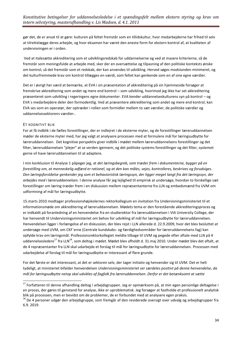gør det, de er ansat til at gøre: kulturen på feltet fremstår som en tillidskultur, hvor medarbejderne har frihed til selv at tilrettelægge deres arbejde, og hvor eksamen har været den eneste form for ekstern kontrol af, at kvaliteten af undervisningen er i orden.

Ved at italesætte akkreditering som et udviklingsredskab for uddannelserne og ved at masere kriterierne, så de fremstår som meningsfulde at arbejde med, sker der en oversættelse og tilpasning af den politiske konteksts ønske om kontrol, så det fremstår som et redskab, der kan anvendes til udvikling. Herved søges modstanden minimeret, og det kulturfremmede krav om kontrol tillægges en værdi, som feltet kan genkende som en af sine egne værdier.

Det er i øvrigt her værd at bemærke, at EVA i sin præsentation af akkreditering på sin hjemmeside forsøger at fremskrive akkreditering som andet og mere end kontrol – som udvikling, hvorimod jeg ikke har set akkreditering præsenteret som udvikling i regeringens egne dokumenter. EVA kender uddannelseskulturens syn på kontrol – og EVA´s medarbejdere deler den formodentlig. Ved at præsentere akkreditering som andet og mere end kontrol, kan EVA ses som en operatør, der optræder i rollen som formidler mellem to sæt værdier, de politiske værdier og uddannelsessektorens værdier..

#### ET KOGNITIVT BLIK

1

For at få indblik i de fælles forestillinger, der er indlejret i de eksterne myter, og de forestillinger læreruddannelsen møder de eksterne myter med, har jeg valgt at analysere processen med at formulere mål for læringsudbytte for læreruddannelsen. Det kognitive perspektiv giver indblik i mødet mellem læreruddannelsens forestillinger og det filter, læreruddannelsen "plejer" at se verden igennem, og det politiske systems forestillinger og det filter, systemet gerne vil have læreruddannelsen til at adaptere.

I min konklusion til Analyse 1 påpeger jeg, at *det læringsbegreb, som træder frem i dokumenterne, bygger på en forestilling om, at menneskelig adfærd er rationel, og at den kan måles, vejes, kontrolleres, beskrives og forudsiges. Den læringsforståelse genkender jeg som et behavioristisk læringssyn, der ligger meget langt fra det læringssyn, der arbejdes med i læreruddannelsen.* I denne analyse får jeg lejlighed til empirisk at undersøge, hvordan to forskellige sæt forestillinger om læring træder frem i en diskussion mellem repræsentanterne fra LLN og embedsmænd fra UVM om udformning af mål for læringsudbytte.

15.marts 2010 modtager professionshøjskolernes rektorkollegium en invitation fra Undervisningsministeriet til et informationsmøde om akkreditering af læreruddannelsen. Mødets tema er den forestående akkrediteringsproces og er indkaldt på foranledning af en henvendelse fra en studierektor fra læreruddannelsen i VIA University College, der har henvendt til Undervisningsministeriet om behov for udvikling af mål for læringsudbytte for læreruddannelsen. Henvendelsen ligger i forlængelse af en diskussion, der blev rejst i LLN allerede d. 22.9.2009, hvor det blev besluttet at undersøge med UVM, om CKF´erne (Centrale kundskabs- og færdighedsområder for læreruddannelsens fag) kan opfylde krav om læringsmål. Professionsrektorkollegiet meldte tilbage til UVM og pegede efter aftale med LLN på 4 uddannelsesledere<sup>17</sup> fra LLN<sup>18</sup>, som deltog i mødet. Mødet blev afholdt d. 31.maj 2010. Under mødet blev det aftalt, at de 4 repræsentanter fra LLN skal udarbejde et forslag til mål for læringsudbytte for læreruddannelsen. Processen med udarbejdelse af forslag til mål for læringsudbytte er interessant af flere grunde.

For det første er det interessant, at det er sektoren selv, der tager initiativ og henvender sig til UVM. Det er helt tydeligt, at ministeriet bifalder henvendelsen *Undervisningsministeriet ser særdeles positivt på denne henvendelse, da mål for læringsudbytte netop skal udvikles af fagfolk fra læreruddannelsen. Derfor er det betænksomt at sætte* 

<sup>&</sup>lt;sup>17</sup> Forfatteren til denne afhandling deltog i arbejdsgruppen. Jeg er opmærksom på, at min egen personlige deltagelse i en proces, der gøres til genstand for analyse, ikke er uproblematisk. Jeg forsøger at fastholde et professionelt analytisk blik på processen, men er bevidst om de problemer, de er forbundet med at analysere egen praksis.

<sup>&</sup>lt;sup>18</sup> De 4 personer udgør den arbejdsgruppe, som fremgår af den reviderede oversigt over udvalg og arbejdsgrupper fra 6.9. 2019.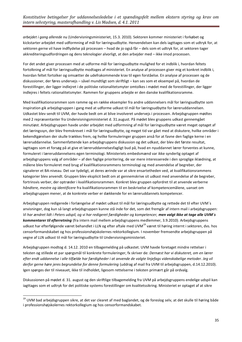*arbejdet i gang allerede nu* (Undervisningsministeriet, 15.3. 2010). Sektoren kommer ministeriet i forkøbet og kickstarter arbejdet med udformning af mål for læringsudbytte. Henvendelsen kan dels iagttages som et udtryk for, at sektoren gerne vil have indflydelse på processen – hvad de jo også får – dels som et udtryk for, at sektoren tager akkrediteringsudfordringen og dens teknologier alvorligt, at den arbejder med – ikke imod processen.

For det andet giver processen med at udforme mål for læringsudbytte mulighed for et indblik i, hvordan feltets fortolkning af mål for læringsudbytte modtages af ministeriet. En analyse af processen giver mig et konkret indblik i, hvordan feltet fortolker og omsætter de udefrakommende krav til egen forståelse. En analyse af processen og de diskussioner, der føres undervejs – såvel mundtligt som skriftligt – kan ses som et eksempel på, hvordan de forestillinger, der ligger indlejret i de politiske rationalitetsmyter omtolkes i mødet med de forestillinger, der ligger indlejres i feltets rationalitetsmyter. Rammen for gruppens arbejde er den danske kvalifikationsramme.

Med kvalifikationsrammen som ramme og en række eksempler fra andre uddannelsers mål for læringsudbytte som inspiration gik arbejdsgruppen i gang med at udforme udkast til mål for læringsudbytte for læreruddannelsen. Udkastet blev sendt til UVM, der havde bedt om at blive involveret undervejs i processen. Arbejdsgruppen mødtes med 2 repræsentanter fra Undervisningsministeriet d. 31.august. På mødet blev gruppens udkast gennemgået minutiøst. Arbejdsgruppen havde under arbejdet med udformning af mål for læringsudbytte været meget optaget af det læringssyn, der blev fremskrevet i mål for læringsudbytte, og meget tid var gået med at diskutere, hvilke områder i bekendtgørelsen der skulle trækkes frem, og hvilke formuleringer gruppen anså for at favne den faglige kerne i en læreruddannelse. Sammenfattende kan arbejdsgruppens diskussion og det udkast, der blev det første resultat, iagttages som et forsøg på at give et læreruddannelsesfagligt bud på, hvad en nyuddannet lærer forventes at kunne, formuleret i læreruddannelsens egen terminologi. Ministeriets embedsmænd var ikke synderlig optaget af arbejdsgruppens valg af områder – af den faglige prioritering, de var mere interesserede i den sproglige iklædning, at målene blev formuleret med brug af kvalifikationsrammens terminologi og med anvendelse af begreber, der signalerer et BA-niveau. Det var tydeligt, at deres ærinde var at sikre ensartetheden ved, at kvalifikationsrammens kategorier blev anvendt. Gruppen blev eksplicit bedt om at gennemskrive sit udkast med anvendelse af de begreber, fortrinsvis verber, der optræder i kvalifikationsrammen. Konkret blev gruppen opfordret til at anvende verberne *håndtere, mestre og identificere* fra kvalifikationsrammen til en beskrivelse af kompetencemålene, uanset om arbejdsgruppen mener, at de konkrete verber er dækkende for en læreruddannets kompetencer.

Arbejdsgruppen redigerede i forlængelse af mødet udkast til mål for læringsudbytte og rettede det til efter UVM´s anvisninger, dog kun så langt arbejdsgruppen kunne stå inde for det, som det fremgår af intern mail i arbejdsgruppen: *Vi har ændret lidt i Peters udspil, og vi har redigeret færdigheder og kompetencer, men valgt ikke at tage alle UVM´s kommentarer til efterretning* (fra intern mail mellem arbejdsgruppens medlemmer, 3.9.2010). Arbejdsgruppens udkast har efterfølgende været behandlet i LLN og efter aftale med UVM<sup>19</sup> været til høring internt i sektoren, dvs. hos censorformandskabet og hos professionshøjskolernes rektorkollegium. I november fremsendte arbejdsgruppen på vegne af LLN udkast til mål for læringsudbytte til Undervisningsministeriet.

Arbejdsgruppen modtog d. 14.12. 2010 en tilbagemelding på udkastet. UVM havde foretaget mindre rettelser i teksten og stillede et par spørgsmål til konkrete formuleringer, fx skriver de: *Dernæst har vi diskuteret, om en lærer efter endt uddannelse i alle tilfælde har færdigheder i at anvende de valgte linjefags videnskabelige metoder. Jeg vil derfor gerne høre jeres begrundelse for denne formulering* (uddrag af mail fra UVM til arbejdsgruppen, d.14.12.2010). Igen spørges der til niveauet, ikke til indholdet, ligesom rettelserne i teksten primært går på ordvalg.

Diskussionen på mødet d. 31. august og den skriftlige tilbagemelding fra UVM på arbejdsgruppens endelige udspil kan iagttages som et udtryk for det politiske systems forestillinger om kvalitetssikring. Ministeriet er optaget af at sikre

1

<sup>&</sup>lt;sup>19</sup> UVM bad arbejdsgruppen sikre, at det var clearet af med baglandet, og de foreslog selv, at det skulle til høring både i professionshøjskolernes rektorkollegium og hos censorformandskabet.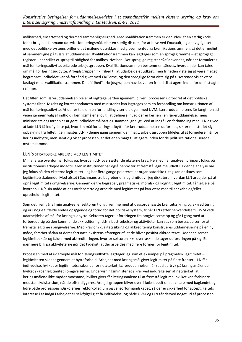målbarhed, ensartethed og dermed sammenlignelighed. Med kvalifikationsrammen er der udviklet en særlig kode – for at bruge et Luhmann udtryk - for læringsmål, eller en særlig diskurs, for at blive ved Foucault, og det vigtige set med det politiske systems briller er, at målene udtrykkes med gloser hentet fra kvalifikationsrammen, så det er muligt at sammenligne på tværs af uddannelser. Kvalifikationsrammen kan iagttages som en sproglig ramme – et sprogligt register – der stiller et sprog til rådighed for målbeskrivelser. Det sproglige register *skal* anvendes, når der formuleres mål for læringsudbytte, erfarede arbejdsgruppen. Kvalifikationsrammen bestemmer således, hvordan der kan tales om mål for læringsudbytte. Arbejdsgruppen fik frihed til at udarbejde et udkast, men friheden viste sig at være meget begrænset. Indholdet var på forhånd givet med CKF´erne, og den sproglige form viste sig på tilsvarende vis at være fastlagt med kvalifikationsrammen. Den "frihed" arbejdsgruppen havde, var en frihed til at agere inden for de fastlagte rammer.

Det filter, som læreruddannelsen plejer at iagttage verden igennem, bliver i processen udfordret af det politiske systems filter. Mødet og korrespondancen med ministeriet kan iagttages som en forhandling om konstruktionen af mål for læringsudbytte. At der er tale om en forhandling viser dialogen med UVM. Læreruddannelsens får langt hen ad vejen gennem valg af indhold i læringsmålene lov til at definere, hvad der er kernen i en læreruddannelse, mens ministeriets dagsorden er at gøre indholdet målbart og sammenligneligt. Ved at indgå i en forhandling med LLN og ved at lade LLN få indflydelse på, hvordan mål for læringsudbytte for læreruddannelsen udformes, sikrer ministeriet sig opbakning fra feltet. Igen magtes LLN - denne gang gennem den magt, arbejdsgruppen tildeles til at formulere mål for læringsudbytte, men samtidig viser processen, at det er en magt til at agere inden for de politiske rationaliserede myters ramme.

#### <span id="page-35-0"></span>LLN´S STRATEGISKE ARBEJDE MED LEGITIMITET

Min analyse ovenfor har fokus på, hvordan LLN oversætter de eksterne krav. Hermed har analysen primært fokus på institutionens arbejde indadtil. Men institutioner har også behov for at fremstå legitime udadtil. I denne analyse har jeg fokus på den eksterne legitimitet. Jeg har flere gange pointeret, at organisatoriske tiltag kan anskues som legitimitetsskabende. Med afsæt i Suchmans tre begreber om legitimitet vil jeg diskutere, hvordan LLN arbejder på at opnå legitimitet i omgivelserne. Gennem de tre begreber, pragmatiske, moralsk og kognitiv legitimitet, får jeg øje på, hvordan LLN´s sin måde at dagsordensætte og arbejde med legitimitet på kan være med til at skabe og/eller opretholde legitimitet.

Som det fremgår af min analyse, er sektoren tidligt fremme med at dagsordensætte kvalitetssikring og akkreditering og er i nogle tilfælde endda opsøgende og forud for det politiske system, fx når LLN retter henvendelse til UVM vedr. udarbejdelse af mål for læringsudbytte. Sektoren tager udfordringen fra omgivelserne op og går i gang med at forberede sig på den kommende akkreditering. LLN´s bestræbelser og aktiviteter kan ses som bestræbelser for at fremstå legitime i omgivelserne. Med krav om kvalitetssikring og akkreditering konstrueres uddannelserne på en ny måde, forstået sådan at deres fortsatte eksistens afhænger af, at de bliver positivt akkrediteret. Uddannelsernes legitimitet står og falder med akkrediteringen, hvorfor sektoren ikke overraskende tager udfordringen på sig. Et nærmere blik på aktiviteterne gør det tydeligt, at der arbejdes med flere former for legitimitet.

Processen med at udarbejde mål for læringsudbytte iagttager jeg som et eksempel på pragmatisk legitimitet – legitimiteten skabes gennem et bytteforhold. Arbejdet med læringsmål giver legitimitet på flere fronter. LLN får indflydelse, hvilket er legitimitetsskabende for netværket, læreruddannelsen får sat sit aftryk på læringsmålende, hvilket skaber legitimitet i omgivelserne, Undervisningsministeriet sikrer ved inddragelsen af netværket, at læringsmålene ikke møder modstand, hvilket giver får læringsmålene til at fremstå legitime, hvilket kan forhindre modstand/diskussion, når de offentliggøres. Arbejdsgruppen bliver oven i købet bedt om at cleare med baglandet og høre både professionshøjskolernes rektorkollegium og censorformandskabet, så der er sikkerhed for accept. Feltets interesse i at indgå i arbejdet er selvfølgelig at få indflydelse, og både UVM og LLN får derved noget ud af processen.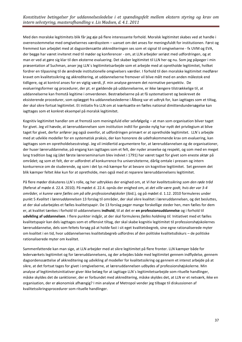Med den moralske legitimitets blik får jeg øje på flere interessante forhold. Moralsk legitimitet skabes ved at handle i overensstemmelse med omgivelsernes værdisystem – uanset om det anses for meningsfuldt for institutionen. Først og fremmest kan arbejdet med at dagsordensætte akkrediteringen ses som et signal til omgivelserne - fx UVM og EVA, der begge har været inviteret med til møder og konferencer - om, at LLN arbejder seriøst med udfordringen, og at man er ved at gøre sig klar til den eksterne evaluering. Det skaber legitimitet til LLN her og nu. Som jeg påpeger i min præsentation af Suchman, anser jeg LLN´s legitimitetsarbejde som et arbejde med at opretholde legitimitet, hvilket fordrer en tilpasning til de ændrede institutionelle omgivelsers værdier. I forhold til den moralske legitimitet medfører kravet om kvalitetssikring og akkreditering, at uddannelserne fremover vil blive målt med en anden målestok end tidligere, og at kontrol anses for en vigtig værdi, jf. min analyse gennem det normative perspektiv. De evalueringsformer og procedurer, der pt. er gældende på uddannelserne, er ikke længere tilstrækkelige til, at uddannelserne kan fremstå legitime i omverdenen. Bestræbelserne på at få systematiseret og beskrevet de eksisterende procedurer, som oplægget fra uddannelseslederne i Ålborg var et udtryk for, kan iagttages som et tiltag, der skal sikre fortsat legitimitet. Et initiativ fra LLN om at iværksætte en fælles national dimittendundersøgelse kan iagttages som et konkret eksempel på moralsk legitimitet.

Kognitiv legitimitet handler om at fremstå som meningsfuld eller selvfølgelig – at man som organisation bliver taget for givet. Jeg vil hævde, at læreruddannelsen som institution indtil for ganske nylig har nydt det privilegium at blive taget for givet, derfor anfører jeg også ovenfor, at udfordringen primært er at opretholde legitimitet. LLN´s arbejde med at udvikle modeller for en systematisk praksis, der kan honorere de udefrakommende krav om evaluering, kan iagttages som en opretholdelsesstrategi. Jeg vil imidlertid argumentere for, at læreruddannelsen og de organisationer, der huser læreruddannelse, på engang kan iagttages som et felt, der nyder anseelse og respekt, og som med en meget lang tradition bag sig (det første lærerseminarium blev indviet i 1791) har været taget for givet som eneste aktør på området; og som et felt, der er udfordret af konkurrence fra universiteterne, dårlig omtale i pressen og intern konkurrence om de studerende, og som i det lys må kæmpe for at bevare sin kognitive legitimitet. Set gennem det blik kæmper feltet ikke kun for at opretholde, men også med at reparere læreruddannelsens legitimitet.

På flere møder diskuteres LLN´s rolle, og her udtrykkes der enighed om, at *Vi har kvalitetssikring som den røde tråd* (Referat af møde d. 22.4. 2010). På mødet d. 22.4. opnås der enighed om, at *det ville være godt, hvis der var 3-4 områder, vi kunne være fælles om på alle professionshøjskoler* (ibid.)*,* og på mødet d. 1.12. 2010 formuleres under punkt 5 *Kvalitet i læreruddannelsen* 13 forslag til områder, der skal sikre kvalitet i læreruddannelsen, og det besluttes, at der skal udarbejdes et fælles kvalitetspapir. De 13 forslag peger mange forskellige steder hen, men fælles for dem er, at kvalitet tænkes i forhold til uddannelsens **indhold**, til at det er **en professionsuddannelse** og i forhold til **udvikling af uddannelsen**. I flere punkter indgår, at der skal formuleres *fælles holdning til.* Initiativet med et fælles kvalitetspapir kan dels iagttages som et offensivt tiltag, der skal skabe kognitiv legitimitet til professionshøjskolernes læreruddannelse, dels som feltets forsøg på at holde fast i sit eget kvalitetsbegreb, sine egne rationaliserede myter om kvalitet i en tid, hvor uddannelsernes kvalitetsbegreb udfordres af den politiske kvalitetsdiskurs – de politiske rationaliserede myter om kvalitet.

Sammenfattende kan man sige, at LLN arbejder med at sikre legitimitet på flere fronter. LLN kæmper både for lederværkets legitimitet og for læreruddannelsens, og der arbejdes både med legitimitet gennem indflydelse, gennem dagsordenssættelse af akkreditering og udvikling af modeller for kvalitetssikring og gennem et intenst arbejde på at sikre, at det fortsat tages for givet i omgivelserne, at læreruddannelsen udbydes af professionshøjskolerne. Min analyse af legitimitetsinitiativer giver ikke belæg for at iagttage LLN´s legitimitetsarbejde som rituelle handlinger, måske skyldes det de sanktioner, der er forbundet med akkreditering, måske skyldes det, at LLN er et netværk, ikke en organisation, der er økonomisk afhængig? I min analyse af Metropol vender jeg tilbage til diskussionen af kvalitetssikringsprocedurer som rituelle handlinger.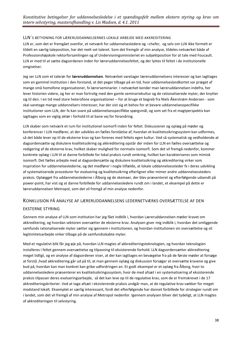#### <span id="page-37-0"></span>LLN´S BETYDNING FOR LÆRERUDDANNELSERNES LOKALE ARBEJDE MED AKKREDITERING

LLN er, som det er fremgået ovenfor, et netværk for uddannelsesledere og –chefer, og selv om LLN ikke formelt er tildelt en særlig taleposition, har det reelt set taleret. Som det fremgår af min analyse, tildeles netværket både af Professionshøjskole rektorforsamlingen og af Undervisningsministeriet en subjektposition for at tale med Foucault. LLN er med til at sætte dagsordenen inden for læreruddannelsesfeltet, og der lyttes til feltet i de institutionelle omgivelser.

Jeg ser LLN som et talerør for **læreruddannelsen**. Netværket varetager læreruddannelsens interesser og kan iagttages som en gammel institution i den forstand, at det peger tilbage på en tid, hvor uddannelseslandkortet var præget af mange små homofone organisationer, fx lærerseminarier. I netværket kender man læreruddannelsen indefra, her lever historien videre, og her er man fortrolig med den gamle seminariekultur og de rationaliserede myter, der knytter sig til den. I en tid med store heterofone organisationer – for at bruge et begreb fra Niels Åkerstrøm Andersen - som skal varetage mange uddannelsers interesser, har der vist sig et behov for at bevare uddannelsesspecifikke institutioner som LLN, der fx kan svare på uddannelsesspecifikke spørgsmål, og som set fra et magtperspektiv kan iagttages som en vigtig aktør i forhold til at bane vej for forandring.

LLN skaber som netværk et rum for institutionel isomorfi inden for feltet. Diskussioner og oplæg på møder og konferencer i LLN medfører, at der udvikles en fælles forståelse af, hvordan et kvalitetssikringssystem kan udformes, så det både lever op til de eksterne krav og kan forenes med feltets egen kultur. Ved så systematisk og vedholdende at dagsordensætte og diskutere kvalitetssikring og akkreditering opstår der inden for LLN en fælles oversættelse og redigering af de eksterne krav, hvilket skaber mulighed for normativ isomorfi. Som det vil fremgå nedenfor, kommer konkrete oplæg i LLN til at danne forbillede for lokal praksis rundt omkring, hvilket kan karakteriseres som mimisk isomorfi. Det fælles arbejde med at dagsordensætte og diskutere kvalitetssikring og akkreditering virker som inspiration for uddannelseslederne, og det medfører i nogle tilfælde, at lokale uddannelsessteder fx i deres udvikling af systematiserede procedurer for evaluering og kvalitetssikring efterligner eller mimer andre uddannelsessteders praksis. Oplægget fra uddannelseslederne i Ålborg og de skemaer, der blev præsenteret og efterfølgende udsendt på power-point, har vist sig at danne forbillede for uddannelsesledere rundt om i landet, et eksempel på dette er læreruddannelsen Metropol, som det vil fremgå af min analyse nedenfor.

#### <span id="page-37-1"></span>KONKLUSION PÅ ANALYSE AF LÆRERUDDANNELSENS LEDERNETVÆRKS OVERSÆTTELSE AF DEN

#### EKSTERNE STYRING

Gennem min analyse af LLN som institution har jeg fået indblik i, hvordan Læreruddannelsen møder kravet om akkreditering, og hvordan sektoren oversætter de eksterne krav. Analysen giver mig indblik i, hvordan det omliggende samfunds rationaliserede myter sætter sig igennem i institutionen, og hvordan institutionen sin oversættelse og sit legitimitetsarbejde virker tilbage på de samfundsskabte myter.

Med et regulativt blik får jeg øje på, hvordan LLN magtes af akkrediteringsteknologien, og hvordan teknologien installeres i feltet gennem oversættelse og tilpasning til eksisterende forhold. LLN dagsordensætter akkreditering meget tidligt, og en analyse af dagsordener viser, at der kan iagttages en bevægelse fra på de første møder at forsøge at forstå ,hvad akkreditering går ud på til, at man gennem oplæg og diskussion forsøger at oversætte kravene og give bud på, hvordan kan man konkret kan gribe udfordringen an. Et godt eksempel er et oplæg fra Ålborg, hvor to uddannelsesledere præsenterer en kvalitetssikringsssystem, hvor de med afsæt i en systematisering af eksisterende praksis tilpasser deres evalueringsarbejde, så det kan leve op til de regulative krav, som de er fremskrevet i de 17 akkrediteringskriterier. Ved at tage afsæt i eksisterende praksis undgår man, at de regulative krav vækker for meget modstand lokalt. Eksemplet er særlig interessant, fordi det efterfølgende har dannet forbillede for strategier rundt om i landet, som det vil fremgå af min analyse af Metropol nedenfor. Igennem analysen bliver det tydeligt, at LLN magtes af akkrediteringen til selvstyring.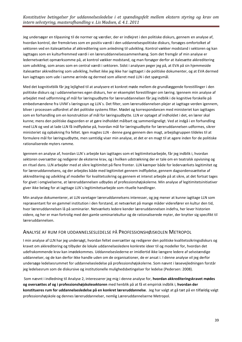Jeg undersøger en tilpasning til de normer og værdier, der er indlejret i den politiske diskurs, gennem en analyse af, hvordan kontrol, der fremskrives som en positiv værdi i den uddannelsespolitiske diskurs, forsøges omfortolket af sektoren ved en italesættelse af akkreditering som anledning til udvikling. Kontrol vækker modstand i sektoren og kan iagttages som en kulturfremmed værdi i en læreruddannelsessammenhæng. Som det fremgår af min analyse er ledernetværket opmærksomme på, at kontrol vækker modstand, og man forsøger derfor at italesætte akkreditering som udvikling, som anses som en central værdi i sektoren. Sidst i analysen peger jeg på, at EVA på sin hjemmeside italesætter akkreditering som udvikling, hvilket ikke jeg ikke har iagttaget i de politiske dokumenter, og at EVA dermed kan iagttages som ude i samme ærinde og dermed som allieret med LLN i det spørgsmål.

Med det kognitivtblik får jeg lejlighed til at analysere et konkret møde mellem de grundlæggende forestillinger i den politiske diskurs og i uddannelsernes egen diskurs, her er eksemplet forestillinger om læring. Igennem min analyse af arbejdet med udformning af mål for læringsudbytte for læreruddannelsen får jeg indblik i de kognitive forskelle på embedsmændene fra UVM´s læringssyn og LLN´s. Det filter, som læreruddannelsen plejer at iagttage verden igennem, bliver i processen udfordret af det politiske systems filter. Mødet og korrespondancen med ministeriet kan iagttages som en forhandling om en konstruktion af mål for læringsudbytte. LLN er optaget af indholdet i det, en lærer skal kunne; mens den politiske dagsorden er at gøre indholdet målbart og sammenligneligt. Ved at indgå i en forhandling med LLN og ved at lade LLN få indflydelse på, hvordan mål for læringsudbytte for læreruddannelsen udformes, sikrer ministeriet sig opbakning fra feltet. Igen magtes LLN - denne gang gennem den magt, arbejdsgruppen tildeles til at formulere mål for læringsudbytte, men samtidig viser min analyse, at det er en magt til at agere inden for de politiske rationaliserede myters ramme.

Igennem en analyse af, hvordan LLN´s arbejde kan iagttages som et legitimitetsarbejde, får jeg indblik i, hvordan sektoren oversætter og redigerer de eksterne krav, og i hvilken udstrækning der er tale om en teatralsk opvisning og en rituel dans. LLN arbejder med at sikre legitimitet på flere fronter. LLN kæmper både for lederværkets legitimitet og for læreruddannelsens, og der arbejdes både med legitimitet gennem indflydelse, gennem dagsordenssættelse af akkreditering og udvikling af modeller for kvalitetssikring og gennem et intenst arbejde på at sikre, at det fortsat tages for givet i omgivelserne, at læreruddannelsen udbydes af professionshøjskolerne. Min analyse af legitimitetsinitiativer giver ikke belæg for at iagttage LLN´s legitimitetsarbejde som rituelle handlinger.

Min analyse dokumenterer, at LLN varetager læreruddannelsens interesser, og jeg mener at kunne iagttage LLN som repræsentant for en gammel institution i den forstand, at netværket på mange måder viderefører en kultur den tid, hvor læreruddannelsen lå på seminarier. Netværkets ledere kender læreruddannelsen indefra, her lever historien videre, og her er man fortrolig med den gamle seminariekultur og de rationaliserede myter, der knytter sig specifikt til læreruddannelsen.

#### <span id="page-38-0"></span>ANALYSE AF RUM FOR UDDANNELSESLEDELSE PÅ PROFESSIONSHØJSKOLEN METROPOL

I min analyse af LLN har jeg undersøgt, hvordan feltet oversætter og redigerer den politiske kvalitetssikringsdiskurs og kravet om akkreditering og tilbyder de lokale uddannelsesledere konkrete ideer til og modeller for, hvordan det udefrakommende krav kan imødekommes. Uddannelseslederne er imidlertid ikke længere ledere af selvstændige uddannelser, og de kan derfor ikke handle uden om de organisationer, de er ansat i. I denne analyse vil jeg derfor undersøge ledelsesrummet for uddannelsesledelse på professionshøjskolerne. Som nævnt i læsevejledningen forstår jeg ledelsesrum som de diskursive og institutionelle mulighedsbetingelser for ledelse (Pedersen: 2008).

Som nævnt i indledning til Analyse 2, interesserer jeg mig i denne analyse for, **hvordan akkrediteringskravet mødes og oversættes af og i professionshøjskolesektoren** med henblik på at få et empirisk indblik i, **hvordan der konstitueres rum for uddannelsesledelse på en konkret læreruddannelse**. Jeg har valgt at gå tæt på en tilfældig valgt professionshøjskole og dennes læreruddannelser, nemlig Læreruddannelserne Metropol.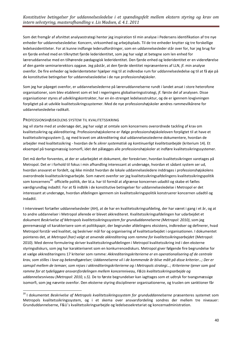Som det fremgår af afsnittet analysestrategi henter jeg inspiration til min analyse i Pedersens identifikation af tre nye enheder for uddannelsesledelse: Koncern, virksomhed og arbejdsplads. Til de tre enheder knytter sig tre forskellige ledelsesidentiteter. For at kunne indfange lederudfordringer, som en uddannelsesleder står over for, har jeg brug for en fjerde enhed med en tilknyttet fjerde lederidentitet, som jeg har valgt at betegne som len enhed for læreruddannelse med en tilhørende pædagogisk lederidentitet. Den fjerde enhed og lederidentitet er en videreførelse af den gamle seminarierektors opgave. Jeg påstår, at den fjerde identitet repræsenteres af LLN, jf. min analyse ovenfor. De fire enheder og lederidenteteter hjælper mig til at indkredse rum for uddannelsesledelse og til at få øje på de konstitutive betingelser for uddannelsesledelse i de nye professionshøjskoler.

Som jeg har påpeget ovenfor, er uddannelseslederne på læreruddannelserne rundt i landet ansat i store heterofone organisationer, som blev etableret som et led i regeringens globaliseringsstrategi, jf. første del af analysen. Disse organisationer styres af udviklingskontrakter, har en én-strenget ledelsesstruktur, og de er igennem lovgivningen forpligtet på at udvikle kvalitetssikringssystemer. Med de nye professionshøjskoler ændres rammevilkårene for uddannelsesledelse radikalt.

#### <span id="page-39-0"></span>PROFESSIONSHØJSKOLENS SYSTEM TIL KVALITETSSIKRING

1

Jeg vil starte med at undersøge det, jeg har valgt at omtale som koncernens overordnede tackling af krav om kvalitetssikring og akkreditering. Professionshøjskolerne er ifølge professionshøjskoleloven forpligtet til at have et kvalitetssikringssystem (), og med kravet om akkreditering skal uddannelsesstederne dokumentere, hvordan de arbejder med kvalitetssikring - hvordan de fx *sikrer systematisk og kontinuerligt kvalitetsarbejde* (kriterium 14). Et eksempel på tvangsmæssig isomorfi, idet det pålægges alle professionshøjskoler at indføre kvalitetssikringssystemer.

Det må derfor forventes, at der er udarbejdet et dokument, der foreskriver, hvordan kvalitetssikringen varetages på Metropol. Det er i forhold til fokus i min afhandling interessant at undersøge, hvordan et sådant system ser ud, hvordan ansvaret er fordelt, og ikke mindst hvordan de lokale uddannelsesledere inddrages i professionshøjskolens overordnede kvalitetssikringsarbejde. Som nævnt ovenfor ser jeg kvalitetssikringsafdelingens kvalitetssikringspolitik som koncernens<sup>20</sup> officielle politik, der bl.a. har til formål at afgrænse koncernen udadtil og skabe et fælles værdigrundlag indadtil. For at få indblik i de konstitutive betingelser for uddannelsesledelse i Metropol er det interessant at undersøge, hvordan afdelingen igennem sin kvalitetssikringspolitik konstruerer koncernen udadtil og indadtil.

I interviewet fortæller uddannelsesleder (AH), at de har en kvalitetssikringsafdeling, der har været i gang i et år, og at to andre uddannelser i Metropol allerede er blevet akkrediteret. Kvalitetssikringsafdelingen har udarbejdet et dokument *Beskrivelse af Metropols kvalitetssikringssystem for grunduddannelserne (Metropol: 2010)*, som jeg genremæssigt vil karakterisere som et politikpapir, der begrunder afdelingens eksistens, indkredser og definerer, hvad Metropol forstår ved kvalitet, og beskriver mål for og organisering af kvalitetsarbejdet i organisationen. I dokumentet pointeres det, at *Metropol (har) valgt at anvende akkreditering som ramme for kvalitetssikringsarbejdet (Metropol:* 2010). Med denne formulering skriver kvalitetssikringsafdelingen i Metropol kvalitetssikring ind i den eksterne styringsdiskurs, som jeg har karakteriseret som en konkurrencediskurs. Metropol giver følgende fire begrundelse for at vælge akkrediteringens 17 kriterier som ramme: *Akkrediteringskriterierne er en operationalisering af de centrale krav, som stilles i love og bekendtgørelser; Uddannelserne vil i de kommende år blive målt på disse kriterier…; Der er samspil mellem de temaer, som rejses i akkrediteringskriterierne og i Metropols strategi…; Kriterierne tjener som god ramme for at tydeliggøre ansvarsfordelingen mellem koncernniveau, F&Us kvalitetssikringsarbejde og uddannelsesniveau (Metropol: 2010, s.5).* De to første begrundelser kan iagttages som et udtryk for tvangsmæssige isomorfi, som jeg nævnte ovenfor. Den eksterne styring disciplinerer organisationerne, og truslen om sanktioner får

<sup>20</sup> I dokumentet *Beskrivelse af Metropols kvalitetssikringssystem for grunduddannelserne* præsenteres systemet som Metropols kvalitetssikringssystem, og i et skema over ansvarsfordeling sondres der mellem tre niveauer: Grunduddannelserne, F&U´s kvalitetssikringsarbejde og ledelsessekretariat og koncernadministration.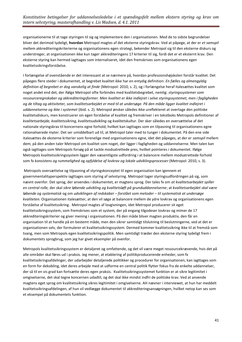organisationerne til at tage styringen til sig og implementere den i organisationen. Med de to sidste begrundelser bliver det derimod tydeligt, **hvordan** Metropol magtes af det eksterne styringskrav. Ved at påpege, at der er *et samspil* mellem akkrediteringskriterierne og organisationens egen strategi, bekender Metropol sig til den eksterne diskurs og understreger, at organisationen ikke kun tager akkrediteringens 17 kriterier til sig, fordi det er et eksternt krav. Den eksterne styring kan hermed iagttages som internaliseret, idet den fremskrives som organisationens egen kvalitetssikringsforståelse.

I forlængelse af ovenstående er det interessant at se nærmere på, hvordan professionshøjskolen forstår kvalitet. Det påpeges flere steder i dokumentet, at begrebet kvalitet ikke har en entydig definition: *En fælles og almengyldig definition af begrebet er dog vanskelig at finde* (Metropol: 2010, s. 2), og i forlængelse heraf italesættes kvalitet som noget andet end det, der ifølge Metropol ofte forbindes med kvalitetsbegrebet, nemlig: *styringssystemer som ressourceregnskaber og akkrediteringsformer. Men kvalitet er ikke indlejret i selve styringssystemet, men i fagligheden og de tiltag og aktiviteter, som kvalitetsarbejdet er med til at undersøge. På den måde ligger kvalitet indlejret i uddannelserne og ikke i systemet* (ibid. s. 2). Metropol ønsker således ikke ureflekteret at overtage den politiske kvalitetsdiskurs, men konstruerer sin egen forståelse af kvalitet og fremskriver i en tekstboks Metropols definitioner af *kvalitetsarbejde, kvalitetssikring, kvalitetsudvikling* og *kvalitetskultur*. Der sker således en oversættelse af det nationale styringskrav til koncernens egne forhold, hvilket kan iagttages som en tilpasning til organisationens egne rationaliserede myter. Det ser umiddelbart ud til, at Metropol taler med to tunger i dokumentet. På den ene side italesættes de eksterne kriterier som forenelige med organisationens egne, idet det påpeges, at der er *samspil* mellem dem; på den anden taler Metropol om kvalitet som noget, der ligger i fagligheden og uddannelserne. Men talen kan også iagttages som Metropols forsøg på at tackle modsatrettede pres, hvilket pointeres i dokumentet. Ifølge Metropols kvalitetssikringssystem ligger den væsentligste udfordring i at balancere mellem modsatrettede forhold som fx *konsistens og rummelighed* og *opfyldelse af lovkrav og lokale udviklingsprocesser* (Metropol: 2010, s. 3)*.*

Metropols oversættelse og tilpasning af styringskonceptet til egen organisation kan igennem et governmentalityperspektiv iagttages som styring af selvstyring. Metropol tager styringsudfordringen på sig, som nævnt ovenfor. Det sprog, der anvendes i dokumentet, er magtens sprog. Der tales fx om *at kvalitetsarbejdet spiller en central rolle,* der skal *sikre løbende udvikling og kvalitetsløft på grunduddannelserne*; at *kvalitetsarbejdet skal være løbende og systematisk* og om *udviklingen af redskaber – forstået som metoder – til systematisk at undersøge kvaliteten.* Organisationen italesætter, at den vil søge at balancere mellem de ydre lovkrav og organisationens egen forståelse af kvalitetssikring. Metropol magtes af lovgivningen, idet Metropol producerer sit eget kvalitetssikringssystem, som fremskrives som et system, der på engang tilgodeser lovkrav og mimer de 17 akkrediteringskriterier og giver mening i organisationen. På den måde bliver magten produktiv, den får en organisation til at handle på en bestemt måde, men den sikrer samtidigt tilslutning til beslutningerne, ved at det er organisationen selv, der formulerer et kvalitetssikringssystem. Dermed kommer kvalitetssikring ikke til at fremstå som tvang, men som Metropols egen kvalitetssikringspolitik. Men samtidigt træder den eksterne styring tydeligt frem i dokumentets sprogbrug, som jeg har givet eksempler på ovenfor.

Metropols kvalitetssikringssystem er detaljeret og omfattende, og det vil være meget ressourcekrævende, hvis det på alle områder skal føres ud i praksis. Jeg mener, at etablering af politikproducerende enheder, som fx kvalitetssikringsafdelinger, der udarbejder detaljerede politikker og procedurer for organisationen, kan iagttages som en form for dekobling, idet deres arbejde med at udforme en central politik flytter fokus fra de enkelte uddannelser, der så til en vis grad kan fortsætte deres egen praksis. Kvalitetssikringssystemet funktion er at sikre legitimitet i omgivelserne, det skal tegne koncernen udadtil, og det skal ikke mindst indfri de politiske krav. Ved at anvende magtens eget sprog om kvalitetssikring sikres legitimitet i omgivelserne. AH nævner i interviewet, at hun har meddelt kvalitetssikringsafdelingen, af hun vil vedlægge dokumentet til akkrediteringsansøgningen, hvilket netop kan ses som et eksempel på dokumentets funktion.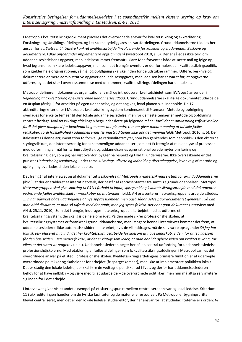I Metropols kvalitetssikringsdokument placeres det overordnede ansvar for kvalitetssikring og akkreditering i Forsknings- og Udviklingsafdelingen, og i et skema tydeliggøres ansvarsfordelingen. Grunduddannelserne tildeles her ansvar for at: *Sætte mål, Udføre konkret kvalitetsarbejde (involverende for kolleger og studerende), Beskrive og dokumentere, Følge op(herunder implementere opfølgningen)* (Metropol 2010, s. 6). Der er således ikke tvivl om uddannelsesledelsens opgaver, men ledelsesrummet fremstår uklart: Man forventes både at sætte mål og følge op, hvad jeg anser som klare ledelsesopgaver, men som det fremgår ovenfor, er der formuleret en kvalitetssikringspolitik, som gælder hele organisationen, så mål og opfølgning skal ske inden for de udstukne rammer. Udføre, beskrive og dokumentere er mere administrative opgaver end ledelsesopgaver, men ledelsen har ansvaret for, at opgaverne udføres, og at det sker i overensstemmelse med de rammer, kvalitetssikringsafdelingen har udstukket.

Metropol definerer i dokumentet organisationens mål og introducerer kvalitetshjulet, som EVA også anvender i *Vejledning til akkreditering af eksisterende uddannelsesudbud*. Grunduddannelserne skal ifølge dokumentet udarbejde en årsplan (årshjul) for arbejdet på egen uddannelse, og det angives, hvad planen skal indeholde. De 17 akkrediteringskriterier er i Metropols kvalitetssikringssystem kondenseret til 9 temaer. Metode og opfølgning overlades for enkelte temaer til den lokale uddannelsesledelse, men for de fleste temaer er metode og opfølgning centralt fastlagt. Kvalitetssikringsafdelingen begrunder dette på følgende måde: *fordi det er omkostningseffektivt eller fordi det giver mulighed for benchmarking – mens det på andre temaer giver mindre mening at udvikle fælles redskaber, fordi forskellighed i uddannelsernes læringstraditioner ikke gør det meningsfuldt(*Metropol: 2010, s. 5). Der italesættes i denne argumentation to forskellige rationalitetsmyter, som kan genkendes som henholdsvis den eksterne styringsdiskurs, der interesserer sig for at sammenligne uddannelser (som det fx fremgår af min analyse af processen med udformning af mål for læringsudbytte), og uddannelsernes egne rationaliserede myter om læring og kvalitetssikring, der, som jeg har vist ovenfor, bygger på respekt og tillid til underviserne. Ikke overraskende er det punktet *Undervisningsevaluering* under tema 4 *Læringsudbytte og indhold og tilrettelæggelse*, hvor valg af metode og opfølgning overlades til den lokale ledelse.

Det fremgår af interviewet og af dokumentet *Beskrivelse af Metropols kvalitetssikringssystem for grunduddannelserne* (ibid.), at der er etableret et internt netværk, der består af repræsentanter fra samtlige grunduddannelser i Metropol*. Netværksgruppen skal give sparring til F&U i forhold til input, spørgsmål og kvalitetssikringsarbejde med dokumenter vedrørende fælles kvalitetskultur –redskaber og materialer* (ibid.). AH præsenterer netværksgruppens arbejde således: … *vi har påvirket både udarbejdelse af nye spørgeskemaer, men også sådan selve papirdokumentet generelt… Så kan man altid diskutere, er man så tilfreds med det papir, men jeg synes faktisk, det er et godt dokument* (interview med AH d. 25.11. 2010). Som det fremgår, inddrages netværksgruppen i arbejdet med at udforme et kvalitetssikringssystem, der skal gælde hele området. På den måde sikrer professionshøjskolen, at kvalitetssikringssystemet er forankret i grunduddannelserne, men længere henne i interviewet kommer det frem, at uddannelseslederne ikke automatisk sidder i netværket; hvis de vil inddrages, må de selv være opsøgende: *Så jeg har faktisk selv placeret mig ind i det her kvalitetssikringsarbejde for ligesom at have kendskab, viden, for at jeg ligesom får den basisviden… Jeg mener faktisk, at det er vigtigt som leder, at man har lidt dybere viden om kvalitetssikring, for ellers er det svært at reagere i* (ibid.). Uddannelseslederen peger her på en central udfordring for uddannelsesledelse i professionshøjskolerne. Med etablering af fælles afdelinger som fx kvalitetssikringsafdelingen i Metropol samles det overordnede ansvar på et sted i professionshøjskolen. Kvalitetssikringsafdelingens primære funktion er at udarbejde overordnede politikker og skabeloner for arbejdet (fx spørgeskemaer), men ikke at implementere politikken lokalt. Det er stadig den lokale ledelse, der skal føre de vedtagne politikker ud i livet, og derfor har uddannelseslederen behov for at have indblik i – og være med til at udarbejde – de overordnede politikker, men hun må altså selv invitere sig inden for i det arbejde.

I interviewet giver AH et andet eksempel på et skæringspunkt mellem centraliseret ansvar og lokal ledelse. Kriterium 11 i akkrediteringen handler om de fysiske faciliteter og de materielle ressourcer. På Metropol er bygningsdriften blevet centraliseret, men det er den lokale ledelse, studierektor, der har ansvar for, at studiefaciliteterne er i orden: *Vi*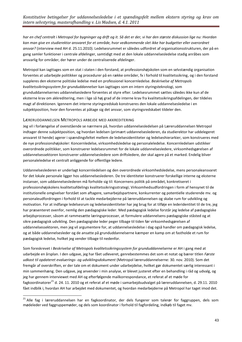*har en chef centralt i Metropol for bygninger og drift og it. Så det er der, vi har den største diskussion lige nu: Hvordan kan man give en studierektor ansvaret for et område, hvor vedkommende slet ikke har budgetter eller overordnet ansvar?* (interview med AH d. 25.11.2010). Ledelsesrummet er således udfordret af organisationsstrukturen, der på en gang samler funktioner i centrale afdelinger, samtidigt med at den lokale uddannelsesledelse stadig anråbes som ansvarlig for områder, der hører under de centraliserede afdelinger.

Metropol kan iagttages som en stat i staten i den forstand, at professionshøjskolen som en selvstændig organisation forventes at udarbejde politikker og procedurer på en række områder, fx i forhold til kvalitetssikring, og i den forstand suppleres den eksterne politiske ledelse med en professionel koncernledelse. *Beskrivelse af Metropols kvalitetssikringssystem for grunduddannelser* kan iagttages som en intern styringsteknologi, som grunduddannelsernes uddannelsesledere forventes at styre efter. Ledelsesrummet sættes således ikke kun af de eksterne krav om akkreditering, men i lige så høj grad af de interne krav fra kvalitetssikringsafdelingen, der tildeles magt af direktionen. Igennem det interne styringsredskab konstrueres den lokale uddannelsesledelse i en subjektposition, hvor den forventes at påtage sig det ansvar, som styringsredskabet tildeler den.

#### <span id="page-42-0"></span>LÆRERUDDANNELSEN METROPOLS ARBEJDE MED AKKREDITERING

1

Jeg vil i forlængelse af ovenstående se nærmere på, hvordan uddannelsesledelsen på Læreruddannelsen Metropol indtager denne subjektposition, og hvordan ledelsen (primært uddannelseslederen, da studierektor har uddelegeret ansvaret til hende) agerer i spændingsfeltet mellem de ledelsesidentiteter og ledelseshierarkier, som konstrueres med de nye professionshøjskoler: Koncernledelse, virksomhedsledelse og personaleledelse. Koncernledelsen udstikker overordnede politikker, som konstruerer ledelsesrummet for de lokale uddannelsesledere, virksomhedsgørelsen af uddannelsessektoren konstruerer uddannelsesledere som driftsledere, der skal agere på et marked. Endelig bliver personaleledelse et centralt anliggende for offentlige ledere.

Uddannelseslederen er underlagt koncernledelsen og den overordnede virksomhedsledelse, mens personaleansvaret for det lokale personale ligger hos uddannelseslederen. De tre identiteter konstruerer forskellige interne og eksterne instanser, som uddannelseslederen må forholde sig til: Koncernens politik på området, konkretiseret i professionshøjskolens kvalitetsafdelings kvalitetssikringsstrategi; Virksomhedsudfordringen i form af hensynet til de institutionelle omgivelser forstået som aftagere, samarbejdspartnere, konkurrenter og potentielle studerende mv. og personaleudfordringen i forhold til at tackle medarbejderne på læreruddannelsen og skabe rum for udvikling og motivation. For at indfange ledelsesrum og ledelsesidentiteter har jeg brug for at tilføje en lederidentitet til de tre, jeg har præsenteret ovenfor, nemlig den pædagogiske leder. Med pædagogisk ledelse forstår jeg ledelse af pædagogiske arbejdsprocesser, såsom at rammesætte læringsprocesser, at formulere uddannelsens pædagogiske ståsted og at sikre pædagogisk udvikling. Den pædagogiske leder peger tilbage til tiden før virksomhedsgørelsen af uddannelsessektoren, men jeg vil argumentere for, at uddannelsesledelse i dag også handler om pædagogisk ledelse, og at både uddannelsesleder og de ansatte på grunduddannelserne kæmper en kamp om at fastholde et rum for pædagogisk ledelse, hvilket jeg vender tilbage til nedenfor.

Som foreskrevet i *Beskrivelse af Metropols kvalitetssikringssystem for grunduddannelserne* er AH i gang med at udarbejde en årsplan. I den udgave, jeg har fået udleveret, genrebestemmes det som et notat og bærer titlen *Første udkast til opdateret evaluerings- og udviklingsdokument* (Metropol læreruddannelserne: 30. nov. 2010). Som det fremgår af overskriften, er der tale om et dokument under udarbejdelse, hvilket gør dokumentet særlig interessant i min sammenhæng. Den udgave, jeg anvender i min analyse, er blevet justeret efter en behandling i råd og udvalg, og jeg har gennem interviewet med AH og efterfølgende mailkorrespondance, et referat af et møde for fagkoordinatorer<sup>21</sup> d. 24. 11. 2010 og et referat af et møde i samarbeidsudvalget på læreruddannelsen, d. 29.11. 2010 fået indblik i, hvordan AH har arbejdet med dokumentet, og hvordan medarbejderne på Metropol har taget imod det.

<sup>&</sup>lt;sup>21</sup> Alle fag i læreruddannelsen har en fagkoordinator, der dels fungerer som talerør for faggruppen, dels som mødeleder ved faggruppemøder, og dels som koordinator i forhold til fagfordeling, indkøb til faget mv.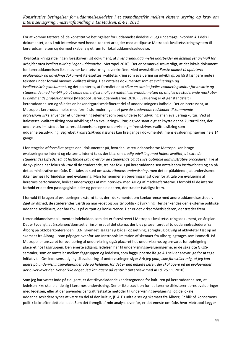For at komme tættere på de konstitutive betingelser for uddannelsesledelse vil jeg undersøge, hvordan AH dels i dokumentet, dels i mit interview med hende konkret arbejder med at tilpasse Metropols kvalitetssikringssystem til læreruddannelsen og dermed skaber sig et rum for lokal uddannelsesledelse.

Kvalitetssikringsafdelingen foreskriver i sit dokument, at *hver grunduddannelse udarbejder en årsplan (et årshjul) for arbejdet med kvalitetssikring i egen uddannelse* (Metropol 2010). Det er bemærkelsesværdigt, at det lokale dokument for læreruddannelsen ikke nævner kvalitetssikring i overskriften. Med overskriften *Første udkast til opdateret evaluerings- og udviklingsdokument* italesættes kvalitetssikring som evaluering og udvikling, og først længere nede i teksten under formål nævnes kvalitetssikring. Her omtales dokumentet som et *evaluerings- og kvalitetssikringsdokument,* og det pointeres, at formålet er at *sikre en samlet fælles evalueringskultur for ansatte og studerende med henblik på at skabe den højest mulige kvalitet i læreruddannelsen og at give de studerende redskaber til kommende professionsvirke* (Metropol Læreruddannelserne: 2010). Evaluering er et genstandsfelt i læreruddannelsen og således en bekendtgørelsesdefineret del af undervisningens indhold. Det er interessant, at Metropols læreruddannelse med formålsformuleringen: *at give de studerende redskaber til kommende professionsvirke* anvender et undervisningselement som begrundelse for udvikling af en evalueringskultur. Ved at italesætte kvalitetssikring som udvikling af en evalueringskultur, og ved samtidigt at knytte denne kultur til det, der undervises i – i stedet for læreruddannelsens egen undervisning – fremskrives kvalitetssikring som uddannelsesudvikling. Begrebet *kvalitetssikring* nævnes kun fire gange i dokumentet, mens evaluering nævnes hele 14 gange.

I forlængelse af formålet peges der i dokumentet på, hvordan Læreruddannelserne Metropol kan bruge evalueringerne internt og eksternt. Internt tales der bl.a. om *stadig udvikling mod højere kvalitet, at sikre de studerendes tilfredshed, at fastholde krav over for de studerende* og *at sikre optimale administrative procedurer.* Tre af de syv pinde har fokus på krav til de studerende, tre har fokus på læreruddannelsen omtalt som *institutionen* og en på det administrative område. Der tales et sted om *institutionens undervisning*, men det er påfaldende, at underviserne ikke nævnes i forbindelse med evaluering. Man fornemmer en berøringsangst over for at tale om evaluering af lærernes performance, hvilket underbygges af mit interview med AH og af mødereferaterne. I forhold til de interne forhold er det den pædagogiske leder og personalelederen, der træder tydeligst frem.

I forhold til brugen af evalueringer eksternt tales der i dokumentet om konkurrence med andre uddannelsessteder, øget synlighed, de studerendes værdi på markedet og positiv politisk påvirkning. Her genkendes den eksterne politiske uddannelsesdiskurs, der har fokus på output og konkurrence. Her er det virksomhedslederen, der træder frem.

Læreruddannelsesdokumentet indeholder, som det er foreskrevet i Metropols kvalitetssikringsdokument, en årsplan. Det er tydeligt, at årsplanen/skemaet er inspireret af det skema, der blev præsenteret af to uddannelsesledere fra Ålborg på oktoberkonferencen i LLN. Skemaet lægger sig både i opsætning, sprogbrug og valg af aktiviteter tæt op ad skemaet fra Ålborg – som påpeget ovenfor kan Metropols imitation af skemaet fra Ålborg iagttages som isomorfi. På Metropol er ansvaret for evaluering af undervisning også placeret hos underviserne, og ansvaret for opfølgning placeret hos faggruppen. Den eneste adgang, ledelsen har til undervisningsevalueringerne, er de såkaldte GRUSsamtaler, som er samtaler mellem faggruppen og ledelsen, som faggrupperne ifølge AH selv er ansvarlige for at tage initiativ til. Om ledelsens adgang til evaluering af undervisningen siger AH: *jeg (kan) ikke forestiller mig, at jeg kan agere på undervisningsevalueringer ude på holdene, for det er den enkelte lærer, der skal agere på de evalueringer, der bliver lavet der. Det er ikke noget, jeg kan agere på centralt (*interview med AH d. 25.11. 2010).

Som jeg har været inde på tidligere, er det tilsyneladende kendetegnende for kulturen på læreruddannelsen, at ledelsen ikke skal blande sig i lærernes undervisning. Der er ikke tradition for, at lærerne diskuterer deres evalueringer med ledelsen, eller at der anvendes centralt fastsatte metoder til undervisningsevaluering, og de lokale uddannelsesledere synes at være en del af den kultur, jf. AH´s udtalelser og skemaet fra Ålborg. Et blik på koncernens politik bekræfter dette billede. Som det fremgik af min analyse ovenfor, er det eneste område, hvor Metropol lægger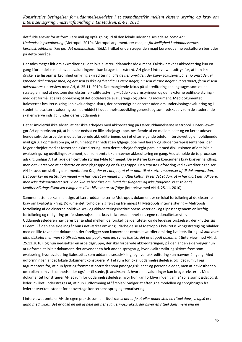det fulde ansvar for at formulere mål og opfølgning ud til den lokale uddannelsesledelse *Tema 4a: Undervisningsevaluering* (Metropol: 2010). Metropol argumenterer med, at *forskellighed i uddannelsernes læringstraditioner ikke gør det meningsfuldt* (ibid.), hvilket understreger den magt læreruddannelseskulturen besidder på dette område.

Der tales meget lidt om akkreditering i det lokale læreruddannelsesdokument. Faktisk nævnes akkreditering kun en gang i forbindelse med, hvad evalueringerne kan bruges til eksternt. AH giver i interviewet udtryk for, at hun ikke ønsker særlig opmærksomhed omkring akkreditering: *alle de her områder, der bliver fokuseret på, er jo områder, vi løbende skal arbejde med, og det skal jo ikke nødvendigvis være noget, nu skal vi gøre noget nyt og andet, fordi vi skal akkrediteres* (interview med AH, d. 25.11. 2010). Det manglende fokus på akkreditering kan iagttages som et led i strategien med at nedtone den eksterne kvalitetsstyring – både koncernstyringen og den eksterne politiske styring med det formål at sikre opbakning til det opdaterede evaluerings- og udviklingsdokument. Med dokumentet italesættes kvalitetssikring i en evalueringsdiskurs, der behændigt balancerer uden om undervisningsevaluering og i stedet italesætter evaluering som et middel til uddannelsesudvikling generelt og som redskaber, som de studerende skal erhverve indsigt i under deres uddannelse.

Det er imidlertid ikke sådan, at der ikke arbejdes med akkreditering på Læreruddannelserne Metropol. I interviewet gør AH opmærksom på, at hun har nedsat en lille arbejdsgruppe, bestående af en mellemleder og en lærer udover hende selv, der arbejder med at forberede akkrediteringen, og i et efterfølgende telefoninterviewet og en opfølgende mail gør AH opmærksom på, at hun netop har nedsat en følgegruppe med lærer- og studenterrepræsentanter, der følger arbejdet med at forberede akkreditering. Men dette arbejde foregår parallelt med diskussionen af det lokale evaluerings- og udviklingsdokument, der som omtalt kun nævner akkreditering én gang. Ved at holde de to processer adskilt, undgår AH at lade den centrale styring fylde for meget. De eksterne krav og koncernens krav kræver handling, men det klares ved at nedsætte en arbejdsgruppe og en følgegruppe. Den største udfordring ved akkrediteringen ser AH i kravet om skriftlig dokumentation: *Det, der er i det, er, at vi er nødt til at sætte ressourcer af til dokumentation. Det påvirker en institution meget – vi har været en meget mundtlig kultur. Vi ser det sådan, at vi har gjort det tidligere, men ikke dokumenteret det. Vi er ikke så bevidste om, hvad der fungerer og ikke fungerer. Vi er talende. Kvalitetssikringsdiskursen tvinger os til at blive mere skriftlige* (interview med AH d. 25.11. 2010).

Sammenfattende kan man sige, at Læreruddannelserne Metropols dokument er en lokal fortolkning af de eksterne krav om kvalitetssikring. Dokumentet forholder sig først og fremmest til Metropols interne styring – Metropols fortolkning af de eksterne politiske krav og akkrediteringsinstitutionens kriterier - og tilpasser gennem en kraftig fortolkning og redigering professionshøjskolens krav til læreruddannelsens egne rationalitetsmyter. Uddannelseslederen navigerer behændigt mellem de forskellige identiteter og de ledelsesforståelser, der knytter sig til dem. På den ene side indgår hun i netværket omkring udarbejdelse af Metropols kvalitetssikringsstrategi og bifalder med en lille tøven det dokument, der foreligger som koncernens centrale værdier omkring kvalitetssikring: *så kan man altid diskutere, er man så tilfreds med det papir, men jeg synes faktisk, det er et godt dokument* (interview med AH, d. 25.11.2010), og hun nedsætter en arbejdsgruppe, der skal forberede akkrediteringen, på den anden side vælger hun at udforme et lokalt dokument, der anvender en helt anden sprogbrug, hvor kvalitetssikring skrives frem som evaluering, hvor evaluering italesættes som uddannelsesudvikling, og hvor akkreditering kun nævnes én gang. Med udformningen af det lokale dokument konstruerer AH et rum for lokal uddannelsesledelse, og i det rum vil jeg argumentere for, at hun først og fremmest optræder som pædagogisk leder og personaleleder, men at bevidstheden om rollen som virksomhedsleder også er til stede, jf. analysen af, hvordan evalueringer kan bruges eksternt. Med dokumentet konstruerer AH et rum for uddannelsesledelse, hvor hun kan forblive i "den gamle" rolle som pædagogisk leder, hvilket understreges af, at hun i udformning af "årsplan" vælger at efterligne modellen og sprogbrugen fra ledernetværket i stedet for at overtage koncernens sprog og tematisering.

I interviewet omtaler AH sin egen praksis som en rituel dans: *det er jo et eller andet sted en rituel dans, vi også er i gang med, ikke… det er også en del af hele det her evalueringspraksis, der bliver en rituel dans mere end en*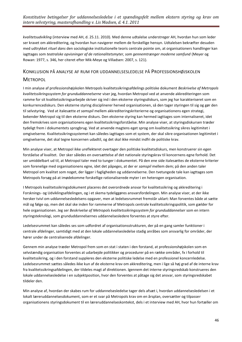*kvalitetsudvikling* (interview med AH, d. 25.11. 2010)*.* Med denne udtalelse understreger AH, hvordan hun som leder ser kravet om akkreditering, og hvordan hun navigerer mellem de forskellige hensyn. Udtalelsen bekræfter desuden med udtrykket *rituel dans* den sociologiske institutionelle teoris centrale pointe om, at organisationers handlinger kan iagttages som *teatralske opvisninger af de rationalitetsmyter, som gennemtrænger moderne samfund* (Meyer og Rowan: 1977, s. 346, her citeret efter Mik-Meye og Villadsen: 2007, s. 121).

# <span id="page-45-0"></span>KONKLUSION PÅ ANALYSE AF RUM FOR UDDANNELSESLEDELSE PÅ PROFESSIONSHØJSKOLEN **METROPOL**

I min analyse af professionshøjskolen Metropols kvalitetssikringsafdelings politiske dokument *Beskrivelse af Metropols kvalitetssikringssystem for grunduddannelserne* viser jeg, hvordan Metropol ved at anvende akkrediteringen som ramme for sit kvalitetssikringsarbejde skriver sig ind i den eksterne styringsdiskurs, som jeg har karakteriseret som en konkurrencediskurs. Den eksterne styring disciplinerer herved organisationen, så den tager styringen til sig og gør den til selvstyring. Ved at italesætte *et samspil* mellem akkrediteringskriterierne og organisationens egen strategi, bekender Metropol sig til den eksterne diskurs. Den eksterne styring kan hermed iagttages som internaliseret, idet den fremskrives som organisationens egen kvalitetssikringsforståelse. Min analyse viser, at styringsdiskursen træder tydeligt frem i dokumentets sprogbrug. Ved at anvende magtens eget sprog om kvalitetssikring sikres legitimitet i omgivelserne. Kvalitetssikringssystemet kan således iagttages som et system, der skal sikre organisationen legitimitet i omgivelserne, det skal tegne koncernen udadtil, og det skal ikke mindst indfri de politiske krav.

Min analyse viser, at Metropol ikke ureflekteret overtager den politiske kvalitetsdiskurs, men konstruerer sin egen forståelse af kvalitet. Der sker således en oversættelse af det nationale styringskrav til koncernens egne forhold. Det ser umiddelbart ud til, at Metropol taler med to tunger i dokumentet. På den ene side italesættes de eksterne kriterier som forenelige med organisationens egne, idet det påpeges, at der er *samspil* mellem dem; på den anden taler Metropol om kvalitet som noget, der ligger i fagligheden og uddannelserne. Den tvetungede tale kan iagttages som Metropols forsøg på at imødekomme forskellige rationaliserede myter i en heterogen organisation.

I Metropols kvalitetssikringsdokument placeres det overordnede ansvar for kvalitetssikring og akkreditering i Forsknings- og Udviklingsafdelingen, og i et skema tydeliggøres ansvarsfordelingen. Min analyse viser, at der ikke hersker tvivl om uddannelsesledelsens opgaver, men at ledelsesrummet fremstår uklart: Man forventes både at sætte mål og følge op, men det skal ske inden for rammerne af Metropols centrale kvalitetssikringspolitik, som gælder for hele organisationen. Jeg ser *Beskrivelse af Metropols kvalitetssikringssystem for grunduddannelser* som en intern styringsteknologi, som grunduddannelsernes uddannelsesledere forventes at styre efter.

Ledelsesrummet kan således ses som udfordret af organisationsstrukturen, der på en gang samler funktioner i centrale afdelinger, samtidigt med at den lokale uddannelsesledelse stadig anråbes som ansvarlig for områder, der hører under de centraliserede afdelinger.

Gennem min analyse træder Metropol frem som en stat i staten i den forstand, at professionshøjskolen som en selvstændig organisation forventes at udarbejde politikker og procedurer på en række områder, fx i forhold til kvalitetssikring, og i den forstand suppleres den eksterne politiske ledelse med en professionel koncernledelse. Ledelsesrummet sættes således ikke kun af de eksterne krav om akkreditering, men i lige så høj grad af de interne krav fra kvalitetssikringsafdelingen, der tildeles magt af direktionen. Igennem det interne styringsredskab konstrueres den lokale uddannelsesledelse i en subjektposition, hvor den forventes at påtage sig det ansvar, som styringsredskabet tildeler den.

Min analyse af, hvordan der skabes rum for uddannelsesledelse tager dels afsæt i, hvordan uddannelsesledelsen i et lokalt læreruddannelsesdokument, som er et svar på Metropols krav om en årsplan, oversætter og tilpasser organisationens styringsdokument til en læreruddannelseskontekst, dels i et interview med AH, hvor hun fortæller om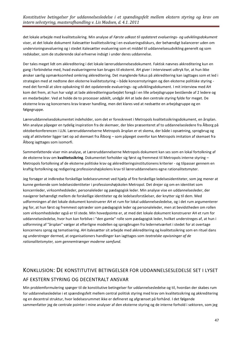det lokale arbejde med kvalitetssikring. Min analyse af *Første udkast til opdateret evaluerings- og udviklingsdokument* viser, at det lokale dokument italesætter kvalitetssikring i en evalueringsdiskurs, der behændigt balancerer uden om undervisningsevaluering og i stedet italesætter evaluering som et middel til uddannelsesudvikling generelt og som redskaber, som de studerende skal erhverve indsigt i under deres uddannelse.

Der tales meget lidt om akkreditering i det lokale læreruddannelsesdokument. Faktisk nævnes akkreditering kun en gang i forbindelse med, hvad evalueringerne kan bruges til eksternt. AH giver i interviewet udtryk for, at hun ikke ønsker særlig opmærksomhed omkring akkreditering. Det manglende fokus på akkreditering kan iagttages som et led i strategien med at nedtone den eksterne kvalitetsstyring – både koncernstyringen og den eksterne politiske styring med det formål at sikre opbakning til det opdaterede evaluerings- og udviklingsdokument. I mit interview med AH kom det frem, at hun har valgt at lade akkrediteringsarbejdet foregå i en lille arbejdsgruppe bestående af 2 ledere og en medarbejder. Ved at holde de to processer adskilt, undgår AH at lade den centrale styring fylde for meget. De eksterne krav og koncernens krav kræver handling, men det klares ved at nedsætte en arbejdsgruppe og en følgegruppe.

Læreruddannelsesdokumentet indeholder, som det er foreskrevet i Metropols kvalitetssikringsdokument, en årsplan. Min analyse påpeger en tydelig inspiration fra de skemaer, der blev præsenteret af to uddannelsesledere fra Ålborg på oktoberkonferencen i LLN. Læreruddannelserne Metropols årsplan er et skema, der både i opsætning, sprogbrug og valg af aktiviteter ligger tæt op ad skemaet fra Ålborg – som påpeget ovenfor kan Metropols imitation af skemaet fra Ålborg iagttages som isomorfi.

Sammenfattende viser min analyse, at Læreruddannelserne Metropols dokument kan ses som en lokal fortolkning af de eksterne krav om **kvalitetssikring**. Dokumentet forholder sig først og fremmest til Metropols interne styring – Metropols fortolkning af de eksterne politiske krav og akkrediteringsinstitutionens kriterier - og tilpasser gennem en kraftig fortolkning og redigering professionshøjskolens krav til læreruddannelsens egne rationalitetsmyter.

Jeg forsøger at indkredse forskellige ledelsesrummet ved hjælp af fire forskellige ledelsesidentiteter, som jeg mener at kunne genkende som ledelsesidentiteter i professionshøjskolen Metropol. Det drejer sig om en identitet som koncernleder, virksomhedsleder, personaleleder og pædagogisk leder. Min analyse vise en uddannelsesleder, der navigerer behændigt mellem de forskellige identiteter og de ledelsesforståelser, der knytter sig til dem. Med udformningen af det lokale dokument konstruerer AH et rum for lokal uddannelsesledelse, og i det rum argumenterer jeg for, at hun først og fremmest optræder som pædagogisk leder og personaleleder, men at bevidstheden om rollen som virksomhedsleder også er til stede. Min hovedpointe er, at med det lokale dokument konstruerer AH et rum for uddannelsesledelse, hvor hun kan forblive i "den gamle" rolle som pædagogisk leder, hvilket understreges af, at hun i udformning af "årsplan" vælger at efterligne modellen og sprogbrugen fra ledernetværket i stedet for at overtage koncernens sprog og tematisering. AH italesætter sit arbejde med akkreditering og kvalitetssikring som en rituel dans og understreger dermed, at organisationers handlinger kan iagttages som *teatralske opvisninger af de rationalitetsmyter, som gennemtrænger moderne samfund.*

# <span id="page-46-0"></span>KONKLUSION: DE KONSTITUTIVE BETINGELSER FOR UDDANNELSESLEDELSE SET I LYSET AF EKSTERN STYRING OG DECENTRALT ANSVAR

Min problemformulering spørger til de konstitutive betingelser for uddannelsesledelse og til, hvordan der skabes rum for uddannelsesledelse i et spændingsfelt mellem central politisk styring med krav om kvalitetssikring og akkreditering og en decentral struktur, hvor ledelsesrummet ikke er defineret og afgrænset på forhånd. I det følgende sammenfatter jeg de centrale pointer i mine analyser af den eksterne styring og de interne forhold i sektoren, som jeg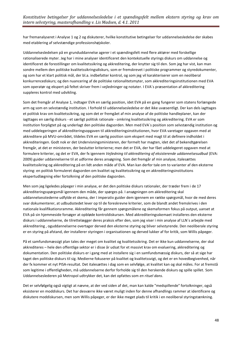har fremanalyseret i Analyse 1 og 2 og diskuterer, hvilke konstitutive betingelser for uddannelsesledelse der skabes med etablering af selvstændige professionshøjskoler.

Uddannelsesledelsen på en grunduddannelse agerer i et spændingsfelt med flere aktører med forskellige rationaliserede myter. Jeg har i mine analyser identificeret den kontekstuelle styrings diskurs om uddannelse og identificeret de forestillinger om kvalitetssikring og akkreditering, der knytter sig til den. Som jeg har vist, kan man sondre mellem den politiske kvalitetssikringsdiskurs, som er fremskrevet i politiske programmer og styredokumenter, og som har et klart politisk mål, der bl.a. indbefatter kontrol, og som jeg vil karakteriserer som en neoliberal konkurrencediskurs; og den nuancering af de politiske rationalitetsmyter, som akkrediteringsinstitutionen med EVA som operatør og ekspert på feltet skriver frem i vejledninger og notater. I EVA´s præsentation af akkreditering suppleres kontrol med udvikling.

Som det fremgår af Analyse 1, indtager EVA en særlig position, idet EVA på en gang fungerer som statens forlængede arm og som en selvstændig institution. I forhold til uddannelsesledelse er det ikke uvæsentligt. Der kan dels iagttages et politisk krav om kvalitetssikring, og som det er fremgået af min analyse af de politiske handleplaner, kan der iagttages en særlig diskurs - et særligt politisk rationale - omkring kvalitetssikring og akkreditering. EVA er som institution forpligtet på og underlagt den politiske dagsorden. Men med EVA´s position som selvstændig institution og med uddelegeringen af akkrediteringsopgaven til akkrediteringsinstitutionen, hvor EVA varetager opgaven med at akkreditere på MVU-området, tildeles EVA en særlig position som ekspert med magt til at definere indholdet i akkrediteringen. Godt nok er det Undervisningsministeren, der formelt har magten, idet det af bekendtgørelsen fremgår, at det er ministeren, der beslutter kriterierne; men det er EVA, der har fået uddelegeret opgaven med at formulere kriterier, og det er EVA, der fx igennem *Vejledning til akkreditering af eksisterende uddannelsesudbud* (EVA: 2009) guider uddannelserne til at udforme deres ansøgning. Som det fremgår af min analyse, italesættes kvalitetssikring og akkreditering på en lidt anden måde af EVA. Man kan derfor tale om to varianter af den eksterne styring: en politisk formuleret dagsorden om kvalitet og kvalitetssikring og en akkrediteringsinstitutions ekspertudlægning eller fortolkning af den politiske dagsorden.

Men som jeg ligeledes påpeger i min analyse, er det den politiske diskurs rationaler, der træder frem i de 17 akkrediteringsspørgsmål igennem den måde, der spørges på. I ansøgningen om akkreditering skal uddannelsesstederne udfylde et skema, der I imperativ guider dem igennem en række spørgsmål, hvor de med deres svar dokumenterer, at udbudsstedet lever op til de foreskrevne kriterier, som de blandt andet fremskrives i den nationale kvalifikationsramme. Akkreditering får gennem spørgsmålene og skemaformen fokus på output, uanset at EVA på sin hjemmeside forsøger at opbløde kontroldiskursen. Med akkrediteringsskemaet installeres den eksterne diskurs i uddannelserne, de tilrettelægger deres praksis efter den, som jeg viser i min analyse af LLN´s arbejde med akkreditering , oguddannelserne overtager derved den eksterne styring og bliver selvstyrende. Den neoliberale styring er en styring på afstand, der installerer styringen i organisationen og derved lukker af for kritik, som Willis påpeger.

På et samfundsmæssigt plan tales der meget om kvalitet og kvalitetssikring. Det er ikke kun uddannelserne, der skal akkrediteres – hele den offentlige sektor er i disse år udsat for et massivt krav om evaluering, akkreditering og dokumentation. Den politiske diskurs er i gang med at installere sig i en samfundsmæssig diskurs, der så at sige har taget den politiske diskurs til sig. Medierne fokuserer på kvalitet og kvalitetssvigt, og det er en hovedbegivenhed, når der fx kommer et nyt PISA-resultat. Det italesættes i dag som en selvfølge, at kvalitet kan og skal måles. For at fremstå som legitime i offentligheden, må uddannelserne derfor forholde sig til den herskende diskurs og spille spillet. Som Uddannelseslederen på Metropol udtrykker det, kan det opfattes som *en rituel dans*.

Det er selvfølgelig også vigtigt at nævne, at der ved siden af det, man kan kalde "medspillende" fortolkninger, også eksisterer en moddiskurs. Det har desværre ikke været muligt inden for denne afhandlings rammer at identificere og diskutere moddiskursen, men som Willis påpeger, er der ikke meget plads til kritik i en neoliberal styringstænkning.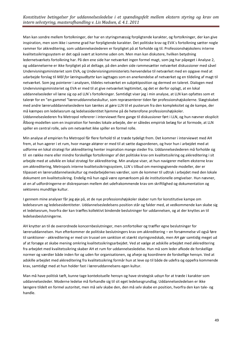Man kan sondre mellem fortolkninger, der har en styringsmæssig forpligtende karakter, og fortolkninger, der kan give inspiration, men som ikke i samme grad har forpligtende karakter. Det politiske krav og EVA´s fortolkning sætter nogle rammer for akkreditering, som uddannelseslederen er forpligtet på at forholde sig til. Professionshøjskolens interne kvalitetssikringssystem er det også svært at komme uden om. Men man kan diskutere, hvilken betydning ledernetværkets fortolkning har. På den ene side har netværket ingen formel magt, som jeg har påpeget i Analyse 2, og uddannelserne er ikke forpligtet på at deltage, på den anden side rammesætter netværket diskussioner med såvel Undervisningsministeriet som EVA, og Undervisningsministeriets henvendelse til netværket med en opgave med at udarbejde forslag til *Mål for læringsudbytte* kan iagttages som en anerkendelse af netværket og en tildeling af magt til netværket. Som jeg pointerer i analysen, tildeles netværket en subjektposition og dermed en taleret. Dialogen med Undervisningsministeriet og EVA er med til at give netværket legitimitet, og det er derfor oplagt, at en lokal uddannelsesleder vil læne sig op ad LLN´s fortolkninger. Samtidigt viser jeg i min analyse, at LLN kan opfattes som et talerør for en "en gammel "læreruddannelseskultur, som repræsenterer tiden før professionshøjskolerne. Slægtskabet med andre lærerudddannelsesledere kan tænkes at gøre LLN til et pusterum fra den kompleksitet og de kampe, der må kæmpes om ledelsesrum og ledelsesidentitet hjemme på de heterofone professionshøjskoler. Uddannelseslederen fra Metropol refererer i interviewet flere gange til diskussioner ført i LLN, og hun nævner eksplicit Ålborg-modellen som en inspiration for hendes lokale arbejde, der er således empirisk belæg for at formode, at LLN spiller en central rolle, selv om netværket ikke spiller en formel rolle.

Min analyse af empirien fra Metropol får flere forhold til at træde tydeligt frem. Det kommer i interviewet med AH frem, at hun agerer i et rum, hvor mange aktører er med til at sætte dagsordenen, og hvor hun i arbejdet med at udforme en lokal strategi for akkreditering henter inspiration mange steder fra. Uddannelseslederen må forholde sig til en række mere eller mindre forskellige fortolkninger af det politiske krav om kvalitetssikring og akkreditering i sit arbejde med at udvikle en lokal strategi for akkreditering. Min analyse viser, at hun navigerer mellem eksterne krav om akkreditering, Metropols interne kvalitetssikringssystem, LLN´s tilbud om meningsgivende modeller, der er tilpasset en læreruddannelseskultur og medarbejdernes værdier, som de kommer til udtryk i arbejdet med den lokale dokument om kvalitetssikring. Endelig må hun også være opmærksom på de institutionelle omgivelser. Hun nævner, at en af udfordringerne er diskrepansen mellem det udefrakommende krav om skriftlighed og dokumentation og sektorens mundtlige kultur.

I gennem mine analyser får jeg øje på, at de nye professionshøjskoler skaber rum for konstitutive kampe om ledelsesrum og ledelsesidentiteter. Uddannelsesledelsens position står og falder med, at vedkommende kan skabe sig et ledelsesrum, hvorfra der kan træffes kollektivt bindende beslutninger for uddannelsen, og at der knyttes an til ledelsesbeslutningerne.

AH knytter an til de overordnede koncernbeslutninger, men omfortolker og træffer egne beslutninger for læreruddannelsen. Hun efterkommer de politiske beslutningers krav om akkreditering – en forsømmelse vil også føre til sanktioner - akkreditering er med sin trussel om sanktion et stærkt styringsredskab, men AH gør samtidig meget ud af at forsøge at skabe mening omkring kvalitetssikringsarbejdet. Ved at vælge at adskille arbejdet med akkreditering fra arbejdet med kvalitetssikring skaber AH et rum for uddannelsesledelse. Hun må som leder afkode de forskellige normer og værdier både inden for og uden for organisationen, og afveje og koordinere de forskellige hensyn. Ved at adskille arbejdet med akkreditering fra kvalitetssikring formår hun at leve op til både de udefra og oppefra kommende krav, samtidigt med at hun holder fast i læreruddannelsens egen kultur.

Man må have politisk tæft, kunne tage kontekstuelle hensyn og have strategisk udsyn for at træde i karakter som uddannelsesleder. Moderne ledelse må forhandle sig til sit eget ledelsesgrundlag. Uddannelsesledelsen er ikke længere tildelt en formel autoritet, men må selv skabe den, den må selv skabe en position, hvorfra den kan tale- og handle.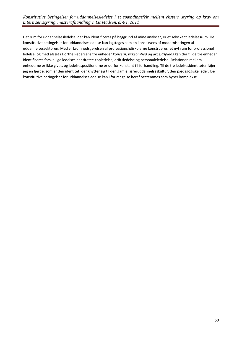Det rum for uddannelsesledelse, der kan identificeres på baggrund af mine analyser, er et selvskabt ledelsesrum. De konstitutive betingelser for uddannelsesledelse kan iagttages som en konsekvens af moderniseringen af uddannelsessektoren. Med virksomhedsgørelsen af professionshøjskolerne konstrueres et nyt rum for professionel ledelse, og med afsæt i Dorthe Pedersens tre enheder *koncern, virksomhed og arbejdsplads* kan der til de tre enheder identificeres forskellige ledelsesidentiteter: topledelse, driftsledelse og personaleledelse. Relationen mellem enhederne er ikke givet, og ledelsespositionerne er derfor konstant til forhandling. Til de tre ledelsesidentiteter føjer jeg en fjerde, som er den identitet, der knytter sig til den gamle læreruddannelseskultur, den pædagogiske leder. De konstitutive betingelser for uddannelsesledelse kan i forlængelse heraf bestemmes som hyper komplekse.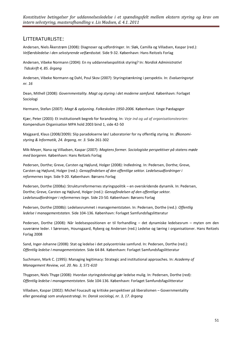## <span id="page-50-0"></span>LITTERATURLISTE:

Andersen, Niels Åkerstrøm (2008): Diagnoser og udfordringer. In: Sløk, Camilla og Villadsen, Kaspar (red.): *Velfærdsledelse i den selvstyrende velfærdsstat.* Side 9-32. København: Hans Reitzels Forlag

Andersen, Vibeke Normann (2004): En ny uddannelsespolitisk styring? In: *Nordisk Administrativt Tidsskrift 4, 85. årgang*

Andersen, Vibeke Normann og Dahl, Poul Skov (2007): Styringstænkning i perspektiv. In: *Evalueringsnyt nr. 16*

Dean, Mithell (2008): *Governmentality. Magt og styring i det moderne samfund.* København: Forlaget Sociologi

Hermann, Stefan (2007): *Magt & oplysning. Folkeskolen 1950-2006.* København: Unge Pædagoger

Kjær, Peter (2003): Et institutionelt begreb for forandring. In: *[Veje ind og ud af organisationsteorien:](http://research.cbs.dk/da/publications/veje-ind-og-ud-af-organisationsteorien(519955e0-d0e3-11dd-8e8d-000ea68e967b).html)*  Kompendium Organisation MPA hold 2003 bind 1, side 42-50

Majgaard, Klaus (2008/2009): Slip paradokserne løs! Laboratorier for ny offentlig styring. In: *Økonomistyring & Informatik, 24. årgang, nr. 3.* Side 261-302

Mik-Meyer, Nana og Villadsen, Kaspar (2007): *Magtens former. Sociologiske perspektiver på statens møde med borgeren.* København: Hans Reitzels Forlag

Pedersen, Dorthe; Greve, Carsten og Højlund, Holger (2008): Indledning. In: Pedersen, Dorthe; Greve, Carsten og Højlund, Holger (red.): *Genopfindelsen af den offentlige sektor. Ledelsesudfordringer i reformernes tegn.* Side 9-20. København: Børsens Forlag

Pedersen, Dorthe (2008a): Strukturreformernes styringspolitik – en overskridende dynamik. In: Pedersen, Dorthe; Greve, Carsten og Højlund, Holger (red.): *Genopfindelsen af den offentlige sektor. Ledelsesudfordringer i reformernes tegn.* Side 23-50. København: Børsens Forlag

Pedersen, Dorthe (2008b): Ledelsesrummet i managementstaten. In: Pedersen, Dorthe (red.): *Offentlig ledelse I managementstaten.* Side 104-136. København: Forlaget Samfundsfagslitteratur

Pedersen, Dorthe (2008): Når ledelsespositionen er til forhandling – det dynamiske ledelsesrum – myten om den suveræne leder. I Sørensen, Hounsgaard, Ryberg og Andersen (red.) Ledelse og læring i organisationer. Hans Reitzels Forlag 2008

Sand, Inger-Johanne (2008): Stat og ledelse i det polycentriske samfund. In: Pedersen, Dorthe (red.): *Offentlig ledelse I managementstaten.* Side 64-84. København: Forlaget Samfundsfagslitteratur

Suchmann, Mark C. (1995): Managing legitimacy: Strategic and institutional approaches. In: *Academy of Management Review, vol. 20. No. 3, 571-610*

Thygesen, Niels Thyge (2008): Hvordan styringsteknologi gør ledelse mulig. In: Pedersen, Dorthe (red): *Offentlig ledelse i managementstaten.* Side 104-136. København: Forlaget Samfundsfagslitteratur

Villadsen, Kaspar (2002): Michel Foucault og kritiske perspektiver på liberalismen – Governmentality eller genealogi som analysestrategi. In: *Dansk sociologi, nr. 3, 17. årgang*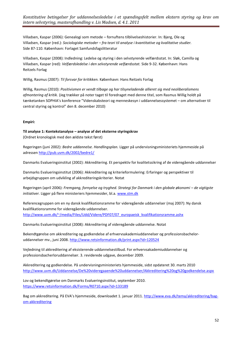Villadsen, Kaspar (2006): Genealogi som metode – fornuftens tilblivelseshistorier. In: Bjerg, Ole og Villadsen, Kaspar (red.): *Sociologiske metoder – fra teori til analyse i kvantitative og kvalitative studier.* Side 87-110. København: Forlaget Samfundsfagslitteratur

Villadsen, Kaspar (2008): Indledning: Ledelse og styring i den selvstyrende velfærdsstat. In: Sløk, Camilla og Villadsen, Kaspar (red): *Velfærdsledelse i den selvstyrende velfærdsstat.* Side 9-32. København: Hans Reitzels Forlag

Willig, Rasmus (2007): *Til forsvar for kritikken.* København: Hans Reitzels Forlag

Willig, Rasmus (2010): *Positivismen er vendt tilbage og har tilsyneladende allieret sig med neoliberalismens afmontering af kritik.* (Jeg trækker på noter taget til foredraget med denne titel, som Rasmus Willig holdt på tænketanken SOPHIA's konference "Videnskabsteori og menneskesyn i uddannelsessystemet – om alternativer til central styring og kontrol" den 8. december 2010)

#### **Empiri:**

# **Til analyse 1: Kontekstanalyse – analyse af det eksterne styringskrav**

(Ordnet kronologisk med den ældste tekst først)

Regeringen (juni 2002): *Bedre uddannelse. Handlingsplan.* Ligger på undervisningsministeriets hjemmeside på adresse[n http://pub.uvm.dk/2002/bedre1/](http://pub.uvm.dk/2002/bedre1/)

Danmarks Evalueringsinstitut (2002): Akkreditering. Et perspektiv for kvalitetssikring af de videregående uddannelser

Danmarks Evalueringsinstitut (2006): Akkreditering og kriterieformulering: Erfaringer og perspektiver til arbejdsgruppen om udvikling af akkrediteringskriterier. Notat

Regeringen (april 2006): *Fremgang, fornyelse og tryghed. Strategi for Danmark i den globale økonomi – de vigtigste initiativer.* Ligger på flere ministeriers hjemmesider, bl.a[. www.stm.dk](http://www.stm.dk/)

Referencegruppen om en ny dansk kvalifikationsramme for videregående uddannelser (maj 2007): Ny dansk kvalifikationsramme for videregående uddannelser. [http://www.uvm.dk/~/media/Files/Udd/Videre/PDF07/07\\_europaeisk\\_kvalifikationsramme.ashx](http://www.uvm.dk/~/media/Files/Udd/Videre/PDF07/07_europaeisk_kvalifikationsramme.ashx)

Danmarks Evalueringsinstitut (2008): Akkreditering af videregående uddannelse. Notat

Bekendtgørelse om akkreditering og godkendelse af erhvervsakademiuddannelser og professionsbacheloruddannelser mv., juni 2008. [http://www.retsinformation.dk/print.aspx?id=120524](https://www.retsinformation.dk/print.aspx?id=120524)

Vejledning til akkreditering af eksisterende uddannelsestilbud. For erhvervsakademiuddannelser og professionsbacherloruddannelser. 3. reviderede udgave, december 2009.

Akkreditering og godkendelse. På undervisningsministeriets hjemmeside, sidst opdateret 30. marts 2010 <http://www.uvm.dk/Uddannelse/De%20videregaaende%20uddannelser/Akkreditering%20og%20godkendelse.aspx>

Lov og bekendtgørelse om Danmarks Evalueringsinstitut, september 2010. <https://www.retsinformation.dk/Forms/R0710.aspx?id=133189>

Bag om akkreditering. På EVA's hjemmeside, downloadet 1. januar 2011. [http://www.eva.dk/tema/akkreditering/bag](http://www.eva.dk/tema/akkreditering/bag-om-akkreditering)[om-akkreditering](http://www.eva.dk/tema/akkreditering/bag-om-akkreditering)